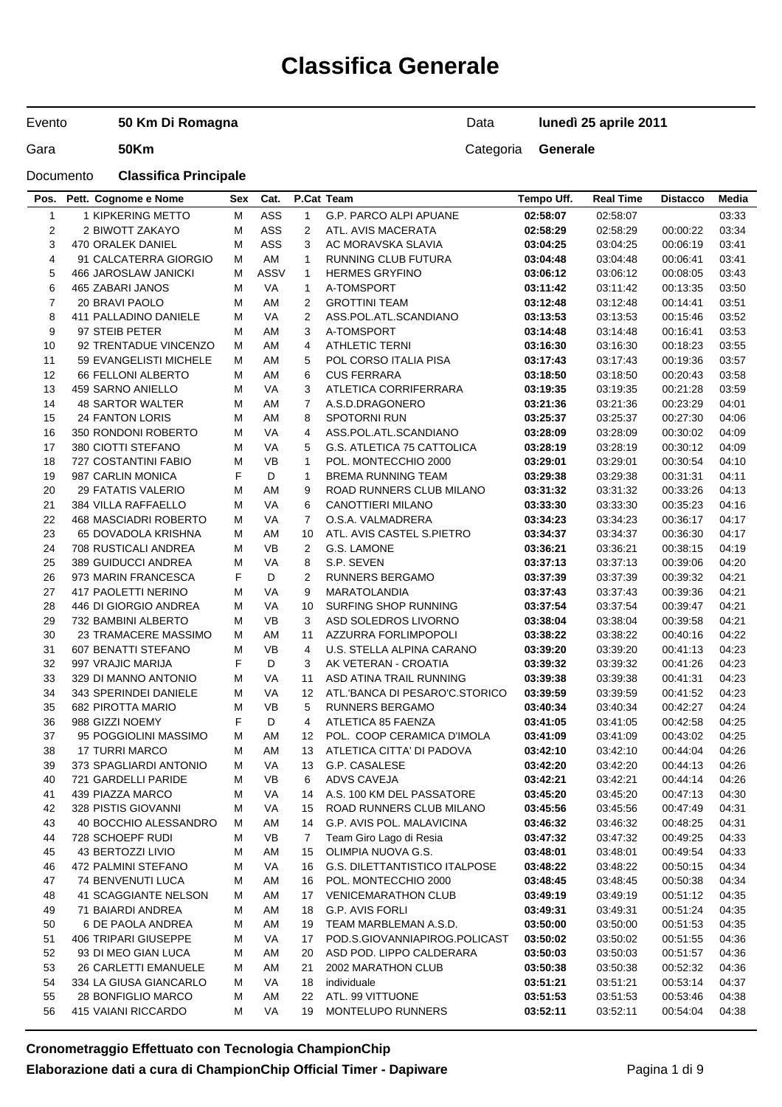# **Classifica Generale**

Evento

**50 Km Di Romagna**

### Data **lunedì 25 aprile 2011**

Gara **50Km** 50Km

### Documento **Classifica Principale**

| Pos.           | Pett. Cognome e Nome        | Sex | Cat.        |                | P.Cat Team                           | Tempo Uff. | <b>Real Time</b> | <b>Distacco</b> | Media |
|----------------|-----------------------------|-----|-------------|----------------|--------------------------------------|------------|------------------|-----------------|-------|
| $\mathbf{1}$   | 1 KIPKERING METTO           | M   | ASS         | $\mathbf{1}$   | G.P. PARCO ALPI APUANE               | 02:58:07   | 02:58:07         |                 | 03:33 |
| $\overline{2}$ | 2 BIWOTT ZAKAYO             | M   | ASS         | $\overline{2}$ | ATL. AVIS MACERATA                   | 02:58:29   | 02:58:29         | 00:00:22        | 03:34 |
| 3              | 470 ORALEK DANIEL           | М   | ASS         | 3              | AC MORAVSKA SLAVIA                   | 03:04:25   | 03:04:25         | 00:06:19        | 03:41 |
| 4              | 91 CALCATERRA GIORGIO       | М   | AM          | $\mathbf{1}$   | RUNNING CLUB FUTURA                  | 03:04:48   | 03:04:48         | 00:06:41        | 03:41 |
| 5              | <b>466 JAROSLAW JANICKI</b> | M   | <b>ASSV</b> | $\mathbf{1}$   | <b>HERMES GRYFINO</b>                | 03:06:12   | 03:06:12         | 00:08:05        | 03:43 |
| 6              | 465 ZABARI JANOS            | M   | VA          | $\mathbf{1}$   | A-TOMSPORT                           | 03:11:42   | 03:11:42         | 00:13:35        | 03:50 |
| 7              | 20 BRAVI PAOLO              | M   | AM          | $\overline{2}$ | <b>GROTTINI TEAM</b>                 | 03:12:48   | 03:12:48         | 00:14:41        | 03:51 |
| 8              | 411 PALLADINO DANIELE       | М   | VA          | $\overline{2}$ | ASS.POL.ATL.SCANDIANO                | 03:13:53   | 03:13:53         | 00:15:46        | 03:52 |
| 9              | 97 STEIB PETER              | М   | AM          | 3              | A-TOMSPORT                           | 03:14:48   | 03:14:48         | 00:16:41        | 03:53 |
| 10             | 92 TRENTADUE VINCENZO       | М   | AM          | 4              | <b>ATHLETIC TERNI</b>                | 03:16:30   | 03:16:30         | 00:18:23        | 03:55 |
| 11             | 59 EVANGELISTI MICHELE      | М   | AM          | 5              | POL CORSO ITALIA PISA                | 03:17:43   | 03:17:43         | 00:19:36        | 03:57 |
| 12             | 66 FELLONI ALBERTO          | М   | AM          | 6              | <b>CUS FERRARA</b>                   | 03:18:50   | 03:18:50         | 00:20:43        | 03:58 |
| 13             | 459 SARNO ANIELLO           | M   | VA          | 3              | ATLETICA CORRIFERRARA                | 03:19:35   | 03:19:35         | 00:21:28        | 03:59 |
| 14             | 48 SARTOR WALTER            | M   | AM          | $\overline{7}$ | A.S.D.DRAGONERO                      | 03:21:36   | 03:21:36         | 00:23:29        | 04:01 |
| 15             | <b>24 FANTON LORIS</b>      | М   | AM          | 8              | <b>SPOTORNI RUN</b>                  | 03:25:37   | 03:25:37         | 00:27:30        | 04:06 |
| 16             | 350 RONDONI ROBERTO         | M   | VA          | 4              | ASS.POL.ATL.SCANDIANO                | 03:28:09   | 03:28:09         | 00:30:02        | 04:09 |
| 17             | 380 CIOTTI STEFANO          | M   | VA          | 5              | G.S. ATLETICA 75 CATTOLICA           | 03:28:19   | 03:28:19         | 00:30:12        | 04:09 |
| 18             | 727 COSTANTINI FABIO        | M   | <b>VB</b>   | $\mathbf{1}$   | POL. MONTECCHIO 2000                 | 03:29:01   | 03:29:01         | 00:30:54        | 04:10 |
| 19             | 987 CARLIN MONICA           | F   | D           | $\mathbf{1}$   | <b>BREMA RUNNING TEAM</b>            | 03:29:38   | 03:29:38         | 00:31:31        | 04:11 |
| 20             | 29 FATATIS VALERIO          | M   | AM          | 9              | ROAD RUNNERS CLUB MILANO             | 03:31:32   | 03:31:32         | 00:33:26        | 04:13 |
| 21             | <b>384 VILLA RAFFAELLO</b>  | М   | VA          | 6              | CANOTTIERI MILANO                    | 03:33:30   | 03:33:30         | 00:35:23        | 04:16 |
| 22             | 468 MASCIADRI ROBERTO       | M   | VA          | 7              | O.S.A. VALMADRERA                    | 03:34:23   | 03:34:23         | 00:36:17        | 04:17 |
| 23             | 65 DOVADOLA KRISHNA         | М   | AM          | 10             | ATL. AVIS CASTEL S.PIETRO            | 03:34:37   | 03:34:37         | 00:36:30        | 04:17 |
| 24             | 708 RUSTICALI ANDREA        | М   | VB          | $\overline{2}$ | G.S. LAMONE                          | 03:36:21   | 03:36:21         | 00:38:15        | 04:19 |
| 25             | 389 GUIDUCCI ANDREA         | M   | VA          | 8              | S.P. SEVEN                           | 03:37:13   | 03:37:13         | 00:39:06        | 04:20 |
| 26             | 973 MARIN FRANCESCA         | F   | D           | 2              | <b>RUNNERS BERGAMO</b>               | 03:37:39   | 03:37:39         | 00:39:32        | 04:21 |
| 27             | 417 PAOLETTI NERINO         | М   | VA          | 9              | <b>MARATOLANDIA</b>                  | 03:37:43   | 03:37:43         | 00:39:36        | 04:21 |
| 28             | 446 DI GIORGIO ANDREA       | M   | VA          | 10             | SURFING SHOP RUNNING                 | 03:37:54   | 03:37:54         | 00:39:47        | 04:21 |
| 29             | 732 BAMBINI ALBERTO         | М   | <b>VB</b>   | 3              | ASD SOLEDROS LIVORNO                 | 03:38:04   | 03:38:04         | 00:39:58        | 04:21 |
| 30             | 23 TRAMACERE MASSIMO        | М   | AM          | 11             | AZZURRA FORLIMPOPOLI                 | 03:38:22   | 03:38:22         | 00:40:16        | 04:22 |
| 31             | 607 BENATTI STEFANO         | M   | <b>VB</b>   | 4              | U.S. STELLA ALPINA CARANO            | 03:39:20   | 03:39:20         | 00:41:13        | 04:23 |
| 32             | 997 VRAJIC MARIJA           | F   | D           | 3              | AK VETERAN - CROATIA                 | 03:39:32   | 03:39:32         | 00:41:26        | 04:23 |
| 33             | 329 DI MANNO ANTONIO        | М   | VA          | 11             | ASD ATINA TRAIL RUNNING              | 03:39:38   | 03:39:38         | 00:41:31        | 04:23 |
| 34             | 343 SPERINDEI DANIELE       | M   | VA          | 12             | ATL.'BANCA DI PESARO'C.STORICO       | 03:39:59   | 03:39:59         | 00:41:52        | 04:23 |
| 35             | 682 PIROTTA MARIO           | M   | <b>VB</b>   | 5              | <b>RUNNERS BERGAMO</b>               | 03:40:34   | 03:40:34         | 00:42:27        | 04:24 |
| 36             | 988 GIZZI NOEMY             | F   | D           | 4              | ATLETICA 85 FAENZA                   | 03:41:05   | 03:41:05         | 00:42:58        | 04:25 |
| 37             | 95 POGGIOLINI MASSIMO       | М   | AM          | 12             | POL. COOP CERAMICA D'IMOLA           | 03:41:09   | 03:41:09         | 00:43:02        | 04:25 |
| 38             | <b>17 TURRI MARCO</b>       | М   | AM          | 13             | ATLETICA CITTA' DI PADOVA            | 03:42:10   | 03:42:10         | 00:44:04        | 04:26 |
| 39             | 373 SPAGLIARDI ANTONIO      | М   | VA          | 13             | G.P. CASALESE                        | 03:42:20   | 03:42:20         | 00:44:13        | 04:26 |
| 40             | 721 GARDELLI PARIDE         | М   | VB          | 6              | <b>ADVS CAVEJA</b>                   | 03:42:21   | 03:42:21         | 00:44:14        | 04:26 |
| 41             | 439 PIAZZA MARCO            | M   | VA          | 14             | A.S. 100 KM DEL PASSATORE            | 03:45:20   | 03:45:20         | 00:47:13        | 04:30 |
| 42             | 328 PISTIS GIOVANNI         | М   | VA          | 15             | ROAD RUNNERS CLUB MILANO             | 03:45:56   | 03:45:56         | 00:47:49        | 04:31 |
| 43             | 40 BOCCHIO ALESSANDRO       | M   | AM          | 14             | G.P. AVIS POL. MALAVICINA            | 03:46:32   | 03:46:32         | 00:48:25        | 04:31 |
| 44             | 728 SCHOEPF RUDI            | M   | VB          | 7              | Team Giro Lago di Resia              | 03:47:32   | 03:47:32         | 00:49:25        | 04:33 |
| 45             | 43 BERTOZZI LIVIO           | M   | AM          | 15             | OLIMPIA NUOVA G.S.                   | 03:48:01   | 03:48:01         | 00:49:54        | 04:33 |
| 46             | 472 PALMINI STEFANO         | M   | VA          | 16             | <b>G.S. DILETTANTISTICO ITALPOSE</b> | 03:48:22   | 03:48:22         | 00:50:15        | 04:34 |
| 47             | 74 BENVENUTI LUCA           | М   | ΑM          | 16             | POL. MONTECCHIO 2000                 | 03:48:45   | 03:48:45         | 00:50:38        | 04:34 |
| 48             | 41 SCAGGIANTE NELSON        | M   | AM          | 17             | <b>VENICEMARATHON CLUB</b>           | 03:49:19   | 03:49:19         | 00:51:12        | 04:35 |
| 49             | 71 BAIARDI ANDREA           | M   | AM          | 18             | G.P. AVIS FORLI                      | 03:49:31   | 03:49:31         | 00:51:24        | 04:35 |
| 50             | 6 DE PAOLA ANDREA           | М   | ΑM          | 19             | TEAM MARBLEMAN A.S.D.                | 03:50:00   | 03:50:00         | 00:51:53        | 04:35 |
| 51             | 406 TRIPARI GIUSEPPE        | M   | VA          | 17             | POD.S.GIOVANNIAPIROG.POLICAST        | 03:50:02   | 03:50:02         | 00:51:55        | 04:36 |
| 52             | 93 DI MEO GIAN LUCA         | M   | ΑM          | 20             | ASD POD. LIPPO CALDERARA             | 03:50:03   | 03:50:03         | 00:51:57        | 04:36 |
| 53             | 26 CARLETTI EMANUELE        | M   | ΑM          | 21             | 2002 MARATHON CLUB                   | 03:50:38   | 03:50:38         | 00:52:32        | 04:36 |
| 54             | 334 LA GIUSA GIANCARLO      | M   | VA          | 18             | individuale                          | 03:51:21   | 03:51:21         | 00:53:14        | 04:37 |
| 55             | 28 BONFIGLIO MARCO          | M   | AM          | 22             | ATL. 99 VITTUONE                     | 03:51:53   | 03:51:53         | 00:53:46        | 04:38 |
| 56             | 415 VAIANI RICCARDO         | М   | VA          | 19             | <b>MONTELUPO RUNNERS</b>             | 03:52:11   | 03:52:11         | 00:54:04        | 04:38 |
|                |                             |     |             |                |                                      |            |                  |                 |       |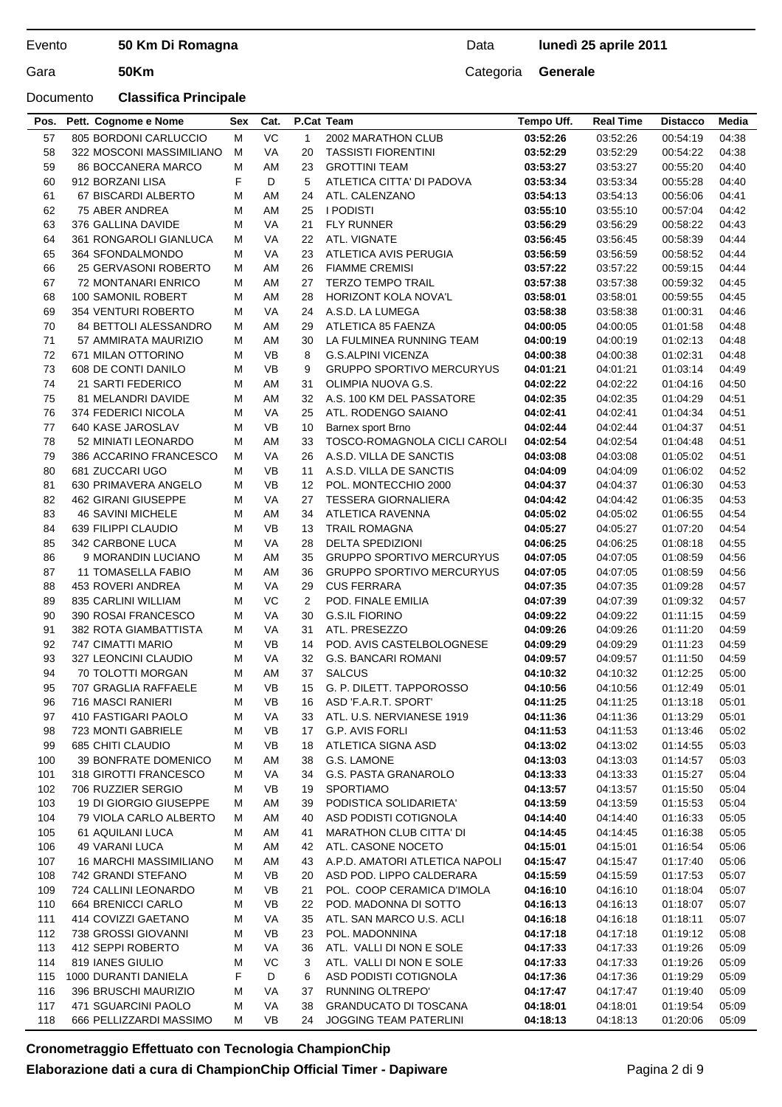### Documento **Classifica Principale**

#### Data **lunedì 25 aprile 2011**

| VC<br>805 BORDONI CARLUCCIO<br>M<br>$\mathbf{1}$<br>03:52:26<br>04:38<br>57<br>2002 MARATHON CLUB<br>03:52:26<br>00:54:19<br>58<br>322 MOSCONI MASSIMILIANO<br>M<br>VA<br>20<br>03:52:29<br>04:38<br><b>TASSISTI FIORENTINI</b><br>03:52:29<br>00:54:22<br>04:40<br>59<br><b>86 BOCCANERA MARCO</b><br>М<br>AM<br>23<br><b>GROTTINI TEAM</b><br>03:53:27<br>03:53:27<br>00:55:20<br>F<br>D<br>5<br>ATLETICA CITTA' DI PADOVA<br>03:53:34<br>03:53:34<br>04:40<br>60<br>912 BORZANI LISA<br>00:55:28<br>67 BISCARDI ALBERTO<br>04:41<br>61<br>М<br>AM<br>24<br>ATL. CALENZANO<br>03:54:13<br>03:54:13<br>00:56:06<br>M<br>AM<br><b>I PODISTI</b><br>04:42<br>62<br>75 ABER ANDREA<br>25<br>03:55:10<br>03:55:10<br>00:57:04<br>63<br>M<br>VA<br>21<br><b>FLY RUNNER</b><br>03:56:29<br>03:56:29<br>04:43<br>376 GALLINA DAVIDE<br>00:58:22<br>64<br>M<br>VA<br>22<br>ATL. VIGNATE<br>04:44<br>361 RONGAROLI GIANLUCA<br>03:56:45<br>03:56:45<br>00:58:39<br>65<br><b>VA</b><br>04:44<br>364 SFONDALMONDO<br>м<br>23<br>ATLETICA AVIS PERUGIA<br>03:56:59<br>03:56:59<br>00:58:52<br>66<br><b>FIAMME CREMISI</b><br>03:57:22<br>04:44<br>25 GERVASONI ROBERTO<br>М<br>AM<br>26<br>03:57:22<br>00:59:15<br>67<br><b>TERZO TEMPO TRAIL</b><br>04:45<br><b>72 MONTANARI ENRICO</b><br>М<br>AM<br>27<br>03:57:38<br>03:57:38<br>00:59:32<br>M<br>AM<br>68<br>100 SAMONIL ROBERT<br>28<br>HORIZONT KOLA NOVA'L<br>03:58:01<br>03:58:01<br>00:59:55<br>04:45<br>69<br>M<br>VA<br>03:58:38<br>04:46<br>354 VENTURI ROBERTO<br>24<br>A.S.D. LA LUMEGA<br>03:58:38<br>01:00:31<br>M<br>04:48<br>70<br>84 BETTOLI ALESSANDRO<br>AM<br>29<br>ATLETICA 85 FAENZA<br>04:00:05<br>04:00:05<br>01:01:58<br>04:48<br>71<br>57 AMMIRATA MAURIZIO<br>М<br>AM<br>30<br>LA FULMINEA RUNNING TEAM<br>04:00:19<br>04:00:19<br>01:02:13<br>72<br><b>VB</b><br>04:48<br>671 MILAN OTTORINO<br>М<br>8<br><b>G.S.ALPINI VICENZA</b><br>04:00:38<br>04:00:38<br>01:02:31<br>73<br>608 DE CONTI DANILO<br><b>VB</b><br><b>GRUPPO SPORTIVO MERCURYUS</b><br>04:49<br>М<br>9<br>04:01:21<br>04:01:21<br>01:03:14<br>74<br>21 SARTI FEDERICO<br>M<br>AM<br>31<br>OLIMPIA NUOVA G.S.<br>04:02:22<br>04:02:22<br>01:04:16<br>04:50<br>75<br>M<br>AM<br>04:51<br>81 MELANDRI DAVIDE<br>32<br>A.S. 100 KM DEL PASSATORE<br>04:02:35<br>04:02:35<br>01:04:29<br>76<br>374 FEDERICI NICOLA<br>M<br>VA<br>04:02:41<br>04:51<br>25<br>ATL. RODENGO SAIANO<br>04:02:41<br>01:04:34<br>77<br>640 KASE JAROSLAV<br><b>VB</b><br>04:02:44<br>04:51<br>М<br>10<br>Barnex sport Brno<br>04:02:44<br>01:04:37<br>78<br>04:51<br>52 MINIATI LEONARDO<br>М<br>AM<br>33<br>TOSCO-ROMAGNOLA CICLI CAROLI<br>04:02:54<br>04:02:54<br>01:04:48<br>04:51<br>79<br>386 ACCARINO FRANCESCO<br>М<br>VA<br>26<br>A.S.D. VILLA DE SANCTIS<br>04:03:08<br>04:03:08<br>01:05:02<br>M<br><b>VB</b><br>04:52<br>80<br>681 ZUCCARI UGO<br>11<br>A.S.D. VILLA DE SANCTIS<br>04:04:09<br>04:04:09<br>01:06:02<br>81<br>M<br><b>VB</b><br>04:53<br>630 PRIMAVERA ANGELO<br>12<br>POL. MONTECCHIO 2000<br>04:04:37<br>04:04:37<br>01:06:30<br>82<br>M<br><b>VA</b><br>04:53<br><b>462 GIRANI GIUSEPPE</b><br>27<br><b>TESSERA GIORNALIERA</b><br>04:04:42<br>04:04:42<br>01:06:35<br>83<br>04:54<br><b>46 SAVINI MICHELE</b><br>М<br>AM<br>34<br>ATLETICA RAVENNA<br>04:05:02<br>04:05:02<br>01:06:55<br><b>VB</b><br>04:54<br>84<br>639 FILIPPI CLAUDIO<br>М<br><b>TRAIL ROMAGNA</b><br>04:05:27<br>04:05:27<br>01:07:20<br>13<br>VA<br><b>DELTA SPEDIZIONI</b><br>04:55<br>85<br>342 CARBONE LUCA<br>М<br>28<br>04:06:25<br>04:06:25<br>01:08:18<br>AM<br>35<br>86<br>9 MORANDIN LUCIANO<br>М<br><b>GRUPPO SPORTIVO MERCURYUS</b><br>04:07:05<br>04:07:05<br>01:08:59<br>04:56<br>11 TOMASELLA FABIO<br>M<br>AM<br>36<br><b>GRUPPO SPORTIVO MERCURYUS</b><br>04:56<br>87<br>04:07:05<br>04:07:05<br>01:08:59<br>453 ROVERI ANDREA<br>M<br>VA<br><b>CUS FERRARA</b><br>04:57<br>88<br>29<br>04:07:35<br>04:07:35<br>01:09:28<br>89<br>VC<br>$\overline{2}$<br>04:07:39<br>835 CARLINI WILLIAM<br>М<br>POD. FINALE EMILIA<br>04:07:39<br>01:09:32<br>04:57<br>90<br>VA<br><b>G.S.IL FIORINO</b><br>04:59<br>390 ROSAI FRANCESCO<br>М<br>30<br>04:09:22<br>04:09:22<br>01:11:15<br>ATL. PRESEZZO<br>91<br><b>382 ROTA GIAMBATTISTA</b><br>М<br>VA<br>31<br>04:09:26<br>04:09:26<br>01:11:20<br>04:59<br>92<br>M<br><b>VB</b><br>747 CIMATTI MARIO<br>14<br>POD. AVIS CASTELBOLOGNESE<br>04:09:29<br>04:09:29<br>01:11:23<br>04:59<br>93<br>VA<br><b>G.S. BANCARI ROMANI</b><br>327 LEONCINI CLAUDIO<br>М<br>32<br>04:09:57<br>04:09:57<br>01:11:50<br>04:59<br>94<br><b>SALCUS</b><br>70 TOLOTTI MORGAN<br>М<br>AM<br>37<br>04:10:32<br>01:12:25<br>05:00<br>04:10:32<br>95<br><b>VB</b><br>707 GRAGLIA RAFFAELE<br>М<br>15<br>G. P. DILETT. TAPPOROSSO<br>04:10:56<br>04:10:56<br>01:12:49<br>05:01<br>96<br>716 MASCI RANIERI<br>M<br><b>VB</b><br>ASD 'F.A.R.T. SPORT'<br>04:11:25<br>04:11:25<br>01:13:18<br>05:01<br>16<br>97<br>410 FASTIGARI PAOLO<br>ATL. U.S. NERVIANESE 1919<br>04:11:36<br>04:11:36<br>05:01<br>М<br>VA<br>33<br>01:13:29<br>98<br>723 MONTI GABRIELE<br>M<br>VB<br>17<br>G.P. AVIS FORLI<br>04:11:53<br>04:11:53<br>05:02<br>01:13:46<br>VB<br>99<br>685 CHITI CLAUDIO<br>18<br>ATLETICA SIGNA ASD<br>04:13:02<br>05:03<br>M<br>04:13:02<br>01:14:55<br><b>39 BONFRATE DOMENICO</b><br>G.S. LAMONE<br>04:13:03<br>05:03<br>100<br>м<br>AM<br>38<br>04:13:03<br>01:14:57<br>101<br>318 GIROTTI FRANCESCO<br>VA<br>G.S. PASTA GRANAROLO<br>04:13:33<br>04:13:33<br>05:04<br>M<br>34<br>01:15:27<br>102<br>706 RUZZIER SERGIO<br>VB<br><b>SPORTIAMO</b><br>04:13:57<br>05:04<br>M<br>19<br>04:13:57<br>01:15:50<br>103<br>19 DI GIORGIO GIUSEPPE<br>PODISTICA SOLIDARIETA'<br>04:13:59<br>05:04<br>M<br>AM<br>39<br>04:13:59<br>01:15:53<br>104<br><b>79 VIOLA CARLO ALBERTO</b><br>M<br>AM<br>40<br>ASD PODISTI COTIGNOLA<br>04:14:40<br>04:14:40<br>05:05<br>01:16:33<br><b>MARATHON CLUB CITTA' DI</b><br>105<br>61 AQUILANI LUCA<br>M<br>AM<br>41<br>04:14:45<br>04:14:45<br>05:05<br>01:16:38<br>106<br>49 VARANI LUCA<br>ATL. CASONE NOCETO<br>04:15:01<br>05:06<br>м<br>AM<br>42<br>04:15:01<br>01:16:54<br>107<br><b>16 MARCHI MASSIMILIANO</b><br>М<br>AM<br>A.P.D. AMATORI ATLETICA NAPOLI<br>04:15:47<br>05:06<br>43<br>04:15:47<br>01:17:40<br>742 GRANDI STEFANO<br>ASD POD. LIPPO CALDERARA<br>108<br>М<br>VB<br>04:15:59<br>01:17:53<br>05:07<br>20<br>04:15:59<br>109<br>724 CALLINI LEONARDO<br>VB<br>POL. COOP CERAMICA D'IMOLA<br>04:16:10<br>05:07<br>M<br>21<br>04:16:10<br>01:18:04<br>110<br>664 BRENICCI CARLO<br>М<br>VB<br>22<br>POD. MADONNA DI SOTTO<br>05:07<br>04:16:13<br>04:16:13<br>01:18:07<br>414 COVIZZI GAETANO<br>111<br>VA<br>35<br>ATL. SAN MARCO U.S. ACLI<br>04:16:18<br>05:07<br>М<br>04:16:18<br>01:18:11<br>112<br>738 GROSSI GIOVANNI<br>VB<br>23<br>POL. MADONNINA<br>04:17:18<br>05:08<br>М<br>04:17:18<br>01:19:12<br>113<br>412 SEPPI ROBERTO<br>VA<br>ATL. VALLI DI NON E SOLE<br>04:17:33<br>05:09<br>М<br>36<br>04:17:33<br>01:19:26<br>819 IANES GIULIO<br>VC<br>114<br>3<br>ATL. VALLI DI NON E SOLE<br>04:17:33<br>04:17:33<br>05:09<br>М<br>01:19:26<br>F<br>115<br>1000 DURANTI DANIELA<br>D<br>ASD PODISTI COTIGNOLA<br>04:17:36<br>6<br>04:17:36<br>01:19:29<br>05:09<br>116<br>396 BRUSCHI MAURIZIO<br>VA<br><b>RUNNING OLTREPO'</b><br>05:09<br>М<br>37<br>04:17:47<br>04:17:47<br>01:19:40<br>471 SGUARCINI PAOLO<br><b>GRANDUCATO DI TOSCANA</b><br>117<br>М<br>VA<br>38<br>04:18:01<br>04:18:01<br>05:09<br>01:19:54<br>118<br>666 PELLIZZARDI MASSIMO<br>М<br>VB<br>JOGGING TEAM PATERLINI<br>04:18:13<br>04:18:13<br>24<br>01:20:06<br>05:09 | Pos. | Pett. Cognome e Nome | Sex | Cat. | P.Cat Team | Tempo Uff. | <b>Real Time</b> | <b>Distacco</b> | Media |
|--------------------------------------------------------------------------------------------------------------------------------------------------------------------------------------------------------------------------------------------------------------------------------------------------------------------------------------------------------------------------------------------------------------------------------------------------------------------------------------------------------------------------------------------------------------------------------------------------------------------------------------------------------------------------------------------------------------------------------------------------------------------------------------------------------------------------------------------------------------------------------------------------------------------------------------------------------------------------------------------------------------------------------------------------------------------------------------------------------------------------------------------------------------------------------------------------------------------------------------------------------------------------------------------------------------------------------------------------------------------------------------------------------------------------------------------------------------------------------------------------------------------------------------------------------------------------------------------------------------------------------------------------------------------------------------------------------------------------------------------------------------------------------------------------------------------------------------------------------------------------------------------------------------------------------------------------------------------------------------------------------------------------------------------------------------------------------------------------------------------------------------------------------------------------------------------------------------------------------------------------------------------------------------------------------------------------------------------------------------------------------------------------------------------------------------------------------------------------------------------------------------------------------------------------------------------------------------------------------------------------------------------------------------------------------------------------------------------------------------------------------------------------------------------------------------------------------------------------------------------------------------------------------------------------------------------------------------------------------------------------------------------------------------------------------------------------------------------------------------------------------------------------------------------------------------------------------------------------------------------------------------------------------------------------------------------------------------------------------------------------------------------------------------------------------------------------------------------------------------------------------------------------------------------------------------------------------------------------------------------------------------------------------------------------------------------------------------------------------------------------------------------------------------------------------------------------------------------------------------------------------------------------------------------------------------------------------------------------------------------------------------------------------------------------------------------------------------------------------------------------------------------------------------------------------------------------------------------------------------------------------------------------------------------------------------------------------------------------------------------------------------------------------------------------------------------------------------------------------------------------------------------------------------------------------------------------------------------------------------------------------------------------------------------------------------------------------------------------------------------------------------------------------------------------------------------------------------------------------------------------------------------------------------------------------------------------------------------------------------------------------------------------------------------------------------------------------------------------------------------------------------------------------------------------------------------------------------------------------------------------------------------------------------------------------------------------------------------------------------------------------------------------------------------------------------------------------------------------------------------------------------------------------------------------------------------------------------------------------------------------------------------------------------------------------------------------------------------------------------------------------------------------------------------------------------------------------------------------------------------------------------------------------------------------------------------------------------------------------------------------------------------------------------------------------------------------------------------------------------------------------------------------------------------------------------------------------------------------------------------------------------------------------------------------------------------------------------------------------------------------------------------------------------------------------------------------------------------------------------------------------------------------------------------------------------------------------------------------------------------------------------------------------------------------------------------------------------------------------------------------------------------------------------------------------------------------------------------------------------------------------------------------------------------------------------------------------------------------------------------------------------------------------------------------------------------------------------------------------------------------------------------------------------------------------------------------------------------------------------------------------------------------------------------------------------------------------------------------------------------------------------------------------------------------------------------------------------------------------------------------------------------------------------------------------------------------------------------------------------------------------------------------------------------|------|----------------------|-----|------|------------|------------|------------------|-----------------|-------|
|                                                                                                                                                                                                                                                                                                                                                                                                                                                                                                                                                                                                                                                                                                                                                                                                                                                                                                                                                                                                                                                                                                                                                                                                                                                                                                                                                                                                                                                                                                                                                                                                                                                                                                                                                                                                                                                                                                                                                                                                                                                                                                                                                                                                                                                                                                                                                                                                                                                                                                                                                                                                                                                                                                                                                                                                                                                                                                                                                                                                                                                                                                                                                                                                                                                                                                                                                                                                                                                                                                                                                                                                                                                                                                                                                                                                                                                                                                                                                                                                                                                                                                                                                                                                                                                                                                                                                                                                                                                                                                                                                                                                                                                                                                                                                                                                                                                                                                                                                                                                                                                                                                                                                                                                                                                                                                                                                                                                                                                                                                                                                                                                                                                                                                                                                                                                                                                                                                                                                                                                                                                                                                                                                                                                                                                                                                                                                                                                                                                                                                                                                                                                                                                                                                                                                                                                                                                                                                                                                                                                                                                                                                                                                                                                                                                                                                                                                                                                                                                                                                                                                                                                                                                                    |      |                      |     |      |            |            |                  |                 |       |
|                                                                                                                                                                                                                                                                                                                                                                                                                                                                                                                                                                                                                                                                                                                                                                                                                                                                                                                                                                                                                                                                                                                                                                                                                                                                                                                                                                                                                                                                                                                                                                                                                                                                                                                                                                                                                                                                                                                                                                                                                                                                                                                                                                                                                                                                                                                                                                                                                                                                                                                                                                                                                                                                                                                                                                                                                                                                                                                                                                                                                                                                                                                                                                                                                                                                                                                                                                                                                                                                                                                                                                                                                                                                                                                                                                                                                                                                                                                                                                                                                                                                                                                                                                                                                                                                                                                                                                                                                                                                                                                                                                                                                                                                                                                                                                                                                                                                                                                                                                                                                                                                                                                                                                                                                                                                                                                                                                                                                                                                                                                                                                                                                                                                                                                                                                                                                                                                                                                                                                                                                                                                                                                                                                                                                                                                                                                                                                                                                                                                                                                                                                                                                                                                                                                                                                                                                                                                                                                                                                                                                                                                                                                                                                                                                                                                                                                                                                                                                                                                                                                                                                                                                                                                    |      |                      |     |      |            |            |                  |                 |       |
|                                                                                                                                                                                                                                                                                                                                                                                                                                                                                                                                                                                                                                                                                                                                                                                                                                                                                                                                                                                                                                                                                                                                                                                                                                                                                                                                                                                                                                                                                                                                                                                                                                                                                                                                                                                                                                                                                                                                                                                                                                                                                                                                                                                                                                                                                                                                                                                                                                                                                                                                                                                                                                                                                                                                                                                                                                                                                                                                                                                                                                                                                                                                                                                                                                                                                                                                                                                                                                                                                                                                                                                                                                                                                                                                                                                                                                                                                                                                                                                                                                                                                                                                                                                                                                                                                                                                                                                                                                                                                                                                                                                                                                                                                                                                                                                                                                                                                                                                                                                                                                                                                                                                                                                                                                                                                                                                                                                                                                                                                                                                                                                                                                                                                                                                                                                                                                                                                                                                                                                                                                                                                                                                                                                                                                                                                                                                                                                                                                                                                                                                                                                                                                                                                                                                                                                                                                                                                                                                                                                                                                                                                                                                                                                                                                                                                                                                                                                                                                                                                                                                                                                                                                                                    |      |                      |     |      |            |            |                  |                 |       |
|                                                                                                                                                                                                                                                                                                                                                                                                                                                                                                                                                                                                                                                                                                                                                                                                                                                                                                                                                                                                                                                                                                                                                                                                                                                                                                                                                                                                                                                                                                                                                                                                                                                                                                                                                                                                                                                                                                                                                                                                                                                                                                                                                                                                                                                                                                                                                                                                                                                                                                                                                                                                                                                                                                                                                                                                                                                                                                                                                                                                                                                                                                                                                                                                                                                                                                                                                                                                                                                                                                                                                                                                                                                                                                                                                                                                                                                                                                                                                                                                                                                                                                                                                                                                                                                                                                                                                                                                                                                                                                                                                                                                                                                                                                                                                                                                                                                                                                                                                                                                                                                                                                                                                                                                                                                                                                                                                                                                                                                                                                                                                                                                                                                                                                                                                                                                                                                                                                                                                                                                                                                                                                                                                                                                                                                                                                                                                                                                                                                                                                                                                                                                                                                                                                                                                                                                                                                                                                                                                                                                                                                                                                                                                                                                                                                                                                                                                                                                                                                                                                                                                                                                                                                                    |      |                      |     |      |            |            |                  |                 |       |
|                                                                                                                                                                                                                                                                                                                                                                                                                                                                                                                                                                                                                                                                                                                                                                                                                                                                                                                                                                                                                                                                                                                                                                                                                                                                                                                                                                                                                                                                                                                                                                                                                                                                                                                                                                                                                                                                                                                                                                                                                                                                                                                                                                                                                                                                                                                                                                                                                                                                                                                                                                                                                                                                                                                                                                                                                                                                                                                                                                                                                                                                                                                                                                                                                                                                                                                                                                                                                                                                                                                                                                                                                                                                                                                                                                                                                                                                                                                                                                                                                                                                                                                                                                                                                                                                                                                                                                                                                                                                                                                                                                                                                                                                                                                                                                                                                                                                                                                                                                                                                                                                                                                                                                                                                                                                                                                                                                                                                                                                                                                                                                                                                                                                                                                                                                                                                                                                                                                                                                                                                                                                                                                                                                                                                                                                                                                                                                                                                                                                                                                                                                                                                                                                                                                                                                                                                                                                                                                                                                                                                                                                                                                                                                                                                                                                                                                                                                                                                                                                                                                                                                                                                                                                    |      |                      |     |      |            |            |                  |                 |       |
|                                                                                                                                                                                                                                                                                                                                                                                                                                                                                                                                                                                                                                                                                                                                                                                                                                                                                                                                                                                                                                                                                                                                                                                                                                                                                                                                                                                                                                                                                                                                                                                                                                                                                                                                                                                                                                                                                                                                                                                                                                                                                                                                                                                                                                                                                                                                                                                                                                                                                                                                                                                                                                                                                                                                                                                                                                                                                                                                                                                                                                                                                                                                                                                                                                                                                                                                                                                                                                                                                                                                                                                                                                                                                                                                                                                                                                                                                                                                                                                                                                                                                                                                                                                                                                                                                                                                                                                                                                                                                                                                                                                                                                                                                                                                                                                                                                                                                                                                                                                                                                                                                                                                                                                                                                                                                                                                                                                                                                                                                                                                                                                                                                                                                                                                                                                                                                                                                                                                                                                                                                                                                                                                                                                                                                                                                                                                                                                                                                                                                                                                                                                                                                                                                                                                                                                                                                                                                                                                                                                                                                                                                                                                                                                                                                                                                                                                                                                                                                                                                                                                                                                                                                                                    |      |                      |     |      |            |            |                  |                 |       |
|                                                                                                                                                                                                                                                                                                                                                                                                                                                                                                                                                                                                                                                                                                                                                                                                                                                                                                                                                                                                                                                                                                                                                                                                                                                                                                                                                                                                                                                                                                                                                                                                                                                                                                                                                                                                                                                                                                                                                                                                                                                                                                                                                                                                                                                                                                                                                                                                                                                                                                                                                                                                                                                                                                                                                                                                                                                                                                                                                                                                                                                                                                                                                                                                                                                                                                                                                                                                                                                                                                                                                                                                                                                                                                                                                                                                                                                                                                                                                                                                                                                                                                                                                                                                                                                                                                                                                                                                                                                                                                                                                                                                                                                                                                                                                                                                                                                                                                                                                                                                                                                                                                                                                                                                                                                                                                                                                                                                                                                                                                                                                                                                                                                                                                                                                                                                                                                                                                                                                                                                                                                                                                                                                                                                                                                                                                                                                                                                                                                                                                                                                                                                                                                                                                                                                                                                                                                                                                                                                                                                                                                                                                                                                                                                                                                                                                                                                                                                                                                                                                                                                                                                                                                                    |      |                      |     |      |            |            |                  |                 |       |
|                                                                                                                                                                                                                                                                                                                                                                                                                                                                                                                                                                                                                                                                                                                                                                                                                                                                                                                                                                                                                                                                                                                                                                                                                                                                                                                                                                                                                                                                                                                                                                                                                                                                                                                                                                                                                                                                                                                                                                                                                                                                                                                                                                                                                                                                                                                                                                                                                                                                                                                                                                                                                                                                                                                                                                                                                                                                                                                                                                                                                                                                                                                                                                                                                                                                                                                                                                                                                                                                                                                                                                                                                                                                                                                                                                                                                                                                                                                                                                                                                                                                                                                                                                                                                                                                                                                                                                                                                                                                                                                                                                                                                                                                                                                                                                                                                                                                                                                                                                                                                                                                                                                                                                                                                                                                                                                                                                                                                                                                                                                                                                                                                                                                                                                                                                                                                                                                                                                                                                                                                                                                                                                                                                                                                                                                                                                                                                                                                                                                                                                                                                                                                                                                                                                                                                                                                                                                                                                                                                                                                                                                                                                                                                                                                                                                                                                                                                                                                                                                                                                                                                                                                                                                    |      |                      |     |      |            |            |                  |                 |       |
|                                                                                                                                                                                                                                                                                                                                                                                                                                                                                                                                                                                                                                                                                                                                                                                                                                                                                                                                                                                                                                                                                                                                                                                                                                                                                                                                                                                                                                                                                                                                                                                                                                                                                                                                                                                                                                                                                                                                                                                                                                                                                                                                                                                                                                                                                                                                                                                                                                                                                                                                                                                                                                                                                                                                                                                                                                                                                                                                                                                                                                                                                                                                                                                                                                                                                                                                                                                                                                                                                                                                                                                                                                                                                                                                                                                                                                                                                                                                                                                                                                                                                                                                                                                                                                                                                                                                                                                                                                                                                                                                                                                                                                                                                                                                                                                                                                                                                                                                                                                                                                                                                                                                                                                                                                                                                                                                                                                                                                                                                                                                                                                                                                                                                                                                                                                                                                                                                                                                                                                                                                                                                                                                                                                                                                                                                                                                                                                                                                                                                                                                                                                                                                                                                                                                                                                                                                                                                                                                                                                                                                                                                                                                                                                                                                                                                                                                                                                                                                                                                                                                                                                                                                                                    |      |                      |     |      |            |            |                  |                 |       |
|                                                                                                                                                                                                                                                                                                                                                                                                                                                                                                                                                                                                                                                                                                                                                                                                                                                                                                                                                                                                                                                                                                                                                                                                                                                                                                                                                                                                                                                                                                                                                                                                                                                                                                                                                                                                                                                                                                                                                                                                                                                                                                                                                                                                                                                                                                                                                                                                                                                                                                                                                                                                                                                                                                                                                                                                                                                                                                                                                                                                                                                                                                                                                                                                                                                                                                                                                                                                                                                                                                                                                                                                                                                                                                                                                                                                                                                                                                                                                                                                                                                                                                                                                                                                                                                                                                                                                                                                                                                                                                                                                                                                                                                                                                                                                                                                                                                                                                                                                                                                                                                                                                                                                                                                                                                                                                                                                                                                                                                                                                                                                                                                                                                                                                                                                                                                                                                                                                                                                                                                                                                                                                                                                                                                                                                                                                                                                                                                                                                                                                                                                                                                                                                                                                                                                                                                                                                                                                                                                                                                                                                                                                                                                                                                                                                                                                                                                                                                                                                                                                                                                                                                                                                                    |      |                      |     |      |            |            |                  |                 |       |
|                                                                                                                                                                                                                                                                                                                                                                                                                                                                                                                                                                                                                                                                                                                                                                                                                                                                                                                                                                                                                                                                                                                                                                                                                                                                                                                                                                                                                                                                                                                                                                                                                                                                                                                                                                                                                                                                                                                                                                                                                                                                                                                                                                                                                                                                                                                                                                                                                                                                                                                                                                                                                                                                                                                                                                                                                                                                                                                                                                                                                                                                                                                                                                                                                                                                                                                                                                                                                                                                                                                                                                                                                                                                                                                                                                                                                                                                                                                                                                                                                                                                                                                                                                                                                                                                                                                                                                                                                                                                                                                                                                                                                                                                                                                                                                                                                                                                                                                                                                                                                                                                                                                                                                                                                                                                                                                                                                                                                                                                                                                                                                                                                                                                                                                                                                                                                                                                                                                                                                                                                                                                                                                                                                                                                                                                                                                                                                                                                                                                                                                                                                                                                                                                                                                                                                                                                                                                                                                                                                                                                                                                                                                                                                                                                                                                                                                                                                                                                                                                                                                                                                                                                                                                    |      |                      |     |      |            |            |                  |                 |       |
|                                                                                                                                                                                                                                                                                                                                                                                                                                                                                                                                                                                                                                                                                                                                                                                                                                                                                                                                                                                                                                                                                                                                                                                                                                                                                                                                                                                                                                                                                                                                                                                                                                                                                                                                                                                                                                                                                                                                                                                                                                                                                                                                                                                                                                                                                                                                                                                                                                                                                                                                                                                                                                                                                                                                                                                                                                                                                                                                                                                                                                                                                                                                                                                                                                                                                                                                                                                                                                                                                                                                                                                                                                                                                                                                                                                                                                                                                                                                                                                                                                                                                                                                                                                                                                                                                                                                                                                                                                                                                                                                                                                                                                                                                                                                                                                                                                                                                                                                                                                                                                                                                                                                                                                                                                                                                                                                                                                                                                                                                                                                                                                                                                                                                                                                                                                                                                                                                                                                                                                                                                                                                                                                                                                                                                                                                                                                                                                                                                                                                                                                                                                                                                                                                                                                                                                                                                                                                                                                                                                                                                                                                                                                                                                                                                                                                                                                                                                                                                                                                                                                                                                                                                                                    |      |                      |     |      |            |            |                  |                 |       |
|                                                                                                                                                                                                                                                                                                                                                                                                                                                                                                                                                                                                                                                                                                                                                                                                                                                                                                                                                                                                                                                                                                                                                                                                                                                                                                                                                                                                                                                                                                                                                                                                                                                                                                                                                                                                                                                                                                                                                                                                                                                                                                                                                                                                                                                                                                                                                                                                                                                                                                                                                                                                                                                                                                                                                                                                                                                                                                                                                                                                                                                                                                                                                                                                                                                                                                                                                                                                                                                                                                                                                                                                                                                                                                                                                                                                                                                                                                                                                                                                                                                                                                                                                                                                                                                                                                                                                                                                                                                                                                                                                                                                                                                                                                                                                                                                                                                                                                                                                                                                                                                                                                                                                                                                                                                                                                                                                                                                                                                                                                                                                                                                                                                                                                                                                                                                                                                                                                                                                                                                                                                                                                                                                                                                                                                                                                                                                                                                                                                                                                                                                                                                                                                                                                                                                                                                                                                                                                                                                                                                                                                                                                                                                                                                                                                                                                                                                                                                                                                                                                                                                                                                                                                                    |      |                      |     |      |            |            |                  |                 |       |
|                                                                                                                                                                                                                                                                                                                                                                                                                                                                                                                                                                                                                                                                                                                                                                                                                                                                                                                                                                                                                                                                                                                                                                                                                                                                                                                                                                                                                                                                                                                                                                                                                                                                                                                                                                                                                                                                                                                                                                                                                                                                                                                                                                                                                                                                                                                                                                                                                                                                                                                                                                                                                                                                                                                                                                                                                                                                                                                                                                                                                                                                                                                                                                                                                                                                                                                                                                                                                                                                                                                                                                                                                                                                                                                                                                                                                                                                                                                                                                                                                                                                                                                                                                                                                                                                                                                                                                                                                                                                                                                                                                                                                                                                                                                                                                                                                                                                                                                                                                                                                                                                                                                                                                                                                                                                                                                                                                                                                                                                                                                                                                                                                                                                                                                                                                                                                                                                                                                                                                                                                                                                                                                                                                                                                                                                                                                                                                                                                                                                                                                                                                                                                                                                                                                                                                                                                                                                                                                                                                                                                                                                                                                                                                                                                                                                                                                                                                                                                                                                                                                                                                                                                                                                    |      |                      |     |      |            |            |                  |                 |       |
|                                                                                                                                                                                                                                                                                                                                                                                                                                                                                                                                                                                                                                                                                                                                                                                                                                                                                                                                                                                                                                                                                                                                                                                                                                                                                                                                                                                                                                                                                                                                                                                                                                                                                                                                                                                                                                                                                                                                                                                                                                                                                                                                                                                                                                                                                                                                                                                                                                                                                                                                                                                                                                                                                                                                                                                                                                                                                                                                                                                                                                                                                                                                                                                                                                                                                                                                                                                                                                                                                                                                                                                                                                                                                                                                                                                                                                                                                                                                                                                                                                                                                                                                                                                                                                                                                                                                                                                                                                                                                                                                                                                                                                                                                                                                                                                                                                                                                                                                                                                                                                                                                                                                                                                                                                                                                                                                                                                                                                                                                                                                                                                                                                                                                                                                                                                                                                                                                                                                                                                                                                                                                                                                                                                                                                                                                                                                                                                                                                                                                                                                                                                                                                                                                                                                                                                                                                                                                                                                                                                                                                                                                                                                                                                                                                                                                                                                                                                                                                                                                                                                                                                                                                                                    |      |                      |     |      |            |            |                  |                 |       |
|                                                                                                                                                                                                                                                                                                                                                                                                                                                                                                                                                                                                                                                                                                                                                                                                                                                                                                                                                                                                                                                                                                                                                                                                                                                                                                                                                                                                                                                                                                                                                                                                                                                                                                                                                                                                                                                                                                                                                                                                                                                                                                                                                                                                                                                                                                                                                                                                                                                                                                                                                                                                                                                                                                                                                                                                                                                                                                                                                                                                                                                                                                                                                                                                                                                                                                                                                                                                                                                                                                                                                                                                                                                                                                                                                                                                                                                                                                                                                                                                                                                                                                                                                                                                                                                                                                                                                                                                                                                                                                                                                                                                                                                                                                                                                                                                                                                                                                                                                                                                                                                                                                                                                                                                                                                                                                                                                                                                                                                                                                                                                                                                                                                                                                                                                                                                                                                                                                                                                                                                                                                                                                                                                                                                                                                                                                                                                                                                                                                                                                                                                                                                                                                                                                                                                                                                                                                                                                                                                                                                                                                                                                                                                                                                                                                                                                                                                                                                                                                                                                                                                                                                                                                                    |      |                      |     |      |            |            |                  |                 |       |
|                                                                                                                                                                                                                                                                                                                                                                                                                                                                                                                                                                                                                                                                                                                                                                                                                                                                                                                                                                                                                                                                                                                                                                                                                                                                                                                                                                                                                                                                                                                                                                                                                                                                                                                                                                                                                                                                                                                                                                                                                                                                                                                                                                                                                                                                                                                                                                                                                                                                                                                                                                                                                                                                                                                                                                                                                                                                                                                                                                                                                                                                                                                                                                                                                                                                                                                                                                                                                                                                                                                                                                                                                                                                                                                                                                                                                                                                                                                                                                                                                                                                                                                                                                                                                                                                                                                                                                                                                                                                                                                                                                                                                                                                                                                                                                                                                                                                                                                                                                                                                                                                                                                                                                                                                                                                                                                                                                                                                                                                                                                                                                                                                                                                                                                                                                                                                                                                                                                                                                                                                                                                                                                                                                                                                                                                                                                                                                                                                                                                                                                                                                                                                                                                                                                                                                                                                                                                                                                                                                                                                                                                                                                                                                                                                                                                                                                                                                                                                                                                                                                                                                                                                                                                    |      |                      |     |      |            |            |                  |                 |       |
|                                                                                                                                                                                                                                                                                                                                                                                                                                                                                                                                                                                                                                                                                                                                                                                                                                                                                                                                                                                                                                                                                                                                                                                                                                                                                                                                                                                                                                                                                                                                                                                                                                                                                                                                                                                                                                                                                                                                                                                                                                                                                                                                                                                                                                                                                                                                                                                                                                                                                                                                                                                                                                                                                                                                                                                                                                                                                                                                                                                                                                                                                                                                                                                                                                                                                                                                                                                                                                                                                                                                                                                                                                                                                                                                                                                                                                                                                                                                                                                                                                                                                                                                                                                                                                                                                                                                                                                                                                                                                                                                                                                                                                                                                                                                                                                                                                                                                                                                                                                                                                                                                                                                                                                                                                                                                                                                                                                                                                                                                                                                                                                                                                                                                                                                                                                                                                                                                                                                                                                                                                                                                                                                                                                                                                                                                                                                                                                                                                                                                                                                                                                                                                                                                                                                                                                                                                                                                                                                                                                                                                                                                                                                                                                                                                                                                                                                                                                                                                                                                                                                                                                                                                                                    |      |                      |     |      |            |            |                  |                 |       |
|                                                                                                                                                                                                                                                                                                                                                                                                                                                                                                                                                                                                                                                                                                                                                                                                                                                                                                                                                                                                                                                                                                                                                                                                                                                                                                                                                                                                                                                                                                                                                                                                                                                                                                                                                                                                                                                                                                                                                                                                                                                                                                                                                                                                                                                                                                                                                                                                                                                                                                                                                                                                                                                                                                                                                                                                                                                                                                                                                                                                                                                                                                                                                                                                                                                                                                                                                                                                                                                                                                                                                                                                                                                                                                                                                                                                                                                                                                                                                                                                                                                                                                                                                                                                                                                                                                                                                                                                                                                                                                                                                                                                                                                                                                                                                                                                                                                                                                                                                                                                                                                                                                                                                                                                                                                                                                                                                                                                                                                                                                                                                                                                                                                                                                                                                                                                                                                                                                                                                                                                                                                                                                                                                                                                                                                                                                                                                                                                                                                                                                                                                                                                                                                                                                                                                                                                                                                                                                                                                                                                                                                                                                                                                                                                                                                                                                                                                                                                                                                                                                                                                                                                                                                                    |      |                      |     |      |            |            |                  |                 |       |
|                                                                                                                                                                                                                                                                                                                                                                                                                                                                                                                                                                                                                                                                                                                                                                                                                                                                                                                                                                                                                                                                                                                                                                                                                                                                                                                                                                                                                                                                                                                                                                                                                                                                                                                                                                                                                                                                                                                                                                                                                                                                                                                                                                                                                                                                                                                                                                                                                                                                                                                                                                                                                                                                                                                                                                                                                                                                                                                                                                                                                                                                                                                                                                                                                                                                                                                                                                                                                                                                                                                                                                                                                                                                                                                                                                                                                                                                                                                                                                                                                                                                                                                                                                                                                                                                                                                                                                                                                                                                                                                                                                                                                                                                                                                                                                                                                                                                                                                                                                                                                                                                                                                                                                                                                                                                                                                                                                                                                                                                                                                                                                                                                                                                                                                                                                                                                                                                                                                                                                                                                                                                                                                                                                                                                                                                                                                                                                                                                                                                                                                                                                                                                                                                                                                                                                                                                                                                                                                                                                                                                                                                                                                                                                                                                                                                                                                                                                                                                                                                                                                                                                                                                                                                    |      |                      |     |      |            |            |                  |                 |       |
|                                                                                                                                                                                                                                                                                                                                                                                                                                                                                                                                                                                                                                                                                                                                                                                                                                                                                                                                                                                                                                                                                                                                                                                                                                                                                                                                                                                                                                                                                                                                                                                                                                                                                                                                                                                                                                                                                                                                                                                                                                                                                                                                                                                                                                                                                                                                                                                                                                                                                                                                                                                                                                                                                                                                                                                                                                                                                                                                                                                                                                                                                                                                                                                                                                                                                                                                                                                                                                                                                                                                                                                                                                                                                                                                                                                                                                                                                                                                                                                                                                                                                                                                                                                                                                                                                                                                                                                                                                                                                                                                                                                                                                                                                                                                                                                                                                                                                                                                                                                                                                                                                                                                                                                                                                                                                                                                                                                                                                                                                                                                                                                                                                                                                                                                                                                                                                                                                                                                                                                                                                                                                                                                                                                                                                                                                                                                                                                                                                                                                                                                                                                                                                                                                                                                                                                                                                                                                                                                                                                                                                                                                                                                                                                                                                                                                                                                                                                                                                                                                                                                                                                                                                                                    |      |                      |     |      |            |            |                  |                 |       |
|                                                                                                                                                                                                                                                                                                                                                                                                                                                                                                                                                                                                                                                                                                                                                                                                                                                                                                                                                                                                                                                                                                                                                                                                                                                                                                                                                                                                                                                                                                                                                                                                                                                                                                                                                                                                                                                                                                                                                                                                                                                                                                                                                                                                                                                                                                                                                                                                                                                                                                                                                                                                                                                                                                                                                                                                                                                                                                                                                                                                                                                                                                                                                                                                                                                                                                                                                                                                                                                                                                                                                                                                                                                                                                                                                                                                                                                                                                                                                                                                                                                                                                                                                                                                                                                                                                                                                                                                                                                                                                                                                                                                                                                                                                                                                                                                                                                                                                                                                                                                                                                                                                                                                                                                                                                                                                                                                                                                                                                                                                                                                                                                                                                                                                                                                                                                                                                                                                                                                                                                                                                                                                                                                                                                                                                                                                                                                                                                                                                                                                                                                                                                                                                                                                                                                                                                                                                                                                                                                                                                                                                                                                                                                                                                                                                                                                                                                                                                                                                                                                                                                                                                                                                                    |      |                      |     |      |            |            |                  |                 |       |
|                                                                                                                                                                                                                                                                                                                                                                                                                                                                                                                                                                                                                                                                                                                                                                                                                                                                                                                                                                                                                                                                                                                                                                                                                                                                                                                                                                                                                                                                                                                                                                                                                                                                                                                                                                                                                                                                                                                                                                                                                                                                                                                                                                                                                                                                                                                                                                                                                                                                                                                                                                                                                                                                                                                                                                                                                                                                                                                                                                                                                                                                                                                                                                                                                                                                                                                                                                                                                                                                                                                                                                                                                                                                                                                                                                                                                                                                                                                                                                                                                                                                                                                                                                                                                                                                                                                                                                                                                                                                                                                                                                                                                                                                                                                                                                                                                                                                                                                                                                                                                                                                                                                                                                                                                                                                                                                                                                                                                                                                                                                                                                                                                                                                                                                                                                                                                                                                                                                                                                                                                                                                                                                                                                                                                                                                                                                                                                                                                                                                                                                                                                                                                                                                                                                                                                                                                                                                                                                                                                                                                                                                                                                                                                                                                                                                                                                                                                                                                                                                                                                                                                                                                                                                    |      |                      |     |      |            |            |                  |                 |       |
|                                                                                                                                                                                                                                                                                                                                                                                                                                                                                                                                                                                                                                                                                                                                                                                                                                                                                                                                                                                                                                                                                                                                                                                                                                                                                                                                                                                                                                                                                                                                                                                                                                                                                                                                                                                                                                                                                                                                                                                                                                                                                                                                                                                                                                                                                                                                                                                                                                                                                                                                                                                                                                                                                                                                                                                                                                                                                                                                                                                                                                                                                                                                                                                                                                                                                                                                                                                                                                                                                                                                                                                                                                                                                                                                                                                                                                                                                                                                                                                                                                                                                                                                                                                                                                                                                                                                                                                                                                                                                                                                                                                                                                                                                                                                                                                                                                                                                                                                                                                                                                                                                                                                                                                                                                                                                                                                                                                                                                                                                                                                                                                                                                                                                                                                                                                                                                                                                                                                                                                                                                                                                                                                                                                                                                                                                                                                                                                                                                                                                                                                                                                                                                                                                                                                                                                                                                                                                                                                                                                                                                                                                                                                                                                                                                                                                                                                                                                                                                                                                                                                                                                                                                                                    |      |                      |     |      |            |            |                  |                 |       |
|                                                                                                                                                                                                                                                                                                                                                                                                                                                                                                                                                                                                                                                                                                                                                                                                                                                                                                                                                                                                                                                                                                                                                                                                                                                                                                                                                                                                                                                                                                                                                                                                                                                                                                                                                                                                                                                                                                                                                                                                                                                                                                                                                                                                                                                                                                                                                                                                                                                                                                                                                                                                                                                                                                                                                                                                                                                                                                                                                                                                                                                                                                                                                                                                                                                                                                                                                                                                                                                                                                                                                                                                                                                                                                                                                                                                                                                                                                                                                                                                                                                                                                                                                                                                                                                                                                                                                                                                                                                                                                                                                                                                                                                                                                                                                                                                                                                                                                                                                                                                                                                                                                                                                                                                                                                                                                                                                                                                                                                                                                                                                                                                                                                                                                                                                                                                                                                                                                                                                                                                                                                                                                                                                                                                                                                                                                                                                                                                                                                                                                                                                                                                                                                                                                                                                                                                                                                                                                                                                                                                                                                                                                                                                                                                                                                                                                                                                                                                                                                                                                                                                                                                                                                                    |      |                      |     |      |            |            |                  |                 |       |
|                                                                                                                                                                                                                                                                                                                                                                                                                                                                                                                                                                                                                                                                                                                                                                                                                                                                                                                                                                                                                                                                                                                                                                                                                                                                                                                                                                                                                                                                                                                                                                                                                                                                                                                                                                                                                                                                                                                                                                                                                                                                                                                                                                                                                                                                                                                                                                                                                                                                                                                                                                                                                                                                                                                                                                                                                                                                                                                                                                                                                                                                                                                                                                                                                                                                                                                                                                                                                                                                                                                                                                                                                                                                                                                                                                                                                                                                                                                                                                                                                                                                                                                                                                                                                                                                                                                                                                                                                                                                                                                                                                                                                                                                                                                                                                                                                                                                                                                                                                                                                                                                                                                                                                                                                                                                                                                                                                                                                                                                                                                                                                                                                                                                                                                                                                                                                                                                                                                                                                                                                                                                                                                                                                                                                                                                                                                                                                                                                                                                                                                                                                                                                                                                                                                                                                                                                                                                                                                                                                                                                                                                                                                                                                                                                                                                                                                                                                                                                                                                                                                                                                                                                                                                    |      |                      |     |      |            |            |                  |                 |       |
|                                                                                                                                                                                                                                                                                                                                                                                                                                                                                                                                                                                                                                                                                                                                                                                                                                                                                                                                                                                                                                                                                                                                                                                                                                                                                                                                                                                                                                                                                                                                                                                                                                                                                                                                                                                                                                                                                                                                                                                                                                                                                                                                                                                                                                                                                                                                                                                                                                                                                                                                                                                                                                                                                                                                                                                                                                                                                                                                                                                                                                                                                                                                                                                                                                                                                                                                                                                                                                                                                                                                                                                                                                                                                                                                                                                                                                                                                                                                                                                                                                                                                                                                                                                                                                                                                                                                                                                                                                                                                                                                                                                                                                                                                                                                                                                                                                                                                                                                                                                                                                                                                                                                                                                                                                                                                                                                                                                                                                                                                                                                                                                                                                                                                                                                                                                                                                                                                                                                                                                                                                                                                                                                                                                                                                                                                                                                                                                                                                                                                                                                                                                                                                                                                                                                                                                                                                                                                                                                                                                                                                                                                                                                                                                                                                                                                                                                                                                                                                                                                                                                                                                                                                                                    |      |                      |     |      |            |            |                  |                 |       |
|                                                                                                                                                                                                                                                                                                                                                                                                                                                                                                                                                                                                                                                                                                                                                                                                                                                                                                                                                                                                                                                                                                                                                                                                                                                                                                                                                                                                                                                                                                                                                                                                                                                                                                                                                                                                                                                                                                                                                                                                                                                                                                                                                                                                                                                                                                                                                                                                                                                                                                                                                                                                                                                                                                                                                                                                                                                                                                                                                                                                                                                                                                                                                                                                                                                                                                                                                                                                                                                                                                                                                                                                                                                                                                                                                                                                                                                                                                                                                                                                                                                                                                                                                                                                                                                                                                                                                                                                                                                                                                                                                                                                                                                                                                                                                                                                                                                                                                                                                                                                                                                                                                                                                                                                                                                                                                                                                                                                                                                                                                                                                                                                                                                                                                                                                                                                                                                                                                                                                                                                                                                                                                                                                                                                                                                                                                                                                                                                                                                                                                                                                                                                                                                                                                                                                                                                                                                                                                                                                                                                                                                                                                                                                                                                                                                                                                                                                                                                                                                                                                                                                                                                                                                                    |      |                      |     |      |            |            |                  |                 |       |
|                                                                                                                                                                                                                                                                                                                                                                                                                                                                                                                                                                                                                                                                                                                                                                                                                                                                                                                                                                                                                                                                                                                                                                                                                                                                                                                                                                                                                                                                                                                                                                                                                                                                                                                                                                                                                                                                                                                                                                                                                                                                                                                                                                                                                                                                                                                                                                                                                                                                                                                                                                                                                                                                                                                                                                                                                                                                                                                                                                                                                                                                                                                                                                                                                                                                                                                                                                                                                                                                                                                                                                                                                                                                                                                                                                                                                                                                                                                                                                                                                                                                                                                                                                                                                                                                                                                                                                                                                                                                                                                                                                                                                                                                                                                                                                                                                                                                                                                                                                                                                                                                                                                                                                                                                                                                                                                                                                                                                                                                                                                                                                                                                                                                                                                                                                                                                                                                                                                                                                                                                                                                                                                                                                                                                                                                                                                                                                                                                                                                                                                                                                                                                                                                                                                                                                                                                                                                                                                                                                                                                                                                                                                                                                                                                                                                                                                                                                                                                                                                                                                                                                                                                                                                    |      |                      |     |      |            |            |                  |                 |       |
|                                                                                                                                                                                                                                                                                                                                                                                                                                                                                                                                                                                                                                                                                                                                                                                                                                                                                                                                                                                                                                                                                                                                                                                                                                                                                                                                                                                                                                                                                                                                                                                                                                                                                                                                                                                                                                                                                                                                                                                                                                                                                                                                                                                                                                                                                                                                                                                                                                                                                                                                                                                                                                                                                                                                                                                                                                                                                                                                                                                                                                                                                                                                                                                                                                                                                                                                                                                                                                                                                                                                                                                                                                                                                                                                                                                                                                                                                                                                                                                                                                                                                                                                                                                                                                                                                                                                                                                                                                                                                                                                                                                                                                                                                                                                                                                                                                                                                                                                                                                                                                                                                                                                                                                                                                                                                                                                                                                                                                                                                                                                                                                                                                                                                                                                                                                                                                                                                                                                                                                                                                                                                                                                                                                                                                                                                                                                                                                                                                                                                                                                                                                                                                                                                                                                                                                                                                                                                                                                                                                                                                                                                                                                                                                                                                                                                                                                                                                                                                                                                                                                                                                                                                                                    |      |                      |     |      |            |            |                  |                 |       |
|                                                                                                                                                                                                                                                                                                                                                                                                                                                                                                                                                                                                                                                                                                                                                                                                                                                                                                                                                                                                                                                                                                                                                                                                                                                                                                                                                                                                                                                                                                                                                                                                                                                                                                                                                                                                                                                                                                                                                                                                                                                                                                                                                                                                                                                                                                                                                                                                                                                                                                                                                                                                                                                                                                                                                                                                                                                                                                                                                                                                                                                                                                                                                                                                                                                                                                                                                                                                                                                                                                                                                                                                                                                                                                                                                                                                                                                                                                                                                                                                                                                                                                                                                                                                                                                                                                                                                                                                                                                                                                                                                                                                                                                                                                                                                                                                                                                                                                                                                                                                                                                                                                                                                                                                                                                                                                                                                                                                                                                                                                                                                                                                                                                                                                                                                                                                                                                                                                                                                                                                                                                                                                                                                                                                                                                                                                                                                                                                                                                                                                                                                                                                                                                                                                                                                                                                                                                                                                                                                                                                                                                                                                                                                                                                                                                                                                                                                                                                                                                                                                                                                                                                                                                                    |      |                      |     |      |            |            |                  |                 |       |
|                                                                                                                                                                                                                                                                                                                                                                                                                                                                                                                                                                                                                                                                                                                                                                                                                                                                                                                                                                                                                                                                                                                                                                                                                                                                                                                                                                                                                                                                                                                                                                                                                                                                                                                                                                                                                                                                                                                                                                                                                                                                                                                                                                                                                                                                                                                                                                                                                                                                                                                                                                                                                                                                                                                                                                                                                                                                                                                                                                                                                                                                                                                                                                                                                                                                                                                                                                                                                                                                                                                                                                                                                                                                                                                                                                                                                                                                                                                                                                                                                                                                                                                                                                                                                                                                                                                                                                                                                                                                                                                                                                                                                                                                                                                                                                                                                                                                                                                                                                                                                                                                                                                                                                                                                                                                                                                                                                                                                                                                                                                                                                                                                                                                                                                                                                                                                                                                                                                                                                                                                                                                                                                                                                                                                                                                                                                                                                                                                                                                                                                                                                                                                                                                                                                                                                                                                                                                                                                                                                                                                                                                                                                                                                                                                                                                                                                                                                                                                                                                                                                                                                                                                                                                    |      |                      |     |      |            |            |                  |                 |       |
|                                                                                                                                                                                                                                                                                                                                                                                                                                                                                                                                                                                                                                                                                                                                                                                                                                                                                                                                                                                                                                                                                                                                                                                                                                                                                                                                                                                                                                                                                                                                                                                                                                                                                                                                                                                                                                                                                                                                                                                                                                                                                                                                                                                                                                                                                                                                                                                                                                                                                                                                                                                                                                                                                                                                                                                                                                                                                                                                                                                                                                                                                                                                                                                                                                                                                                                                                                                                                                                                                                                                                                                                                                                                                                                                                                                                                                                                                                                                                                                                                                                                                                                                                                                                                                                                                                                                                                                                                                                                                                                                                                                                                                                                                                                                                                                                                                                                                                                                                                                                                                                                                                                                                                                                                                                                                                                                                                                                                                                                                                                                                                                                                                                                                                                                                                                                                                                                                                                                                                                                                                                                                                                                                                                                                                                                                                                                                                                                                                                                                                                                                                                                                                                                                                                                                                                                                                                                                                                                                                                                                                                                                                                                                                                                                                                                                                                                                                                                                                                                                                                                                                                                                                                                    |      |                      |     |      |            |            |                  |                 |       |
|                                                                                                                                                                                                                                                                                                                                                                                                                                                                                                                                                                                                                                                                                                                                                                                                                                                                                                                                                                                                                                                                                                                                                                                                                                                                                                                                                                                                                                                                                                                                                                                                                                                                                                                                                                                                                                                                                                                                                                                                                                                                                                                                                                                                                                                                                                                                                                                                                                                                                                                                                                                                                                                                                                                                                                                                                                                                                                                                                                                                                                                                                                                                                                                                                                                                                                                                                                                                                                                                                                                                                                                                                                                                                                                                                                                                                                                                                                                                                                                                                                                                                                                                                                                                                                                                                                                                                                                                                                                                                                                                                                                                                                                                                                                                                                                                                                                                                                                                                                                                                                                                                                                                                                                                                                                                                                                                                                                                                                                                                                                                                                                                                                                                                                                                                                                                                                                                                                                                                                                                                                                                                                                                                                                                                                                                                                                                                                                                                                                                                                                                                                                                                                                                                                                                                                                                                                                                                                                                                                                                                                                                                                                                                                                                                                                                                                                                                                                                                                                                                                                                                                                                                                                                    |      |                      |     |      |            |            |                  |                 |       |
|                                                                                                                                                                                                                                                                                                                                                                                                                                                                                                                                                                                                                                                                                                                                                                                                                                                                                                                                                                                                                                                                                                                                                                                                                                                                                                                                                                                                                                                                                                                                                                                                                                                                                                                                                                                                                                                                                                                                                                                                                                                                                                                                                                                                                                                                                                                                                                                                                                                                                                                                                                                                                                                                                                                                                                                                                                                                                                                                                                                                                                                                                                                                                                                                                                                                                                                                                                                                                                                                                                                                                                                                                                                                                                                                                                                                                                                                                                                                                                                                                                                                                                                                                                                                                                                                                                                                                                                                                                                                                                                                                                                                                                                                                                                                                                                                                                                                                                                                                                                                                                                                                                                                                                                                                                                                                                                                                                                                                                                                                                                                                                                                                                                                                                                                                                                                                                                                                                                                                                                                                                                                                                                                                                                                                                                                                                                                                                                                                                                                                                                                                                                                                                                                                                                                                                                                                                                                                                                                                                                                                                                                                                                                                                                                                                                                                                                                                                                                                                                                                                                                                                                                                                                                    |      |                      |     |      |            |            |                  |                 |       |
|                                                                                                                                                                                                                                                                                                                                                                                                                                                                                                                                                                                                                                                                                                                                                                                                                                                                                                                                                                                                                                                                                                                                                                                                                                                                                                                                                                                                                                                                                                                                                                                                                                                                                                                                                                                                                                                                                                                                                                                                                                                                                                                                                                                                                                                                                                                                                                                                                                                                                                                                                                                                                                                                                                                                                                                                                                                                                                                                                                                                                                                                                                                                                                                                                                                                                                                                                                                                                                                                                                                                                                                                                                                                                                                                                                                                                                                                                                                                                                                                                                                                                                                                                                                                                                                                                                                                                                                                                                                                                                                                                                                                                                                                                                                                                                                                                                                                                                                                                                                                                                                                                                                                                                                                                                                                                                                                                                                                                                                                                                                                                                                                                                                                                                                                                                                                                                                                                                                                                                                                                                                                                                                                                                                                                                                                                                                                                                                                                                                                                                                                                                                                                                                                                                                                                                                                                                                                                                                                                                                                                                                                                                                                                                                                                                                                                                                                                                                                                                                                                                                                                                                                                                                                    |      |                      |     |      |            |            |                  |                 |       |
|                                                                                                                                                                                                                                                                                                                                                                                                                                                                                                                                                                                                                                                                                                                                                                                                                                                                                                                                                                                                                                                                                                                                                                                                                                                                                                                                                                                                                                                                                                                                                                                                                                                                                                                                                                                                                                                                                                                                                                                                                                                                                                                                                                                                                                                                                                                                                                                                                                                                                                                                                                                                                                                                                                                                                                                                                                                                                                                                                                                                                                                                                                                                                                                                                                                                                                                                                                                                                                                                                                                                                                                                                                                                                                                                                                                                                                                                                                                                                                                                                                                                                                                                                                                                                                                                                                                                                                                                                                                                                                                                                                                                                                                                                                                                                                                                                                                                                                                                                                                                                                                                                                                                                                                                                                                                                                                                                                                                                                                                                                                                                                                                                                                                                                                                                                                                                                                                                                                                                                                                                                                                                                                                                                                                                                                                                                                                                                                                                                                                                                                                                                                                                                                                                                                                                                                                                                                                                                                                                                                                                                                                                                                                                                                                                                                                                                                                                                                                                                                                                                                                                                                                                                                                    |      |                      |     |      |            |            |                  |                 |       |
|                                                                                                                                                                                                                                                                                                                                                                                                                                                                                                                                                                                                                                                                                                                                                                                                                                                                                                                                                                                                                                                                                                                                                                                                                                                                                                                                                                                                                                                                                                                                                                                                                                                                                                                                                                                                                                                                                                                                                                                                                                                                                                                                                                                                                                                                                                                                                                                                                                                                                                                                                                                                                                                                                                                                                                                                                                                                                                                                                                                                                                                                                                                                                                                                                                                                                                                                                                                                                                                                                                                                                                                                                                                                                                                                                                                                                                                                                                                                                                                                                                                                                                                                                                                                                                                                                                                                                                                                                                                                                                                                                                                                                                                                                                                                                                                                                                                                                                                                                                                                                                                                                                                                                                                                                                                                                                                                                                                                                                                                                                                                                                                                                                                                                                                                                                                                                                                                                                                                                                                                                                                                                                                                                                                                                                                                                                                                                                                                                                                                                                                                                                                                                                                                                                                                                                                                                                                                                                                                                                                                                                                                                                                                                                                                                                                                                                                                                                                                                                                                                                                                                                                                                                                                    |      |                      |     |      |            |            |                  |                 |       |
|                                                                                                                                                                                                                                                                                                                                                                                                                                                                                                                                                                                                                                                                                                                                                                                                                                                                                                                                                                                                                                                                                                                                                                                                                                                                                                                                                                                                                                                                                                                                                                                                                                                                                                                                                                                                                                                                                                                                                                                                                                                                                                                                                                                                                                                                                                                                                                                                                                                                                                                                                                                                                                                                                                                                                                                                                                                                                                                                                                                                                                                                                                                                                                                                                                                                                                                                                                                                                                                                                                                                                                                                                                                                                                                                                                                                                                                                                                                                                                                                                                                                                                                                                                                                                                                                                                                                                                                                                                                                                                                                                                                                                                                                                                                                                                                                                                                                                                                                                                                                                                                                                                                                                                                                                                                                                                                                                                                                                                                                                                                                                                                                                                                                                                                                                                                                                                                                                                                                                                                                                                                                                                                                                                                                                                                                                                                                                                                                                                                                                                                                                                                                                                                                                                                                                                                                                                                                                                                                                                                                                                                                                                                                                                                                                                                                                                                                                                                                                                                                                                                                                                                                                                                                    |      |                      |     |      |            |            |                  |                 |       |
|                                                                                                                                                                                                                                                                                                                                                                                                                                                                                                                                                                                                                                                                                                                                                                                                                                                                                                                                                                                                                                                                                                                                                                                                                                                                                                                                                                                                                                                                                                                                                                                                                                                                                                                                                                                                                                                                                                                                                                                                                                                                                                                                                                                                                                                                                                                                                                                                                                                                                                                                                                                                                                                                                                                                                                                                                                                                                                                                                                                                                                                                                                                                                                                                                                                                                                                                                                                                                                                                                                                                                                                                                                                                                                                                                                                                                                                                                                                                                                                                                                                                                                                                                                                                                                                                                                                                                                                                                                                                                                                                                                                                                                                                                                                                                                                                                                                                                                                                                                                                                                                                                                                                                                                                                                                                                                                                                                                                                                                                                                                                                                                                                                                                                                                                                                                                                                                                                                                                                                                                                                                                                                                                                                                                                                                                                                                                                                                                                                                                                                                                                                                                                                                                                                                                                                                                                                                                                                                                                                                                                                                                                                                                                                                                                                                                                                                                                                                                                                                                                                                                                                                                                                                                    |      |                      |     |      |            |            |                  |                 |       |
|                                                                                                                                                                                                                                                                                                                                                                                                                                                                                                                                                                                                                                                                                                                                                                                                                                                                                                                                                                                                                                                                                                                                                                                                                                                                                                                                                                                                                                                                                                                                                                                                                                                                                                                                                                                                                                                                                                                                                                                                                                                                                                                                                                                                                                                                                                                                                                                                                                                                                                                                                                                                                                                                                                                                                                                                                                                                                                                                                                                                                                                                                                                                                                                                                                                                                                                                                                                                                                                                                                                                                                                                                                                                                                                                                                                                                                                                                                                                                                                                                                                                                                                                                                                                                                                                                                                                                                                                                                                                                                                                                                                                                                                                                                                                                                                                                                                                                                                                                                                                                                                                                                                                                                                                                                                                                                                                                                                                                                                                                                                                                                                                                                                                                                                                                                                                                                                                                                                                                                                                                                                                                                                                                                                                                                                                                                                                                                                                                                                                                                                                                                                                                                                                                                                                                                                                                                                                                                                                                                                                                                                                                                                                                                                                                                                                                                                                                                                                                                                                                                                                                                                                                                                                    |      |                      |     |      |            |            |                  |                 |       |
|                                                                                                                                                                                                                                                                                                                                                                                                                                                                                                                                                                                                                                                                                                                                                                                                                                                                                                                                                                                                                                                                                                                                                                                                                                                                                                                                                                                                                                                                                                                                                                                                                                                                                                                                                                                                                                                                                                                                                                                                                                                                                                                                                                                                                                                                                                                                                                                                                                                                                                                                                                                                                                                                                                                                                                                                                                                                                                                                                                                                                                                                                                                                                                                                                                                                                                                                                                                                                                                                                                                                                                                                                                                                                                                                                                                                                                                                                                                                                                                                                                                                                                                                                                                                                                                                                                                                                                                                                                                                                                                                                                                                                                                                                                                                                                                                                                                                                                                                                                                                                                                                                                                                                                                                                                                                                                                                                                                                                                                                                                                                                                                                                                                                                                                                                                                                                                                                                                                                                                                                                                                                                                                                                                                                                                                                                                                                                                                                                                                                                                                                                                                                                                                                                                                                                                                                                                                                                                                                                                                                                                                                                                                                                                                                                                                                                                                                                                                                                                                                                                                                                                                                                                                                    |      |                      |     |      |            |            |                  |                 |       |
|                                                                                                                                                                                                                                                                                                                                                                                                                                                                                                                                                                                                                                                                                                                                                                                                                                                                                                                                                                                                                                                                                                                                                                                                                                                                                                                                                                                                                                                                                                                                                                                                                                                                                                                                                                                                                                                                                                                                                                                                                                                                                                                                                                                                                                                                                                                                                                                                                                                                                                                                                                                                                                                                                                                                                                                                                                                                                                                                                                                                                                                                                                                                                                                                                                                                                                                                                                                                                                                                                                                                                                                                                                                                                                                                                                                                                                                                                                                                                                                                                                                                                                                                                                                                                                                                                                                                                                                                                                                                                                                                                                                                                                                                                                                                                                                                                                                                                                                                                                                                                                                                                                                                                                                                                                                                                                                                                                                                                                                                                                                                                                                                                                                                                                                                                                                                                                                                                                                                                                                                                                                                                                                                                                                                                                                                                                                                                                                                                                                                                                                                                                                                                                                                                                                                                                                                                                                                                                                                                                                                                                                                                                                                                                                                                                                                                                                                                                                                                                                                                                                                                                                                                                                                    |      |                      |     |      |            |            |                  |                 |       |
|                                                                                                                                                                                                                                                                                                                                                                                                                                                                                                                                                                                                                                                                                                                                                                                                                                                                                                                                                                                                                                                                                                                                                                                                                                                                                                                                                                                                                                                                                                                                                                                                                                                                                                                                                                                                                                                                                                                                                                                                                                                                                                                                                                                                                                                                                                                                                                                                                                                                                                                                                                                                                                                                                                                                                                                                                                                                                                                                                                                                                                                                                                                                                                                                                                                                                                                                                                                                                                                                                                                                                                                                                                                                                                                                                                                                                                                                                                                                                                                                                                                                                                                                                                                                                                                                                                                                                                                                                                                                                                                                                                                                                                                                                                                                                                                                                                                                                                                                                                                                                                                                                                                                                                                                                                                                                                                                                                                                                                                                                                                                                                                                                                                                                                                                                                                                                                                                                                                                                                                                                                                                                                                                                                                                                                                                                                                                                                                                                                                                                                                                                                                                                                                                                                                                                                                                                                                                                                                                                                                                                                                                                                                                                                                                                                                                                                                                                                                                                                                                                                                                                                                                                                                                    |      |                      |     |      |            |            |                  |                 |       |
|                                                                                                                                                                                                                                                                                                                                                                                                                                                                                                                                                                                                                                                                                                                                                                                                                                                                                                                                                                                                                                                                                                                                                                                                                                                                                                                                                                                                                                                                                                                                                                                                                                                                                                                                                                                                                                                                                                                                                                                                                                                                                                                                                                                                                                                                                                                                                                                                                                                                                                                                                                                                                                                                                                                                                                                                                                                                                                                                                                                                                                                                                                                                                                                                                                                                                                                                                                                                                                                                                                                                                                                                                                                                                                                                                                                                                                                                                                                                                                                                                                                                                                                                                                                                                                                                                                                                                                                                                                                                                                                                                                                                                                                                                                                                                                                                                                                                                                                                                                                                                                                                                                                                                                                                                                                                                                                                                                                                                                                                                                                                                                                                                                                                                                                                                                                                                                                                                                                                                                                                                                                                                                                                                                                                                                                                                                                                                                                                                                                                                                                                                                                                                                                                                                                                                                                                                                                                                                                                                                                                                                                                                                                                                                                                                                                                                                                                                                                                                                                                                                                                                                                                                                                                    |      |                      |     |      |            |            |                  |                 |       |
|                                                                                                                                                                                                                                                                                                                                                                                                                                                                                                                                                                                                                                                                                                                                                                                                                                                                                                                                                                                                                                                                                                                                                                                                                                                                                                                                                                                                                                                                                                                                                                                                                                                                                                                                                                                                                                                                                                                                                                                                                                                                                                                                                                                                                                                                                                                                                                                                                                                                                                                                                                                                                                                                                                                                                                                                                                                                                                                                                                                                                                                                                                                                                                                                                                                                                                                                                                                                                                                                                                                                                                                                                                                                                                                                                                                                                                                                                                                                                                                                                                                                                                                                                                                                                                                                                                                                                                                                                                                                                                                                                                                                                                                                                                                                                                                                                                                                                                                                                                                                                                                                                                                                                                                                                                                                                                                                                                                                                                                                                                                                                                                                                                                                                                                                                                                                                                                                                                                                                                                                                                                                                                                                                                                                                                                                                                                                                                                                                                                                                                                                                                                                                                                                                                                                                                                                                                                                                                                                                                                                                                                                                                                                                                                                                                                                                                                                                                                                                                                                                                                                                                                                                                                                    |      |                      |     |      |            |            |                  |                 |       |
|                                                                                                                                                                                                                                                                                                                                                                                                                                                                                                                                                                                                                                                                                                                                                                                                                                                                                                                                                                                                                                                                                                                                                                                                                                                                                                                                                                                                                                                                                                                                                                                                                                                                                                                                                                                                                                                                                                                                                                                                                                                                                                                                                                                                                                                                                                                                                                                                                                                                                                                                                                                                                                                                                                                                                                                                                                                                                                                                                                                                                                                                                                                                                                                                                                                                                                                                                                                                                                                                                                                                                                                                                                                                                                                                                                                                                                                                                                                                                                                                                                                                                                                                                                                                                                                                                                                                                                                                                                                                                                                                                                                                                                                                                                                                                                                                                                                                                                                                                                                                                                                                                                                                                                                                                                                                                                                                                                                                                                                                                                                                                                                                                                                                                                                                                                                                                                                                                                                                                                                                                                                                                                                                                                                                                                                                                                                                                                                                                                                                                                                                                                                                                                                                                                                                                                                                                                                                                                                                                                                                                                                                                                                                                                                                                                                                                                                                                                                                                                                                                                                                                                                                                                                                    |      |                      |     |      |            |            |                  |                 |       |
|                                                                                                                                                                                                                                                                                                                                                                                                                                                                                                                                                                                                                                                                                                                                                                                                                                                                                                                                                                                                                                                                                                                                                                                                                                                                                                                                                                                                                                                                                                                                                                                                                                                                                                                                                                                                                                                                                                                                                                                                                                                                                                                                                                                                                                                                                                                                                                                                                                                                                                                                                                                                                                                                                                                                                                                                                                                                                                                                                                                                                                                                                                                                                                                                                                                                                                                                                                                                                                                                                                                                                                                                                                                                                                                                                                                                                                                                                                                                                                                                                                                                                                                                                                                                                                                                                                                                                                                                                                                                                                                                                                                                                                                                                                                                                                                                                                                                                                                                                                                                                                                                                                                                                                                                                                                                                                                                                                                                                                                                                                                                                                                                                                                                                                                                                                                                                                                                                                                                                                                                                                                                                                                                                                                                                                                                                                                                                                                                                                                                                                                                                                                                                                                                                                                                                                                                                                                                                                                                                                                                                                                                                                                                                                                                                                                                                                                                                                                                                                                                                                                                                                                                                                                                    |      |                      |     |      |            |            |                  |                 |       |
|                                                                                                                                                                                                                                                                                                                                                                                                                                                                                                                                                                                                                                                                                                                                                                                                                                                                                                                                                                                                                                                                                                                                                                                                                                                                                                                                                                                                                                                                                                                                                                                                                                                                                                                                                                                                                                                                                                                                                                                                                                                                                                                                                                                                                                                                                                                                                                                                                                                                                                                                                                                                                                                                                                                                                                                                                                                                                                                                                                                                                                                                                                                                                                                                                                                                                                                                                                                                                                                                                                                                                                                                                                                                                                                                                                                                                                                                                                                                                                                                                                                                                                                                                                                                                                                                                                                                                                                                                                                                                                                                                                                                                                                                                                                                                                                                                                                                                                                                                                                                                                                                                                                                                                                                                                                                                                                                                                                                                                                                                                                                                                                                                                                                                                                                                                                                                                                                                                                                                                                                                                                                                                                                                                                                                                                                                                                                                                                                                                                                                                                                                                                                                                                                                                                                                                                                                                                                                                                                                                                                                                                                                                                                                                                                                                                                                                                                                                                                                                                                                                                                                                                                                                                                    |      |                      |     |      |            |            |                  |                 |       |
|                                                                                                                                                                                                                                                                                                                                                                                                                                                                                                                                                                                                                                                                                                                                                                                                                                                                                                                                                                                                                                                                                                                                                                                                                                                                                                                                                                                                                                                                                                                                                                                                                                                                                                                                                                                                                                                                                                                                                                                                                                                                                                                                                                                                                                                                                                                                                                                                                                                                                                                                                                                                                                                                                                                                                                                                                                                                                                                                                                                                                                                                                                                                                                                                                                                                                                                                                                                                                                                                                                                                                                                                                                                                                                                                                                                                                                                                                                                                                                                                                                                                                                                                                                                                                                                                                                                                                                                                                                                                                                                                                                                                                                                                                                                                                                                                                                                                                                                                                                                                                                                                                                                                                                                                                                                                                                                                                                                                                                                                                                                                                                                                                                                                                                                                                                                                                                                                                                                                                                                                                                                                                                                                                                                                                                                                                                                                                                                                                                                                                                                                                                                                                                                                                                                                                                                                                                                                                                                                                                                                                                                                                                                                                                                                                                                                                                                                                                                                                                                                                                                                                                                                                                                                    |      |                      |     |      |            |            |                  |                 |       |
|                                                                                                                                                                                                                                                                                                                                                                                                                                                                                                                                                                                                                                                                                                                                                                                                                                                                                                                                                                                                                                                                                                                                                                                                                                                                                                                                                                                                                                                                                                                                                                                                                                                                                                                                                                                                                                                                                                                                                                                                                                                                                                                                                                                                                                                                                                                                                                                                                                                                                                                                                                                                                                                                                                                                                                                                                                                                                                                                                                                                                                                                                                                                                                                                                                                                                                                                                                                                                                                                                                                                                                                                                                                                                                                                                                                                                                                                                                                                                                                                                                                                                                                                                                                                                                                                                                                                                                                                                                                                                                                                                                                                                                                                                                                                                                                                                                                                                                                                                                                                                                                                                                                                                                                                                                                                                                                                                                                                                                                                                                                                                                                                                                                                                                                                                                                                                                                                                                                                                                                                                                                                                                                                                                                                                                                                                                                                                                                                                                                                                                                                                                                                                                                                                                                                                                                                                                                                                                                                                                                                                                                                                                                                                                                                                                                                                                                                                                                                                                                                                                                                                                                                                                                                    |      |                      |     |      |            |            |                  |                 |       |
|                                                                                                                                                                                                                                                                                                                                                                                                                                                                                                                                                                                                                                                                                                                                                                                                                                                                                                                                                                                                                                                                                                                                                                                                                                                                                                                                                                                                                                                                                                                                                                                                                                                                                                                                                                                                                                                                                                                                                                                                                                                                                                                                                                                                                                                                                                                                                                                                                                                                                                                                                                                                                                                                                                                                                                                                                                                                                                                                                                                                                                                                                                                                                                                                                                                                                                                                                                                                                                                                                                                                                                                                                                                                                                                                                                                                                                                                                                                                                                                                                                                                                                                                                                                                                                                                                                                                                                                                                                                                                                                                                                                                                                                                                                                                                                                                                                                                                                                                                                                                                                                                                                                                                                                                                                                                                                                                                                                                                                                                                                                                                                                                                                                                                                                                                                                                                                                                                                                                                                                                                                                                                                                                                                                                                                                                                                                                                                                                                                                                                                                                                                                                                                                                                                                                                                                                                                                                                                                                                                                                                                                                                                                                                                                                                                                                                                                                                                                                                                                                                                                                                                                                                                                                    |      |                      |     |      |            |            |                  |                 |       |
|                                                                                                                                                                                                                                                                                                                                                                                                                                                                                                                                                                                                                                                                                                                                                                                                                                                                                                                                                                                                                                                                                                                                                                                                                                                                                                                                                                                                                                                                                                                                                                                                                                                                                                                                                                                                                                                                                                                                                                                                                                                                                                                                                                                                                                                                                                                                                                                                                                                                                                                                                                                                                                                                                                                                                                                                                                                                                                                                                                                                                                                                                                                                                                                                                                                                                                                                                                                                                                                                                                                                                                                                                                                                                                                                                                                                                                                                                                                                                                                                                                                                                                                                                                                                                                                                                                                                                                                                                                                                                                                                                                                                                                                                                                                                                                                                                                                                                                                                                                                                                                                                                                                                                                                                                                                                                                                                                                                                                                                                                                                                                                                                                                                                                                                                                                                                                                                                                                                                                                                                                                                                                                                                                                                                                                                                                                                                                                                                                                                                                                                                                                                                                                                                                                                                                                                                                                                                                                                                                                                                                                                                                                                                                                                                                                                                                                                                                                                                                                                                                                                                                                                                                                                                    |      |                      |     |      |            |            |                  |                 |       |
|                                                                                                                                                                                                                                                                                                                                                                                                                                                                                                                                                                                                                                                                                                                                                                                                                                                                                                                                                                                                                                                                                                                                                                                                                                                                                                                                                                                                                                                                                                                                                                                                                                                                                                                                                                                                                                                                                                                                                                                                                                                                                                                                                                                                                                                                                                                                                                                                                                                                                                                                                                                                                                                                                                                                                                                                                                                                                                                                                                                                                                                                                                                                                                                                                                                                                                                                                                                                                                                                                                                                                                                                                                                                                                                                                                                                                                                                                                                                                                                                                                                                                                                                                                                                                                                                                                                                                                                                                                                                                                                                                                                                                                                                                                                                                                                                                                                                                                                                                                                                                                                                                                                                                                                                                                                                                                                                                                                                                                                                                                                                                                                                                                                                                                                                                                                                                                                                                                                                                                                                                                                                                                                                                                                                                                                                                                                                                                                                                                                                                                                                                                                                                                                                                                                                                                                                                                                                                                                                                                                                                                                                                                                                                                                                                                                                                                                                                                                                                                                                                                                                                                                                                                                                    |      |                      |     |      |            |            |                  |                 |       |
|                                                                                                                                                                                                                                                                                                                                                                                                                                                                                                                                                                                                                                                                                                                                                                                                                                                                                                                                                                                                                                                                                                                                                                                                                                                                                                                                                                                                                                                                                                                                                                                                                                                                                                                                                                                                                                                                                                                                                                                                                                                                                                                                                                                                                                                                                                                                                                                                                                                                                                                                                                                                                                                                                                                                                                                                                                                                                                                                                                                                                                                                                                                                                                                                                                                                                                                                                                                                                                                                                                                                                                                                                                                                                                                                                                                                                                                                                                                                                                                                                                                                                                                                                                                                                                                                                                                                                                                                                                                                                                                                                                                                                                                                                                                                                                                                                                                                                                                                                                                                                                                                                                                                                                                                                                                                                                                                                                                                                                                                                                                                                                                                                                                                                                                                                                                                                                                                                                                                                                                                                                                                                                                                                                                                                                                                                                                                                                                                                                                                                                                                                                                                                                                                                                                                                                                                                                                                                                                                                                                                                                                                                                                                                                                                                                                                                                                                                                                                                                                                                                                                                                                                                                                                    |      |                      |     |      |            |            |                  |                 |       |
|                                                                                                                                                                                                                                                                                                                                                                                                                                                                                                                                                                                                                                                                                                                                                                                                                                                                                                                                                                                                                                                                                                                                                                                                                                                                                                                                                                                                                                                                                                                                                                                                                                                                                                                                                                                                                                                                                                                                                                                                                                                                                                                                                                                                                                                                                                                                                                                                                                                                                                                                                                                                                                                                                                                                                                                                                                                                                                                                                                                                                                                                                                                                                                                                                                                                                                                                                                                                                                                                                                                                                                                                                                                                                                                                                                                                                                                                                                                                                                                                                                                                                                                                                                                                                                                                                                                                                                                                                                                                                                                                                                                                                                                                                                                                                                                                                                                                                                                                                                                                                                                                                                                                                                                                                                                                                                                                                                                                                                                                                                                                                                                                                                                                                                                                                                                                                                                                                                                                                                                                                                                                                                                                                                                                                                                                                                                                                                                                                                                                                                                                                                                                                                                                                                                                                                                                                                                                                                                                                                                                                                                                                                                                                                                                                                                                                                                                                                                                                                                                                                                                                                                                                                                                    |      |                      |     |      |            |            |                  |                 |       |
|                                                                                                                                                                                                                                                                                                                                                                                                                                                                                                                                                                                                                                                                                                                                                                                                                                                                                                                                                                                                                                                                                                                                                                                                                                                                                                                                                                                                                                                                                                                                                                                                                                                                                                                                                                                                                                                                                                                                                                                                                                                                                                                                                                                                                                                                                                                                                                                                                                                                                                                                                                                                                                                                                                                                                                                                                                                                                                                                                                                                                                                                                                                                                                                                                                                                                                                                                                                                                                                                                                                                                                                                                                                                                                                                                                                                                                                                                                                                                                                                                                                                                                                                                                                                                                                                                                                                                                                                                                                                                                                                                                                                                                                                                                                                                                                                                                                                                                                                                                                                                                                                                                                                                                                                                                                                                                                                                                                                                                                                                                                                                                                                                                                                                                                                                                                                                                                                                                                                                                                                                                                                                                                                                                                                                                                                                                                                                                                                                                                                                                                                                                                                                                                                                                                                                                                                                                                                                                                                                                                                                                                                                                                                                                                                                                                                                                                                                                                                                                                                                                                                                                                                                                                                    |      |                      |     |      |            |            |                  |                 |       |
|                                                                                                                                                                                                                                                                                                                                                                                                                                                                                                                                                                                                                                                                                                                                                                                                                                                                                                                                                                                                                                                                                                                                                                                                                                                                                                                                                                                                                                                                                                                                                                                                                                                                                                                                                                                                                                                                                                                                                                                                                                                                                                                                                                                                                                                                                                                                                                                                                                                                                                                                                                                                                                                                                                                                                                                                                                                                                                                                                                                                                                                                                                                                                                                                                                                                                                                                                                                                                                                                                                                                                                                                                                                                                                                                                                                                                                                                                                                                                                                                                                                                                                                                                                                                                                                                                                                                                                                                                                                                                                                                                                                                                                                                                                                                                                                                                                                                                                                                                                                                                                                                                                                                                                                                                                                                                                                                                                                                                                                                                                                                                                                                                                                                                                                                                                                                                                                                                                                                                                                                                                                                                                                                                                                                                                                                                                                                                                                                                                                                                                                                                                                                                                                                                                                                                                                                                                                                                                                                                                                                                                                                                                                                                                                                                                                                                                                                                                                                                                                                                                                                                                                                                                                                    |      |                      |     |      |            |            |                  |                 |       |
|                                                                                                                                                                                                                                                                                                                                                                                                                                                                                                                                                                                                                                                                                                                                                                                                                                                                                                                                                                                                                                                                                                                                                                                                                                                                                                                                                                                                                                                                                                                                                                                                                                                                                                                                                                                                                                                                                                                                                                                                                                                                                                                                                                                                                                                                                                                                                                                                                                                                                                                                                                                                                                                                                                                                                                                                                                                                                                                                                                                                                                                                                                                                                                                                                                                                                                                                                                                                                                                                                                                                                                                                                                                                                                                                                                                                                                                                                                                                                                                                                                                                                                                                                                                                                                                                                                                                                                                                                                                                                                                                                                                                                                                                                                                                                                                                                                                                                                                                                                                                                                                                                                                                                                                                                                                                                                                                                                                                                                                                                                                                                                                                                                                                                                                                                                                                                                                                                                                                                                                                                                                                                                                                                                                                                                                                                                                                                                                                                                                                                                                                                                                                                                                                                                                                                                                                                                                                                                                                                                                                                                                                                                                                                                                                                                                                                                                                                                                                                                                                                                                                                                                                                                                                    |      |                      |     |      |            |            |                  |                 |       |
|                                                                                                                                                                                                                                                                                                                                                                                                                                                                                                                                                                                                                                                                                                                                                                                                                                                                                                                                                                                                                                                                                                                                                                                                                                                                                                                                                                                                                                                                                                                                                                                                                                                                                                                                                                                                                                                                                                                                                                                                                                                                                                                                                                                                                                                                                                                                                                                                                                                                                                                                                                                                                                                                                                                                                                                                                                                                                                                                                                                                                                                                                                                                                                                                                                                                                                                                                                                                                                                                                                                                                                                                                                                                                                                                                                                                                                                                                                                                                                                                                                                                                                                                                                                                                                                                                                                                                                                                                                                                                                                                                                                                                                                                                                                                                                                                                                                                                                                                                                                                                                                                                                                                                                                                                                                                                                                                                                                                                                                                                                                                                                                                                                                                                                                                                                                                                                                                                                                                                                                                                                                                                                                                                                                                                                                                                                                                                                                                                                                                                                                                                                                                                                                                                                                                                                                                                                                                                                                                                                                                                                                                                                                                                                                                                                                                                                                                                                                                                                                                                                                                                                                                                                                                    |      |                      |     |      |            |            |                  |                 |       |
|                                                                                                                                                                                                                                                                                                                                                                                                                                                                                                                                                                                                                                                                                                                                                                                                                                                                                                                                                                                                                                                                                                                                                                                                                                                                                                                                                                                                                                                                                                                                                                                                                                                                                                                                                                                                                                                                                                                                                                                                                                                                                                                                                                                                                                                                                                                                                                                                                                                                                                                                                                                                                                                                                                                                                                                                                                                                                                                                                                                                                                                                                                                                                                                                                                                                                                                                                                                                                                                                                                                                                                                                                                                                                                                                                                                                                                                                                                                                                                                                                                                                                                                                                                                                                                                                                                                                                                                                                                                                                                                                                                                                                                                                                                                                                                                                                                                                                                                                                                                                                                                                                                                                                                                                                                                                                                                                                                                                                                                                                                                                                                                                                                                                                                                                                                                                                                                                                                                                                                                                                                                                                                                                                                                                                                                                                                                                                                                                                                                                                                                                                                                                                                                                                                                                                                                                                                                                                                                                                                                                                                                                                                                                                                                                                                                                                                                                                                                                                                                                                                                                                                                                                                                                    |      |                      |     |      |            |            |                  |                 |       |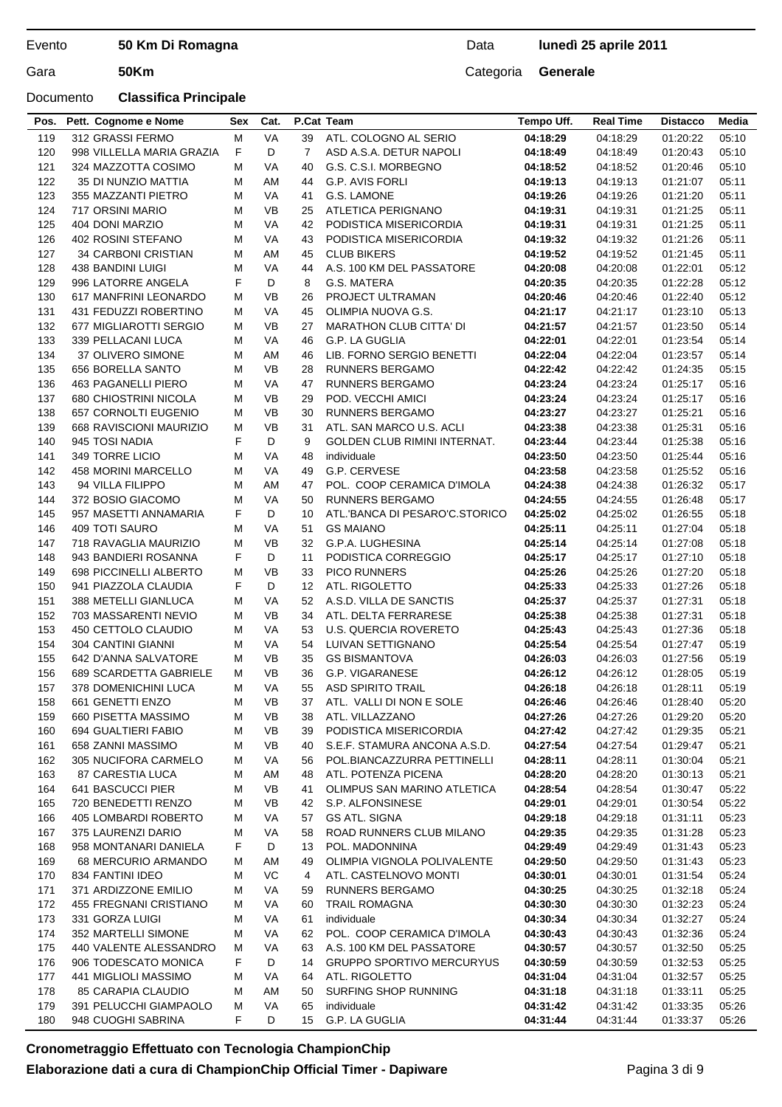## Documento **Classifica Principale**

## Data **lunedì 25 aprile 2011**

| Pos. | Pett. Cognome e Nome        | Sex    | Cat.      |                   | P.Cat Team                       | Tempo Uff. | <b>Real Time</b> | <b>Distacco</b> | Media |
|------|-----------------------------|--------|-----------|-------------------|----------------------------------|------------|------------------|-----------------|-------|
| 119  | 312 GRASSI FERMO            | М      | VA        | 39                | ATL. COLOGNO AL SERIO            | 04:18:29   | 04:18:29         | 01:20:22        | 05:10 |
| 120  | 998 VILLELLA MARIA GRAZIA   | F      | D         | $\overline{7}$    | ASD A.S.A. DETUR NAPOLI          | 04:18:49   | 04:18:49         | 01:20:43        | 05:10 |
| 121  | 324 MAZZOTTA COSIMO         | М      | VA        | 40                | G.S. C.S.I. MORBEGNO             | 04:18:52   | 04:18:52         | 01:20:46        | 05:10 |
| 122  | 35 DI NUNZIO MATTIA         | М      | AM        | 44                | G.P. AVIS FORLI                  | 04:19:13   | 04:19:13         | 01:21:07        | 05:11 |
| 123  | 355 MAZZANTI PIETRO         | М      | VA        | 41                | G.S. LAMONE                      | 04:19:26   | 04:19:26         | 01:21:20        | 05:11 |
| 124  | 717 ORSINI MARIO            | М      | <b>VB</b> | 25                | ATLETICA PERIGNANO               | 04:19:31   | 04:19:31         | 01:21:25        | 05:11 |
| 125  | 404 DONI MARZIO             | М      | VA        | 42                | PODISTICA MISERICORDIA           | 04:19:31   | 04:19:31         | 01:21:25        | 05:11 |
| 126  | 402 ROSINI STEFANO          | М      | VA        | 43                | PODISTICA MISERICORDIA           | 04:19:32   | 04:19:32         | 01:21:26        | 05:11 |
|      | <b>34 CARBONI CRISTIAN</b>  | М      |           | 45                | <b>CLUB BIKERS</b>               |            | 04:19:52         |                 |       |
| 127  |                             |        | AM        |                   |                                  | 04:19:52   | 04:20:08         | 01:21:45        | 05:11 |
| 128  | 438 BANDINI LUIGI           | М<br>F | VA        | 44                | A.S. 100 KM DEL PASSATORE        | 04:20:08   |                  | 01:22:01        | 05:12 |
| 129  | 996 LATORRE ANGELA          |        | D         | 8                 | G.S. MATERA                      | 04:20:35   | 04:20:35         | 01:22:28        | 05:12 |
| 130  | 617 MANFRINI LEONARDO       | М      | <b>VB</b> | 26                | PROJECT ULTRAMAN                 | 04:20:46   | 04:20:46         | 01:22:40        | 05:12 |
| 131  | 431 FEDUZZI ROBERTINO       | М      | VA        | 45                | OLIMPIA NUOVA G.S.               | 04:21:17   | 04:21:17         | 01:23:10        | 05:13 |
| 132  | 677 MIGLIAROTTI SERGIO      | М      | <b>VB</b> | 27                | <b>MARATHON CLUB CITTA' DI</b>   | 04:21:57   | 04:21:57         | 01:23:50        | 05:14 |
| 133  | 339 PELLACANI LUCA          | М      | VA        | 46                | G.P. LA GUGLIA                   | 04:22:01   | 04:22:01         | 01:23:54        | 05:14 |
| 134  | 37 OLIVERO SIMONE           | м      | AM        | 46                | LIB. FORNO SERGIO BENETTI        | 04:22:04   | 04:22:04         | 01:23:57        | 05:14 |
| 135  | 656 BORELLA SANTO           | М      | <b>VB</b> | 28                | <b>RUNNERS BERGAMO</b>           | 04:22:42   | 04:22:42         | 01:24:35        | 05:15 |
| 136  | 463 PAGANELLI PIERO         | М      | VA        | 47                | <b>RUNNERS BERGAMO</b>           | 04:23:24   | 04:23:24         | 01:25:17        | 05:16 |
| 137  | 680 CHIOSTRINI NICOLA       | М      | <b>VB</b> | 29                | POD. VECCHI AMICI                | 04:23:24   | 04:23:24         | 01:25:17        | 05:16 |
| 138  | 657 CORNOLTI EUGENIO        | М      | <b>VB</b> | 30                | <b>RUNNERS BERGAMO</b>           | 04:23:27   | 04:23:27         | 01:25:21        | 05:16 |
| 139  | 668 RAVISCIONI MAURIZIO     | М      | <b>VB</b> | 31                | ATL, SAN MARCO U.S. ACLI         | 04:23:38   | 04:23:38         | 01:25:31        | 05:16 |
| 140  | 945 TOSI NADIA              | F      | D         | 9                 | GOLDEN CLUB RIMINI INTERNAT.     | 04:23:44   | 04:23:44         | 01:25:38        | 05:16 |
| 141  | 349 TORRE LICIO             | М      | VA        | 48                | individuale                      | 04:23:50   | 04:23:50         | 01:25:44        | 05:16 |
| 142  | 458 MORINI MARCELLO         | М      | <b>VA</b> | 49                | G.P. CERVESE                     | 04:23:58   | 04:23:58         | 01:25:52        | 05:16 |
| 143  | 94 VILLA FILIPPO            | М      | AM        | 47                | POL. COOP CERAMICA D'IMOLA       | 04:24:38   | 04:24:38         | 01:26:32        | 05:17 |
| 144  | 372 BOSIO GIACOMO           | М      | VA        | 50                | <b>RUNNERS BERGAMO</b>           | 04:24:55   | 04:24:55         | 01:26:48        | 05:17 |
| 145  | 957 MASETTI ANNAMARIA       | F      | D         | 10                | ATL.'BANCA DI PESARO'C.STORICO   | 04:25:02   | 04:25:02         | 01:26:55        | 05:18 |
| 146  | 409 TOTI SAURO              | м      | VA        | 51                | <b>GS MAIANO</b>                 | 04:25:11   | 04:25:11         | 01:27:04        | 05:18 |
| 147  | 718 RAVAGLIA MAURIZIO       | М      | <b>VB</b> | 32                | G.P.A. LUGHESINA                 | 04:25:14   | 04:25:14         | 01:27:08        | 05:18 |
| 148  | 943 BANDIERI ROSANNA        | F      | D         | 11                | PODISTICA CORREGGIO              | 04:25:17   | 04:25:17         | 01:27:10        | 05:18 |
| 149  | 698 PICCINELLI ALBERTO      | М      | <b>VB</b> | 33                | <b>PICO RUNNERS</b>              | 04:25:26   | 04:25:26         | 01:27:20        | 05:18 |
| 150  | 941 PIAZZOLA CLAUDIA        | F      | D         | $12 \overline{ }$ | ATL. RIGOLETTO                   | 04:25:33   | 04:25:33         | 01:27:26        | 05:18 |
| 151  | 388 METELLI GIANLUCA        | М      | VA        | 52                | A.S.D. VILLA DE SANCTIS          | 04:25:37   | 04:25:37         | 01:27:31        | 05:18 |
| 152  | 703 MASSARENTI NEVIO        | М      | <b>VB</b> | 34                | ATL. DELTA FERRARESE             | 04:25:38   | 04:25:38         | 01:27:31        | 05:18 |
| 153  | 450 CETTOLO CLAUDIO         | М      | VA        | 53                | <b>U.S. QUERCIA ROVERETO</b>     | 04:25:43   | 04:25:43         | 01:27:36        | 05:18 |
| 154  | 304 CANTINI GIANNI          | М      | VA        | 54                | LUIVAN SETTIGNANO                | 04:25:54   | 04:25:54         | 01:27:47        | 05:19 |
| 155  | 642 D'ANNA SALVATORE        | М      | <b>VB</b> | 35                | <b>GS BISMANTOVA</b>             | 04:26:03   | 04:26:03         | 01:27:56        | 05:19 |
| 156  | 689 SCARDETTA GABRIELE      | М      | <b>VB</b> | 36                | G.P. VIGARANESE                  | 04:26:12   | 04:26:12         | 01:28:05        | 05:19 |
| 157  | <b>378 DOMENICHINI LUCA</b> | М      | VA        | 55                | <b>ASD SPIRITO TRAIL</b>         | 04:26:18   | 04:26:18         | 01:28:11        | 05:19 |
| 158  | 661 GENETTI ENZO            | M      | VB        | 37                | ATL. VALLI DI NON E SOLE         | 04:26:46   | 04:26:46         | 01:28:40        | 05:20 |
| 159  | 660 PISETTA MASSIMO         | М      | VB        | 38                | ATL. VILLAZZANO                  | 04:27:26   | 04:27:26         | 01:29:20        | 05:20 |
| 160  | 694 GUALTIERI FABIO         | М      | VB        | 39                | PODISTICA MISERICORDIA           | 04:27:42   | 04:27:42         | 01:29:35        | 05:21 |
| 161  | 658 ZANNI MASSIMO           | М      | VB        | 40                | S.E.F. STAMURA ANCONA A.S.D.     | 04:27:54   | 04:27:54         | 01:29:47        | 05:21 |
| 162  | 305 NUCIFORA CARMELO        | М      | VA        | 56                | POL.BIANCAZZURRA PETTINELLI      | 04:28:11   | 04:28:11         | 01:30:04        | 05:21 |
| 163  | 87 CARESTIA LUCA            | М      | AM        | 48                | ATL. POTENZA PICENA              | 04:28:20   | 04:28:20         | 01:30:13        | 05:21 |
| 164  | 641 BASCUCCI PIER           | М      | VB        | 41                | OLIMPUS SAN MARINO ATLETICA      | 04:28:54   | 04:28:54         | 01:30:47        | 05:22 |
| 165  | 720 BENEDETTI RENZO         | М      | <b>VB</b> | 42                | S.P. ALFONSINESE                 | 04:29:01   | 04:29:01         | 01:30:54        | 05:22 |
| 166  | 405 LOMBARDI ROBERTO        | М      | VA        | 57                | <b>GS ATL. SIGNA</b>             | 04:29:18   | 04:29:18         | 01:31:11        | 05:23 |
| 167  | 375 LAURENZI DARIO          | М      | VA        | 58                | ROAD RUNNERS CLUB MILANO         | 04:29:35   | 04:29:35         | 01:31:28        | 05:23 |
| 168  | 958 MONTANARI DANIELA       | F      | D         | 13                | POL. MADONNINA                   | 04:29:49   | 04:29:49         | 01:31:43        | 05:23 |
| 169  | 68 MERCURIO ARMANDO         | М      | AM        | 49                | OLIMPIA VIGNOLA POLIVALENTE      | 04:29:50   | 04:29:50         | 01:31:43        | 05:23 |
| 170  | 834 FANTINI IDEO            | М      | VC        | 4                 | ATL. CASTELNOVO MONTI            | 04:30:01   | 04:30:01         | 01:31:54        | 05:24 |
| 171  | 371 ARDIZZONE EMILIO        | М      | VA        | 59                | RUNNERS BERGAMO                  | 04:30:25   | 04:30:25         | 01:32:18        | 05:24 |
| 172  | 455 FREGNANI CRISTIANO      | м      | VA        | 60                | <b>TRAIL ROMAGNA</b>             | 04:30:30   | 04:30:30         | 01:32:23        | 05:24 |
| 173  | 331 GORZA LUIGI             | М      | VA        | 61                | individuale                      | 04:30:34   | 04:30:34         | 01:32:27        | 05:24 |
| 174  | 352 MARTELLI SIMONE         | М      | VA        | 62                | POL. COOP CERAMICA D'IMOLA       | 04:30:43   | 04:30:43         | 01:32:36        | 05:24 |
| 175  | 440 VALENTE ALESSANDRO      | M      | VA        | 63                | A.S. 100 KM DEL PASSATORE        | 04:30:57   | 04:30:57         | 01:32:50        | 05:25 |
| 176  | 906 TODESCATO MONICA        | F      | D         | 14                | <b>GRUPPO SPORTIVO MERCURYUS</b> | 04:30:59   | 04:30:59         | 01:32:53        | 05:25 |
| 177  | 441 MIGLIOLI MASSIMO        | М      | VA        | 64                | ATL. RIGOLETTO                   | 04:31:04   | 04:31:04         | 01:32:57        | 05:25 |
| 178  | 85 CARAPIA CLAUDIO          | М      | AM        | 50                | SURFING SHOP RUNNING             | 04:31:18   | 04:31:18         | 01:33:11        | 05:25 |
| 179  | 391 PELUCCHI GIAMPAOLO      | М      | VA        | 65                | individuale                      | 04:31:42   | 04:31:42         | 01:33:35        | 05:26 |
| 180  | 948 CUOGHI SABRINA          | F      | D         | 15                | G.P. LA GUGLIA                   | 04:31:44   | 04:31:44         | 01:33:37        | 05:26 |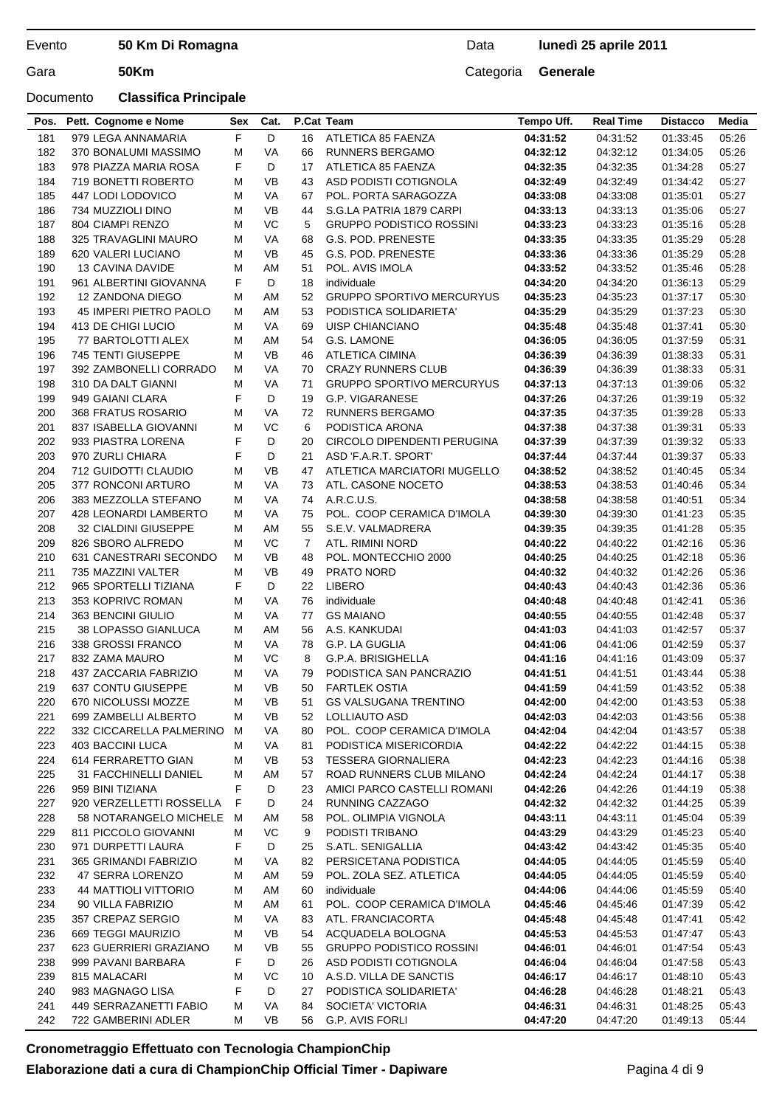## Documento **Classifica Principale**

## Data **lunedì 25 aprile 2011**

| Pos.       | Pett. Cognome e Nome                            | Sex    | Cat.            |                | P.Cat Team                                    | Tempo Uff.           | <b>Real Time</b>     | <b>Distacco</b>      | Media          |
|------------|-------------------------------------------------|--------|-----------------|----------------|-----------------------------------------------|----------------------|----------------------|----------------------|----------------|
| 181        | 979 LEGA ANNAMARIA                              | F      | D               | 16             | ATLETICA 85 FAENZA                            | 04:31:52             | 04:31:52             | 01:33:45             | 05:26          |
| 182        | 370 BONALUMI MASSIMO                            | М      | <b>VA</b>       | 66             | <b>RUNNERS BERGAMO</b>                        | 04:32:12             | 04:32:12             | 01:34:05             | 05:26          |
|            |                                                 | F      |                 |                |                                               |                      |                      |                      |                |
| 183        | 978 PIAZZA MARIA ROSA                           |        | D               | 17             | ATLETICA 85 FAENZA                            | 04:32:35             | 04:32:35             | 01:34:28             | 05:27          |
| 184<br>185 | 719 BONETTI ROBERTO                             | м      | <b>VB</b>       | 43             | ASD PODISTI COTIGNOLA<br>POL. PORTA SARAGOZZA | 04:32:49             | 04:32:49             | 01:34:42             | 05:27          |
|            | 447 LODI LODOVICO                               | М      | VA              | 67             |                                               | 04:33:08             | 04:33:08             | 01:35:01             | 05:27          |
| 186        | 734 MUZZIOLI DINO                               | М      | <b>VB</b>       | 44             | S.G.LA PATRIA 1879 CARPI                      | 04:33:13             | 04:33:13             | 01:35:06             | 05:27          |
| 187        | 804 CIAMPI RENZO                                | М      | VC              | 5              | <b>GRUPPO PODISTICO ROSSINI</b>               | 04:33:23             | 04:33:23             | 01:35:16             | 05:28          |
| 188        | 325 TRAVAGLINI MAURO                            | М      | VA              | 68             | G.S. POD. PRENESTE                            | 04:33:35             | 04:33:35             | 01:35:29             | 05:28          |
| 189        | 620 VALERI LUCIANO                              | М      | <b>VB</b>       | 45             | G.S. POD. PRENESTE                            | 04:33:36             | 04:33:36             | 01:35:29             | 05:28          |
| 190        | <b>13 CAVINA DAVIDE</b>                         | М      | AM              | 51             | POL. AVIS IMOLA                               | 04:33:52             | 04:33:52             | 01:35:46             | 05:28          |
| 191        | 961 ALBERTINI GIOVANNA                          | F      | D               | 18             | individuale                                   | 04:34:20             | 04:34:20             | 01:36:13             | 05:29          |
| 192        | 12 ZANDONA DIEGO                                | М      | AM              | 52             | <b>GRUPPO SPORTIVO MERCURYUS</b>              | 04:35:23             | 04:35:23             | 01:37:17             | 05:30          |
| 193        | 45 IMPERI PIETRO PAOLO                          | М      | AM              | 53             | PODISTICA SOLIDARIETA'                        | 04:35:29             | 04:35:29             | 01:37:23             | 05:30          |
| 194        | 413 DE CHIGI LUCIO                              | М      | <b>VA</b>       | 69             | UISP CHIANCIANO                               | 04:35:48             | 04:35:48             | 01:37:41             | 05:30          |
| 195        | 77 BARTOLOTTI ALEX                              | м      | AM              | 54             | G.S. LAMONE                                   | 04:36:05             | 04:36:05             | 01:37:59             | 05:31          |
| 196        | 745 TENTI GIUSEPPE                              | м      | VB              | 46             | ATLETICA CIMINA                               | 04:36:39             | 04:36:39             | 01:38:33             | 05:31          |
| 197        | 392 ZAMBONELLI CORRADO                          | М      | VA              | 70             | <b>CRAZY RUNNERS CLUB</b>                     | 04:36:39             | 04:36:39             | 01:38:33             | 05:31          |
| 198        | 310 DA DALT GIANNI                              | М      | <b>VA</b>       | 71             | <b>GRUPPO SPORTIVO MERCURYUS</b>              | 04:37:13             | 04:37:13             | 01:39:06             | 05:32          |
| 199        | 949 GAIANI CLARA                                | F      | D               | 19             | G.P. VIGARANESE                               | 04:37:26             | 04:37:26             | 01:39:19             | 05:32          |
| 200        | <b>368 FRATUS ROSARIO</b>                       | М      | VA              | 72             | <b>RUNNERS BERGAMO</b>                        | 04:37:35             | 04:37:35             | 01:39:28             | 05:33          |
| 201        | 837 ISABELLA GIOVANNI                           | М      | VC              | 6              | PODISTICA ARONA                               | 04:37:38             | 04:37:38             | 01:39:31             | 05:33          |
| 202        | 933 PIASTRA LORENA                              | F      | D               | 20             | CIRCOLO DIPENDENTI PERUGINA                   | 04:37:39             | 04:37:39             | 01:39:32             | 05:33          |
| 203        | 970 ZURLI CHIARA                                | F      | D               | 21             | ASD 'F.A.R.T. SPORT'                          | 04:37:44             | 04:37:44             | 01:39:37             | 05:33          |
| 204        | 712 GUIDOTTI CLAUDIO                            | М      | <b>VB</b>       | 47             | ATLETICA MARCIATORI MUGELLO                   | 04:38:52             | 04:38:52             | 01:40:45             | 05:34          |
| 205        | 377 RONCONI ARTURO                              | М      | VA              | 73             | ATL. CASONE NOCETO                            | 04:38:53             | 04:38:53             | 01:40:46             | 05:34          |
| 206        | 383 MEZZOLLA STEFANO                            | м      | <b>VA</b>       | 74             | A.R.C.U.S.                                    | 04:38:58             | 04:38:58             | 01:40:51             | 05:34          |
| 207        | 428 LEONARDI LAMBERTO                           | м      | VA              | 75             | POL. COOP CERAMICA D'IMOLA                    | 04:39:30             | 04:39:30             | 01:41:23             | 05:35          |
| 208        | 32 CIALDINI GIUSEPPE                            | М      | AM              | 55             | S.E.V. VALMADRERA                             | 04:39:35             | 04:39:35             | 01:41:28             | 05:35          |
| 209        | 826 SBORO ALFREDO                               | м      | VC              | $\overline{7}$ | ATL. RIMINI NORD                              | 04:40:22             | 04:40:22             | 01:42:16             | 05:36          |
| 210        | 631 CANESTRARI SECONDO                          | М      | VB              | 48             | POL. MONTECCHIO 2000                          | 04:40:25             | 04:40:25             | 01:42:18             | 05:36          |
| 211        | 735 MAZZINI VALTER                              | M      | <b>VB</b>       | 49             | <b>PRATO NORD</b>                             | 04:40:32             | 04:40:32             | 01:42:26             | 05:36          |
| 212        | 965 SPORTELLI TIZIANA                           | F      | D               | 22             | <b>LIBERO</b>                                 | 04:40:43             | 04:40:43             | 01:42:36             | 05:36          |
| 213        | 353 KOPRIVC ROMAN                               | М      | VA              | 76             | individuale                                   | 04:40:48             | 04:40:48             | 01:42:41             | 05:36          |
| 214        | 363 BENCINI GIULIO                              | М      | VA              | 77             | <b>GS MAIANO</b>                              | 04:40:55             | 04:40:55             | 01:42:48             | 05:37          |
| 215        | <b>38 LOPASSO GIANLUCA</b><br>338 GROSSI FRANCO | М      | AM              | 56             | A.S. KANKUDAI                                 | 04:41:03             | 04:41:03             | 01:42:57             | 05:37          |
| 216        |                                                 | М      | VA<br>VC        | 78<br>8        | G.P. LA GUGLIA                                | 04:41:06<br>04:41:16 | 04:41:06             | 01:42:59<br>01:43:09 | 05:37          |
| 217        | 832 ZAMA MAURO                                  | М      |                 |                | G.P.A. BRISIGHELLA                            |                      | 04:41:16             |                      | 05:37          |
| 218        | 437 ZACCARIA FABRIZIO                           | м<br>М | VA<br><b>VB</b> | 79<br>50       | PODISTICA SAN PANCRAZIO                       | 04:41:51<br>04:41:59 | 04:41:51<br>04:41:59 | 01:43:44             | 05:38          |
| 219        | 637 CONTU GIUSEPPE                              |        |                 |                | <b>FARTLEK OSTIA</b>                          |                      |                      | 01:43:52             | 05:38          |
| 220<br>221 | 670 NICOLUSSI MOZZE<br>699 ZAMBELLI ALBERTO     | M      | VB<br>VB        | 51             | <b>GS VALSUGANA TRENTINO</b><br>LOLLIAUTO ASD | 04:42:00<br>04:42:03 | 04:42:00<br>04:42:03 | 01:43:53             | 05:38<br>05:38 |
| 222        | 332 CICCARELLA PALMERINO                        | М      | VA              | 52<br>80       | POL. COOP CERAMICA D'IMOLA                    | 04:42:04             |                      | 01:43:56             | 05:38          |
| 223        |                                                 | M<br>М | VA              | 81             | PODISTICA MISERICORDIA                        |                      | 04:42:04             | 01:43:57             |                |
| 224        | 403 BACCINI LUCA<br>614 FERRARETTO GIAN         |        | VB              |                | <b>TESSERA GIORNALIERA</b>                    | 04:42:22<br>04:42:23 | 04:42:22<br>04:42:23 | 01:44:15             | 05:38<br>05:38 |
| 225        | 31 FACCHINELLI DANIEL                           | м<br>М | AM              | 53<br>57       | ROAD RUNNERS CLUB MILANO                      | 04:42:24             | 04:42:24             | 01:44:16             | 05:38          |
| 226        | 959 BINI TIZIANA                                | F      | D               | 23             | AMICI PARCO CASTELLI ROMANI                   | 04:42:26             | 04:42:26             | 01:44:17<br>01:44:19 | 05:38          |
| 227        | 920 VERZELLETTI ROSSELLA                        | F      | D               | 24             | <b>RUNNING CAZZAGO</b>                        | 04:42:32             | 04:42:32             | 01:44:25             | 05:39          |
| 228        | 58 NOTARANGELO MICHELE                          | M      | ΑM              | 58             | POL. OLIMPIA VIGNOLA                          | 04:43:11             | 04:43:11             | 01:45:04             | 05:39          |
| 229        | 811 PICCOLO GIOVANNI                            | М      | VC              | 9              | PODISTI TRIBANO                               | 04:43:29             | 04:43:29             | 01:45:23             | 05:40          |
| 230        | 971 DURPETTI LAURA                              | F      | D               | 25             | S.ATL. SENIGALLIA                             | 04:43:42             | 04:43:42             | 01:45:35             | 05:40          |
| 231        | 365 GRIMANDI FABRIZIO                           | м      | VA              | 82             | PERSICETANA PODISTICA                         | 04:44:05             | 04:44:05             | 01:45:59             | 05:40          |
| 232        | 47 SERRA LORENZO                                | М      | AM              | 59             | POL. ZOLA SEZ. ATLETICA                       | 04:44:05             | 04:44:05             |                      | 05:40          |
| 233        | <b>44 MATTIOLI VITTORIO</b>                     | М      | AM              | 60             | individuale                                   | 04:44:06             | 04:44:06             | 01:45:59<br>01:45:59 | 05:40          |
| 234        | 90 VILLA FABRIZIO                               | М      | AM              | 61             | POL. COOP CERAMICA D'IMOLA                    | 04:45:46             | 04:45:46             | 01:47:39             | 05:42          |
| 235        | 357 CREPAZ SERGIO                               | М      | VA              | 83             | ATL. FRANCIACORTA                             | 04:45:48             | 04:45:48             | 01:47:41             | 05:42          |
| 236        | 669 TEGGI MAURIZIO                              | М      | VB              | 54             | ACQUADELA BOLOGNA                             | 04:45:53             | 04:45:53             | 01:47:47             | 05:43          |
| 237        | 623 GUERRIERI GRAZIANO                          | м      | VB              | 55             | <b>GRUPPO PODISTICO ROSSINI</b>               | 04:46:01             | 04:46:01             | 01:47:54             | 05:43          |
| 238        | 999 PAVANI BARBARA                              | F      | D               | 26             | ASD PODISTI COTIGNOLA                         | 04:46:04             | 04:46:04             | 01:47:58             |                |
| 239        | 815 MALACARI                                    | М      | VC              | 10             | A.S.D. VILLA DE SANCTIS                       |                      | 04:46:17             |                      | 05:43<br>05:43 |
| 240        | 983 MAGNAGO LISA                                | F      | D               | 27             | PODISTICA SOLIDARIETA'                        | 04:46:17<br>04:46:28 | 04:46:28             | 01:48:10<br>01:48:21 | 05:43          |
| 241        | 449 SERRAZANETTI FABIO                          |        | VA              | 84             | SOCIETA' VICTORIA                             | 04:46:31             | 04:46:31             | 01:48:25             | 05:43          |
| 242        | 722 GAMBERINI ADLER                             | М<br>М | <b>VB</b>       | 56             | G.P. AVIS FORLI                               | 04:47:20             | 04:47:20             |                      | 05:44          |
|            |                                                 |        |                 |                |                                               |                      |                      | 01:49:13             |                |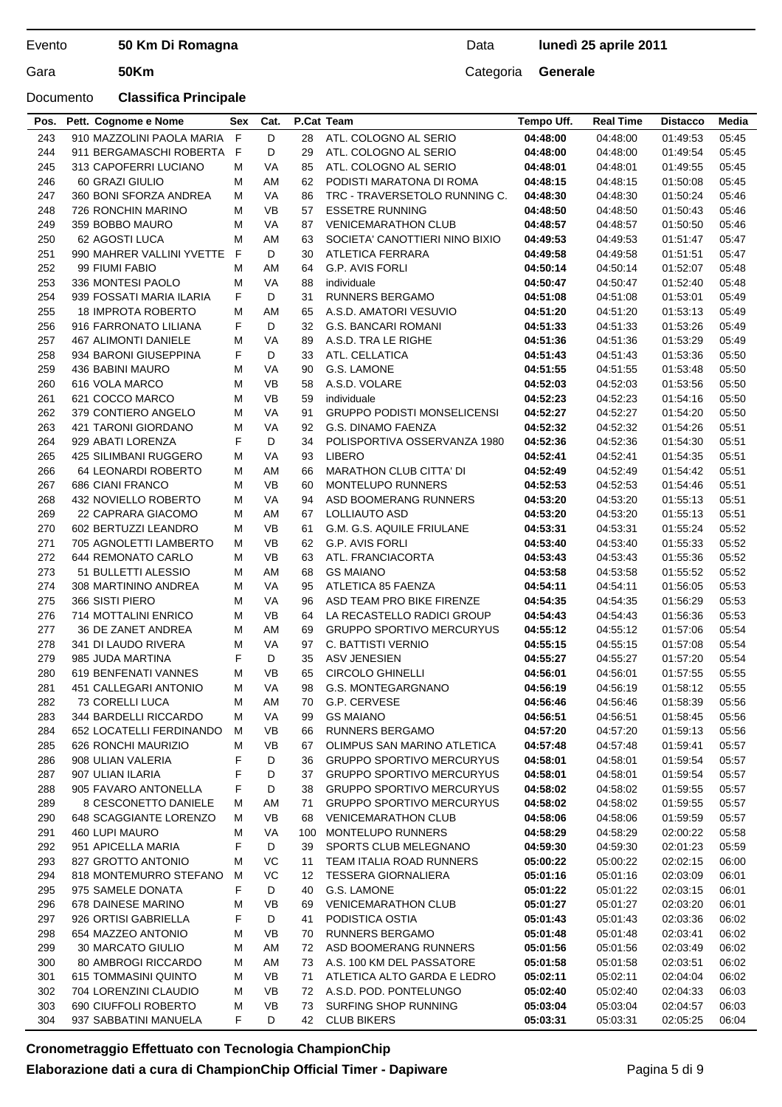### Documento **Classifica Principale**

## Data **lunedì 25 aprile 2011**

| Pos. | Pett. Cognome e Nome       | Sex | Cat.      |     | P.Cat Team                         | Tempo Uff. | Real Time | <b>Distacco</b> | <b>Media</b> |
|------|----------------------------|-----|-----------|-----|------------------------------------|------------|-----------|-----------------|--------------|
| 243  | 910 MAZZOLINI PAOLA MARIA  | E   | D         | 28  | ATL. COLOGNO AL SERIO              | 04:48:00   | 04:48:00  | 01:49:53        | 05:45        |
| 244  | 911 BERGAMASCHI ROBERTA    | F   | D         | 29  | ATL. COLOGNO AL SERIO              | 04:48:00   | 04:48:00  | 01:49:54        | 05:45        |
| 245  | 313 CAPOFERRI LUCIANO      | М   | VA        | 85  | ATL. COLOGNO AL SERIO              | 04:48:01   | 04:48:01  | 01:49:55        | 05:45        |
| 246  | 60 GRAZI GIULIO            | М   | AM        | 62  | PODISTI MARATONA DI ROMA           | 04:48:15   | 04:48:15  | 01:50:08        | 05:45        |
| 247  | 360 BONI SFORZA ANDREA     | м   | VA        | 86  | TRC - TRAVERSETOLO RUNNING C.      | 04:48:30   | 04:48:30  | 01:50:24        | 05:46        |
| 248  | 726 RONCHIN MARINO         | М   | <b>VB</b> | 57  | <b>ESSETRE RUNNING</b>             | 04:48:50   | 04:48:50  | 01:50:43        | 05:46        |
| 249  | 359 BOBBO MAURO            | M   | <b>VA</b> | 87  | <b>VENICEMARATHON CLUB</b>         | 04:48:57   | 04:48:57  | 01:50:50        | 05:46        |
| 250  | 62 AGOSTI LUCA             | M   | AM        | 63  | SOCIETA' CANOTTIERI NINO BIXIO     | 04:49:53   | 04:49:53  | 01:51:47        | 05:47        |
| 251  | 990 MAHRER VALLINI YVETTE  | F   | D         | 30  | <b>ATLETICA FERRARA</b>            | 04:49:58   | 04:49:58  | 01:51:51        | 05:47        |
| 252  | 99 FIUMI FABIO             | М   | AM        | 64  | <b>G.P. AVIS FORLI</b>             | 04:50:14   | 04:50:14  | 01:52:07        | 05:48        |
| 253  | 336 MONTESI PAOLO          | М   | VA        | 88  | individuale                        | 04:50:47   | 04:50:47  | 01:52:40        | 05:48        |
| 254  | 939 FOSSATI MARIA ILARIA   | F   | D         | 31  | <b>RUNNERS BERGAMO</b>             | 04:51:08   | 04:51:08  | 01:53:01        | 05:49        |
| 255  | <b>18 IMPROTA ROBERTO</b>  | М   | AM        | 65  | A.S.D. AMATORI VESUVIO             | 04:51:20   | 04:51:20  | 01:53:13        | 05:49        |
| 256  | 916 FARRONATO LILIANA      | F   | D         | 32  | <b>G.S. BANCARI ROMANI</b>         | 04:51:33   | 04:51:33  | 01:53:26        | 05:49        |
| 257  | 467 ALIMONTI DANIELE       | М   | VA        | 89  | A.S.D. TRA LE RIGHE                | 04:51:36   | 04:51:36  | 01:53:29        | 05:49        |
| 258  | 934 BARONI GIUSEPPINA      | F   | D         | 33  | ATL. CELLATICA                     | 04:51:43   | 04:51:43  | 01.53:36        | 05:50        |
| 259  | <b>436 BABINI MAURO</b>    | М   | VA        | 90  | G.S. LAMONE                        | 04:51:55   | 04:51:55  | 01.53.48        | 05:50        |
| 260  | 616 VOLA MARCO             | М   | <b>VB</b> | 58  | A.S.D. VOLARE                      | 04:52:03   | 04:52:03  | 01:53:56        | 05:50        |
| 261  | 621 COCCO MARCO            | М   | <b>VB</b> | 59  | individuale                        | 04:52:23   | 04:52:23  | 01:54:16        | 05:50        |
| 262  | 379 CONTIERO ANGELO        | М   | VA        | 91  | <b>GRUPPO PODISTI MONSELICENSI</b> | 04:52:27   | 04:52:27  | 01:54:20        | 05:50        |
| 263  | <b>421 TARONI GIORDANO</b> | М   | VA        | 92  | <b>G.S. DINAMO FAENZA</b>          | 04:52:32   | 04:52:32  | 01:54:26        | 05:51        |
| 264  | 929 ABATI LORENZA          | F   | D         | 34  | POLISPORTIVA OSSERVANZA 1980       | 04:52:36   | 04:52:36  | 01:54:30        | 05:51        |
| 265  | 425 SILIMBANI RUGGERO      | М   | VA        | 93  | <b>LIBERO</b>                      | 04:52:41   | 04:52:41  | 01:54:35        | 05:51        |
| 266  | <b>64 LEONARDI ROBERTO</b> | М   | AM        | 66  | <b>MARATHON CLUB CITTA' DI</b>     | 04:52:49   | 04:52:49  | 01:54:42        | 05:51        |
| 267  | 686 CIANI FRANCO           | М   | VB        | 60  | <b>MONTELUPO RUNNERS</b>           | 04:52:53   | 04:52:53  | 01:54:46        | 05:51        |
| 268  | 432 NOVIELLO ROBERTO       | M   | VA        | 94  | ASD BOOMERANG RUNNERS              | 04:53:20   | 04:53:20  | 01:55:13        | 05:51        |
| 269  | 22 CAPRARA GIACOMO         | М   | AM        | 67  | LOLLIAUTO ASD                      | 04:53:20   | 04:53:20  | 01:55:13        | 05:51        |
| 270  | 602 BERTUZZI LEANDRO       | М   | VB        | 61  | G.M. G.S. AQUILE FRIULANE          | 04:53:31   | 04:53:31  | 01:55:24        | 05:52        |
| 271  | 705 AGNOLETTI LAMBERTO     | М   | <b>VB</b> | 62  | G.P. AVIS FORLI                    | 04:53:40   | 04:53:40  | 01.55:33        | 05:52        |
| 272  | 644 REMONATO CARLO         | М   | <b>VB</b> | 63  | ATL. FRANCIACORTA                  | 04:53:43   | 04:53:43  | 01:55:36        | 05:52        |
| 273  | 51 BULLETTI ALESSIO        | М   | AM        | 68  | <b>GS MAIANO</b>                   | 04:53:58   | 04:53:58  | 01:55:52        | 05:52        |
| 274  | 308 MARTININO ANDREA       | M   | <b>VA</b> | 95  | ATLETICA 85 FAENZA                 | 04:54:11   | 04:54:11  | 01:56:05        | 05:53        |
| 275  | 366 SISTI PIERO            | M   | VA        | 96  | ASD TEAM PRO BIKE FIRENZE          | 04:54:35   | 04:54:35  | 01:56:29        | 05:53        |
| 276  | 714 MOTTALINI ENRICO       | М   | <b>VB</b> | 64  | LA RECASTELLO RADICI GROUP         | 04:54:43   | 04:54:43  | 01.56:36        | 05:53        |
| 277  | 36 DE ZANET ANDREA         | М   | AM        | 69  | <b>GRUPPO SPORTIVO MERCURYUS</b>   | 04:55:12   | 04:55:12  | 01:57:06        | 05:54        |
| 278  | 341 DI LAUDO RIVERA        | М   | VA        | 97  | C. BATTISTI VERNIO                 | 04:55:15   | 04:55:15  | 01:57:08        | 05:54        |
| 279  | 985 JUDA MARTINA           | F   | D         | 35  | <b>ASV JENESIEN</b>                | 04:55:27   | 04:55:27  | 01:57:20        | 05:54        |
| 280  | 619 BENFENATI VANNES       | М   | <b>VB</b> | 65  | <b>CIRCOLO GHINELLI</b>            | 04:56:01   | 04:56:01  | 01:57:55        | 05:55        |
| 281  | 451 CALLEGARI ANTONIO      | М   | VA        | 98  | G.S. MONTEGARGNANO                 | 04:56:19   | 04:56:19  | 01:58:12        | 05:55        |
| 282  | 73 CORELLI LUCA            | M   | ΑM        | 70  | G.P. CERVESE                       | 04:56:46   | 04:56:46  | 01:58:39        | 05:56        |
| 283  | 344 BARDELLI RICCARDO      | M   | VA        | 99  | <b>GS MAIANO</b>                   | 04:56:51   | 04:56:51  | 01:58:45        | 05:56        |
| 284  | 652 LOCATELLI FERDINANDO   | м   | VB        | 66  | <b>RUNNERS BERGAMO</b>             | 04:57:20   | 04:57:20  | 01:59:13        | 05:56        |
| 285  | 626 RONCHI MAURIZIO        | М   | VB        | 67  | OLIMPUS SAN MARINO ATLETICA        | 04:57:48   | 04:57:48  | 01:59:41        | 05:57        |
| 286  | 908 ULIAN VALERIA          | F   | D         | 36  | <b>GRUPPO SPORTIVO MERCURYUS</b>   | 04:58:01   | 04:58:01  | 01:59:54        | 05:57        |
| 287  | 907 ULIAN ILARIA           | F   | D         | 37  | <b>GRUPPO SPORTIVO MERCURYUS</b>   | 04:58:01   | 04:58:01  | 01:59:54        | 05:57        |
| 288  | 905 FAVARO ANTONELLA       | F   | D         | 38  | <b>GRUPPO SPORTIVO MERCURYUS</b>   | 04:58:02   | 04:58:02  | 01:59:55        | 05:57        |
| 289  | 8 CESCONETTO DANIELE       | М   | AM        | 71  | <b>GRUPPO SPORTIVO MERCURYUS</b>   | 04:58:02   | 04:58:02  | 01:59:55        | 05:57        |
| 290  | 648 SCAGGIANTE LORENZO     | М   | VB        | 68  | <b>VENICEMARATHON CLUB</b>         | 04:58:06   | 04:58:06  | 01:59:59        | 05:57        |
| 291  | 460 LUPI MAURO             | М   | VA        | 100 | <b>MONTELUPO RUNNERS</b>           | 04:58:29   | 04:58:29  | 02:00:22        | 05:58        |
| 292  | 951 APICELLA MARIA         | F   | D         | 39  | SPORTS CLUB MELEGNANO              | 04:59:30   | 04:59:30  | 02:01:23        | 05:59        |
| 293  | 827 GROTTO ANTONIO         | М   | VC        | 11  | <b>TEAM ITALIA ROAD RUNNERS</b>    | 05:00:22   | 05:00:22  | 02:02:15        | 06:00        |
| 294  | 818 MONTEMURRO STEFANO     | м   | VC        | 12  | <b>TESSERA GIORNALIERA</b>         | 05:01:16   | 05:01:16  | 02:03:09        | 06:01        |
| 295  | 975 SAMELE DONATA          | F   | D         | 40  | G.S. LAMONE                        | 05:01:22   | 05:01:22  | 02:03:15        | 06:01        |
| 296  | 678 DAINESE MARINO         | М   | VB        | 69  | <b>VENICEMARATHON CLUB</b>         | 05:01:27   | 05:01:27  | 02:03:20        | 06:01        |
| 297  | 926 ORTISI GABRIELLA       | F   | D         | 41  | PODISTICA OSTIA                    | 05:01:43   | 05:01:43  | 02:03:36        | 06:02        |
| 298  | 654 MAZZEO ANTONIO         | М   | VB        | 70  | <b>RUNNERS BERGAMO</b>             | 05:01:48   | 05:01:48  | 02:03:41        | 06:02        |
| 299  | 30 MARCATO GIULIO          | M   | AM        | 72  | ASD BOOMERANG RUNNERS              | 05:01:56   | 05:01:56  | 02:03:49        | 06:02        |
| 300  | 80 AMBROGI RICCARDO        | M   | AM        | 73  | A.S. 100 KM DEL PASSATORE          | 05:01:58   | 05:01:58  | 02:03:51        | 06:02        |
| 301  | 615 TOMMASINI QUINTO       | M   | VB        | 71  | ATLETICA ALTO GARDA E LEDRO        | 05:02:11   | 05:02:11  | 02:04:04        | 06:02        |
| 302  | 704 LORENZINI CLAUDIO      | M   | VB        | 72  | A.S.D. POD. PONTELUNGO             | 05:02:40   | 05:02:40  | 02:04:33        | 06:03        |
| 303  | 690 CIUFFOLI ROBERTO       | M   | <b>VB</b> | 73  | SURFING SHOP RUNNING               | 05:03:04   | 05:03:04  | 02:04:57        | 06:03        |
| 304  | 937 SABBATINI MANUELA      | F   | D         | 42  | <b>CLUB BIKERS</b>                 | 05:03:31   | 05:03:31  | 02:05:25        | 06:04        |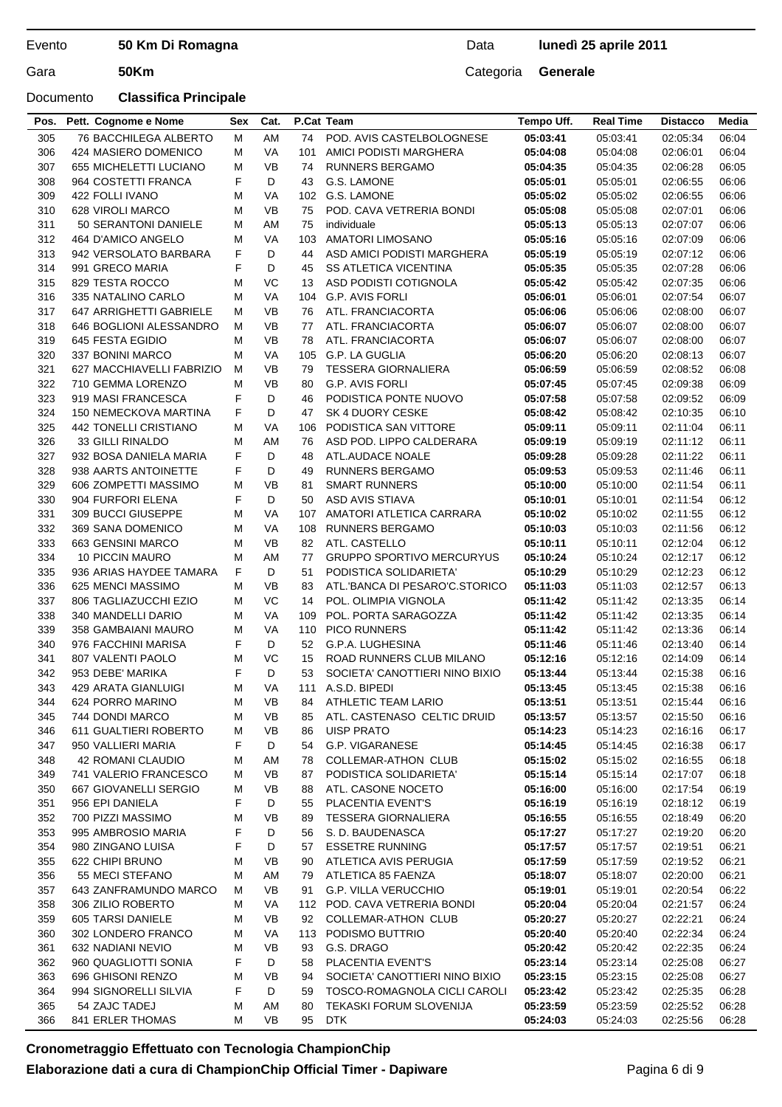## Documento **Classifica Principale**

## Data **lunedì 25 aprile 2011**

| Pos. | Pett. Cognome e Nome         | Sex | Cat.      |     | P.Cat Team                       | Tempo Uff. | <b>Real Time</b> | <b>Distacco</b> | Media |
|------|------------------------------|-----|-----------|-----|----------------------------------|------------|------------------|-----------------|-------|
| 305  | <b>76 BACCHILEGA ALBERTO</b> | M   | AM        | 74  | POD. AVIS CASTELBOLOGNESE        | 05:03:41   | 05:03:41         | 02:05:34        | 06:04 |
| 306  | 424 MASIERO DOMENICO         | M   | VA        | 101 | AMICI PODISTI MARGHERA           | 05:04:08   | 05:04:08         | 02:06:01        | 06:04 |
| 307  | 655 MICHELETTI LUCIANO       | М   | <b>VB</b> | 74  | <b>RUNNERS BERGAMO</b>           | 05:04:35   | 05:04:35         | 02:06:28        | 06:05 |
| 308  | 964 COSTETTI FRANCA          | F   | D         | 43  | G.S. LAMONE                      | 05:05:01   | 05:05:01         | 02:06:55        | 06:06 |
| 309  | 422 FOLLI IVANO              | М   | VA        | 102 | G.S. LAMONE                      | 05:05:02   | 05:05:02         | 02:06:55        | 06:06 |
| 310  | 628 VIROLI MARCO             | м   | <b>VB</b> | 75  | POD. CAVA VETRERIA BONDI         | 05:05:08   | 05:05:08         | 02:07:01        | 06:06 |
| 311  | 50 SERANTONI DANIELE         | М   | AM        | 75  | individuale                      | 05:05:13   | 05:05:13         | 02:07:07        | 06:06 |
| 312  | 464 D'AMICO ANGELO           | М   | VA        | 103 | <b>AMATORI LIMOSANO</b>          | 05:05:16   | 05:05:16         | 02:07:09        | 06:06 |
| 313  | 942 VERSOLATO BARBARA        | F   | D         | 44  | ASD AMICI PODISTI MARGHERA       | 05:05:19   | 05:05:19         | 02:07:12        | 06:06 |
| 314  | 991 GRECO MARIA              | F   | D         | 45  | <b>SS ATLETICA VICENTINA</b>     | 05:05:35   | 05:05:35         | 02:07:28        | 06:06 |
|      | 829 TESTA ROCCO              | М   | VC        | 13  |                                  |            |                  | 02:07:35        |       |
| 315  |                              |     |           |     | ASD PODISTI COTIGNOLA            | 05:05:42   | 05:05:42         |                 | 06:06 |
| 316  | 335 NATALINO CARLO           | М   | VA        | 104 | <b>G.P. AVIS FORLI</b>           | 05:06:01   | 05:06:01         | 02:07:54        | 06:07 |
| 317  | 647 ARRIGHETTI GABRIELE      | М   | VB        | 76  | ATL. FRANCIACORTA                | 05:06:06   | 05:06:06         | 02:08:00        | 06:07 |
| 318  | 646 BOGLIONI ALESSANDRO      | м   | <b>VB</b> | 77  | ATL. FRANCIACORTA                | 05:06:07   | 05:06:07         | 02:08:00        | 06:07 |
| 319  | 645 FESTA EGIDIO             | М   | <b>VB</b> | 78  | ATL. FRANCIACORTA                | 05:06:07   | 05:06:07         | 02:08:00        | 06:07 |
| 320  | 337 BONINI MARCO             | м   | VA        | 105 | G.P. LA GUGLIA                   | 05:06:20   | 05:06:20         | 02:08:13        | 06:07 |
| 321  | 627 MACCHIAVELLI FABRIZIO    | м   | <b>VB</b> | 79  | <b>TESSERA GIORNALIERA</b>       | 05:06:59   | 05:06:59         | 02:08:52        | 06:08 |
| 322  | 710 GEMMA LORENZO            | M   | <b>VB</b> | 80  | G.P. AVIS FORLI                  | 05:07:45   | 05:07:45         | 02:09:38        | 06:09 |
| 323  | 919 MASI FRANCESCA           | F   | D         | 46  | PODISTICA PONTE NUOVO            | 05:07:58   | 05:07:58         | 02:09:52        | 06:09 |
| 324  | 150 NEMECKOVA MARTINA        | F   | D         | 47  | SK 4 DUORY CESKE                 | 05:08:42   | 05:08:42         | 02:10:35        | 06:10 |
| 325  | 442 TONELLI CRISTIANO        | М   | VA        | 106 | PODISTICA SAN VITTORE            | 05:09:11   | 05:09:11         | 02:11:04        | 06:11 |
| 326  | <b>33 GILLI RINALDO</b>      | М   | AM        | 76  | ASD POD. LIPPO CALDERARA         | 05:09:19   | 05:09:19         | 02:11:12        | 06:11 |
| 327  | 932 BOSA DANIELA MARIA       | F   | D         | 48  | ATL.AUDACE NOALE                 | 05:09:28   | 05:09:28         | 02:11:22        | 06:11 |
| 328  | 938 AARTS ANTOINETTE         | F   | D         | 49  | <b>RUNNERS BERGAMO</b>           | 05:09:53   | 05:09:53         | 02:11:46        | 06:11 |
| 329  | 606 ZOMPETTI MASSIMO         | М   | <b>VB</b> | 81  | <b>SMART RUNNERS</b>             | 05:10:00   | 05:10:00         | 02:11:54        | 06:11 |
| 330  | 904 FURFORI ELENA            | F   | D         | 50  | ASD AVIS STIAVA                  | 05:10:01   | 05:10:01         | 02:11:54        | 06:12 |
| 331  | 309 BUCCI GIUSEPPE           | М   | VA        | 107 | AMATORI ATLETICA CARRARA         | 05:10:02   | 05:10:02         | 02:11:55        | 06:12 |
| 332  | 369 SANA DOMENICO            | М   | VA        | 108 | <b>RUNNERS BERGAMO</b>           | 05:10:03   | 05:10:03         | 02:11:56        | 06:12 |
| 333  | 663 GENSINI MARCO            | М   | <b>VB</b> | 82  | ATL. CASTELLO                    | 05:10:11   | 05:10:11         | 02:12:04        | 06:12 |
|      |                              |     | AM        |     | <b>GRUPPO SPORTIVO MERCURYUS</b> |            |                  |                 |       |
| 334  | 10 PICCIN MAURO              | м   |           | 77  |                                  | 05:10:24   | 05:10:24         | 02:12:17        | 06:12 |
| 335  | 936 ARIAS HAYDEE TAMARA      | F   | D         | 51  | PODISTICA SOLIDARIETA'           | 05:10:29   | 05:10:29         | 02:12:23        | 06:12 |
| 336  | 625 MENCI MASSIMO            | М   | <b>VB</b> | 83  | ATL.'BANCA DI PESARO'C.STORICO   | 05:11:03   | 05:11:03         | 02:12:57        | 06:13 |
| 337  | 806 TAGLIAZUCCHI EZIO        | M   | VC        | 14  | POL. OLIMPIA VIGNOLA             | 05:11:42   | 05:11:42         | 02:13:35        | 06:14 |
| 338  | 340 MANDELLI DARIO           | М   | VA        | 109 | POL. PORTA SARAGOZZA             | 05:11:42   | 05:11:42         | 02:13:35        | 06:14 |
| 339  | 358 GAMBAIANI MAURO          | М   | <b>VA</b> | 110 | <b>PICO RUNNERS</b>              | 05:11:42   | 05:11:42         | 02:13:36        | 06:14 |
| 340  | 976 FACCHINI MARISA          | F   | D         | 52  | G.P.A. LUGHESINA                 | 05:11:46   | 05:11:46         | 02:13:40        | 06:14 |
| 341  | 807 VALENTI PAOLO            | М   | VC        | 15  | ROAD RUNNERS CLUB MILANO         | 05:12:16   | 05:12:16         | 02:14:09        | 06:14 |
| 342  | 953 DEBE' MARIKA             | F   | D         | 53  | SOCIETA' CANOTTIERI NINO BIXIO   | 05:13:44   | 05:13:44         | 02:15:38        | 06:16 |
| 343  | 429 ARATA GIANLUIGI          | М   | VA        | 111 | A.S.D. BIPEDI                    | 05:13:45   | 05:13:45         | 02:15:38        | 06:16 |
| 344  | 624 PORRO MARINO             | M   | VB        | 84  | ATHLETIC TEAM LARIO              | 05:13:51   | 05:13:51         | 02:15:44        | 06:16 |
| 345  | 744 DONDI MARCO              | М   | VB        | 85  | ATL. CASTENASO CELTIC DRUID      | 05:13:57   | 05:13:57         | 02:15:50        | 06:16 |
| 346  | 611 GUALTIERI ROBERTO        | M   | VB        | 86  | <b>UISP PRATO</b>                | 05:14:23   | 05:14:23         | 02:16:16        | 06:17 |
| 347  | 950 VALLIERI MARIA           | F   | D         | 54  | G.P. VIGARANESE                  | 05:14:45   | 05:14:45         | 02:16:38        | 06:17 |
| 348  | 42 ROMANI CLAUDIO            | М   | AM        | 78  | <b>COLLEMAR-ATHON CLUB</b>       | 05:15:02   | 05:15:02         | 02:16:55        | 06:18 |
| 349  | 741 VALERIO FRANCESCO        | М   | VB        | 87  | PODISTICA SOLIDARIETA'           | 05:15:14   | 05:15:14         | 02:17:07        | 06:18 |
| 350  | 667 GIOVANELLI SERGIO        | М   | VB        | 88  | ATL. CASONE NOCETO               | 05:16:00   | 05:16:00         | 02:17:54        | 06:19 |
| 351  | 956 EPI DANIELA              | F   | D         | 55  | PLACENTIA EVENT'S                | 05:16:19   | 05:16:19         | 02:18:12        | 06:19 |
| 352  | 700 PIZZI MASSIMO            | М   | <b>VB</b> | 89  | <b>TESSERA GIORNALIERA</b>       | 05:16:55   | 05:16:55         | 02:18:49        | 06:20 |
| 353  | 995 AMBROSIO MARIA           | F   | D         | 56  | S. D. BAUDENASCA                 | 05:17:27   | 05:17:27         | 02:19:20        | 06:20 |
| 354  | 980 ZINGANO LUISA            | F   | D         | 57  | <b>ESSETRE RUNNING</b>           | 05:17:57   | 05:17:57         | 02:19:51        | 06:21 |
| 355  | 622 CHIPI BRUNO              | М   | VB        | 90  | ATLETICA AVIS PERUGIA            | 05:17:59   | 05:17:59         | 02:19:52        | 06:21 |
|      |                              |     |           |     |                                  |            |                  |                 |       |
| 356  | 55 MECI STEFANO              | М   | AM        | 79  | ATLETICA 85 FAENZA               | 05:18:07   | 05:18:07         | 02:20:00        | 06:21 |
| 357  | 643 ZANFRAMUNDO MARCO        | м   | VB        | 91  | <b>G.P. VILLA VERUCCHIO</b>      | 05:19:01   | 05:19:01         | 02:20:54        | 06:22 |
| 358  | 306 ZILIO ROBERTO            | м   | VA        |     | 112 POD. CAVA VETRERIA BONDI     | 05:20:04   | 05:20:04         | 02:21:57        | 06:24 |
| 359  | 605 TARSI DANIELE            | М   | VB        | 92  | <b>COLLEMAR-ATHON CLUB</b>       | 05:20:27   | 05:20:27         | 02:22:21        | 06:24 |
| 360  | 302 LONDERO FRANCO           | М   | VA        | 113 | PODISMO BUTTRIO                  | 05:20:40   | 05:20:40         | 02:22:34        | 06:24 |
| 361  | 632 NADIANI NEVIO            | М   | VB        | 93  | G.S. DRAGO                       | 05:20:42   | 05:20:42         | 02:22:35        | 06:24 |
| 362  | 960 QUAGLIOTTI SONIA         | F   | D         | 58  | PLACENTIA EVENT'S                | 05:23:14   | 05:23:14         | 02:25:08        | 06:27 |
| 363  | 696 GHISONI RENZO            | М   | VB        | 94  | SOCIETA' CANOTTIERI NINO BIXIO   | 05:23:15   | 05:23:15         | 02:25:08        | 06:27 |
| 364  | 994 SIGNORELLI SILVIA        | F   | D         | 59  | TOSCO-ROMAGNOLA CICLI CAROLI     | 05:23:42   | 05:23:42         | 02:25:35        | 06:28 |
| 365  | 54 ZAJC TADEJ                | М   | AM        | 80  | TEKASKI FORUM SLOVENIJA          | 05:23:59   | 05:23:59         | 02:25:52        | 06:28 |
| 366  | 841 ERLER THOMAS             | м   | VB        | 95  | DTK                              | 05:24:03   | 05:24:03         | 02:25:56        | 06:28 |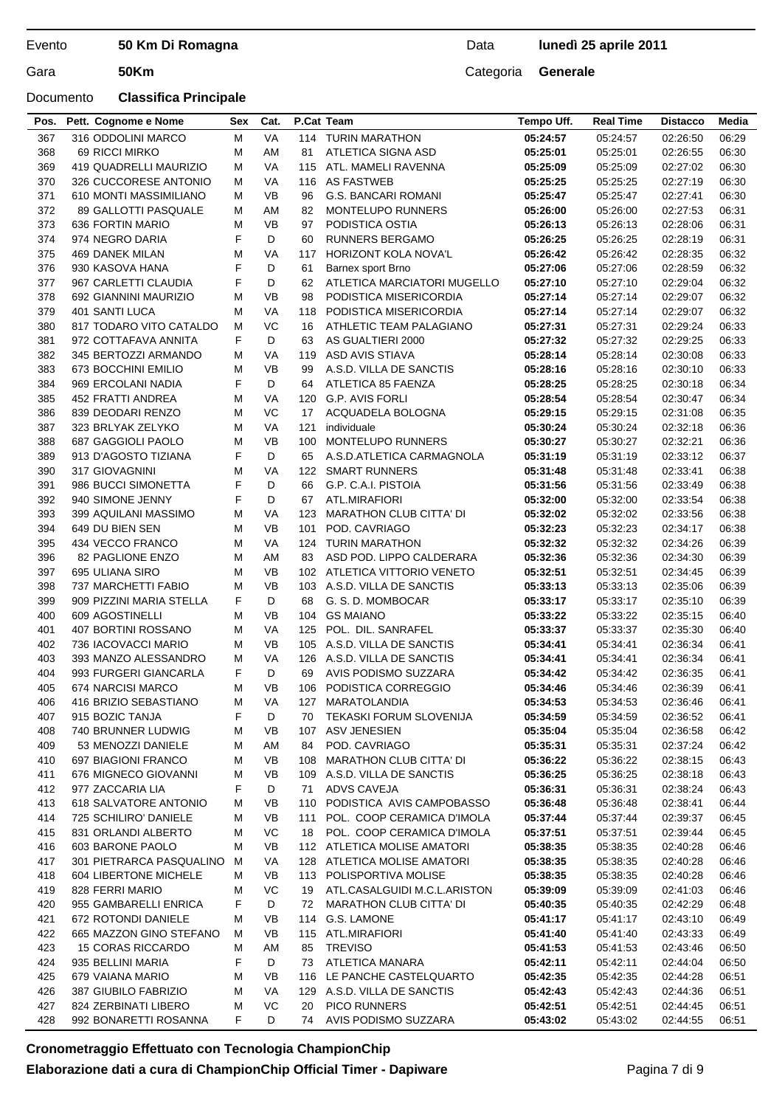### Documento **Classifica Principale**

| <b>VA</b><br>05:24:57<br>367<br>316 ODDOLINI MARCO<br>М<br>114 TURIN MARATHON<br>05:24:57<br>02:26:50<br>06:29<br>368<br>81<br>ATLETICA SIGNA ASD<br>06:30<br>69 RICCI MIRKO<br>М<br>AM<br>05:25:01<br>05:25:01<br>02:26:55<br>VA<br>369<br>419 QUADRELLI MAURIZIO<br>М<br>115<br>ATL. MAMELI RAVENNA<br>05:25:09<br>05:25:09<br>02:27:02<br>06:30<br>370<br>326 CUCCORESE ANTONIO<br>VA<br><b>AS FASTWEB</b><br>06:30<br>М<br>116<br>05:25:25<br>05:25:25<br>02:27:19<br>371<br><b>VB</b><br>610 MONTI MASSIMILIANO<br>М<br>96<br><b>G.S. BANCARI ROMANI</b><br>05:25:47<br>06:30<br>05:25:47<br>02:27:41<br>372<br>89 GALLOTTI PASQUALE<br>М<br>AM<br>82<br><b>MONTELUPO RUNNERS</b><br>05:26:00<br>05:26:00<br>02:27:53<br>06:31<br>373<br><b>VB</b><br>06:31<br>636 FORTIN MARIO<br>М<br>97<br>PODISTICA OSTIA<br>05:26:13<br>05:26:13<br>02:28:06<br>F<br>D<br>374<br>974 NEGRO DARIA<br>60<br><b>RUNNERS BERGAMO</b><br>06:31<br>05:26:25<br>05:26:25<br>02:28:19<br>375<br>469 DANEK MILAN<br>М<br>VA<br>117<br><b>HORIZONT KOLA NOVA'L</b><br>05:26:42<br>05:26:42<br>02:28:35<br>06:32<br>F<br>376<br>D<br>06:32<br>930 KASOVA HANA<br>61<br>05:27:06<br>05:27:06<br>02:28:59<br>Barnex sport Brno<br>F<br>377<br>967 CARLETTI CLAUDIA<br>D<br>62<br>ATLETICA MARCIATORI MUGELLO<br>05:27:10<br>05:27:10<br>06:32<br>02:29:04<br>378<br>692 GIANNINI MAURIZIO<br>М<br>VB<br>98<br>PODISTICA MISERICORDIA<br>05:27:14<br>05:27:14<br>02:29:07<br>06:32<br>VA<br>379<br>401 SANTI LUCA<br>PODISTICA MISERICORDIA<br>05:27:14<br>05:27:14<br>02:29:07<br>06:32<br>м<br>118<br>817 TODARO VITO CATALDO<br>VC<br>380<br>ATHLETIC TEAM PALAGIANO<br>05:27:31<br>05:27:31<br>02:29:24<br>06:33<br>М<br>16<br>F<br>D<br>381<br>972 COTTAFAVA ANNITA<br>63<br>AS GUALTIERI 2000<br>05:27:32<br>05:27:32<br>02:29:25<br>06:33<br>382<br>ASD AVIS STIAVA<br>06:33<br>345 BERTOZZI ARMANDO<br>М<br>VA<br>119<br>05:28:14<br>05:28:14<br>02:30:08<br>M<br><b>VB</b><br>383<br>673 BOCCHINI EMILIO<br>A.S.D. VILLA DE SANCTIS<br>05:28:16<br>05:28:16<br>06:33<br>99<br>02:30:10<br>F<br>D<br>384<br>969 ERCOLANI NADIA<br>64<br>ATLETICA 85 FAENZA<br>05:28:25<br>05:28:25<br>02:30:18<br>06:34<br>06:34<br>385<br>452 FRATTI ANDREA<br>М<br>VA<br>120<br><b>G.P. AVIS FORLI</b><br>05:28:54<br>05:28:54<br>02:30:47<br>VC<br>386<br>839 DEODARI RENZO<br>М<br>17<br>ACQUADELA BOLOGNA<br>06:35<br>05:29:15<br>05:29:15<br>02:31:08<br>VA<br>387<br>323 BRLYAK ZELYKO<br>М<br>121<br>individuale<br>05:30:24<br>05:30:24<br>02:32:18<br>06:36<br>M<br><b>VB</b><br>06:36<br>388<br>687 GAGGIOLI PAOLO<br>100<br><b>MONTELUPO RUNNERS</b><br>05:30:27<br>05:30:27<br>02:32:21<br>F<br>D<br>389<br>913 D'AGOSTO TIZIANA<br>65<br>A.S.D.ATLETICA CARMAGNOLA<br>05:31:19<br>05:31:19<br>06:37<br>02:33:12<br>390<br>317 GIOVAGNINI<br>М<br>VA<br>122<br><b>SMART RUNNERS</b><br>05:31:48<br>05:31:48<br>02:33:41<br>06:38<br>F<br>D<br>06:38<br>391<br>986 BUCCI SIMONETTA<br>66<br>G.P. C.A.I. PISTOIA<br>05:31:56<br>05:31:56<br>02:33:49<br>F<br>392<br>940 SIMONE JENNY<br>D<br>67<br>ATL.MIRAFIORI<br>05:32:00<br>05:32:00<br>02:33:54<br>06:38<br>VA<br>393<br>399 AQUILANI MASSIMO<br>М<br>123<br><b>MARATHON CLUB CITTA' DI</b><br>05:32:02<br>05:32:02<br>02:33:56<br>06:38<br>394<br>M<br><b>VB</b><br>06:38<br>649 DU BIEN SEN<br>101<br>POD. CAVRIAGO<br>05:32:23<br>05:32:23<br>02:34:17<br>VA<br>395<br>434 VECCO FRANCO<br>М<br>124<br><b>TURIN MARATHON</b><br>05:32:32<br>05:32:32<br>02:34:26<br>06:39<br>AM<br>396<br>82 PAGLIONE ENZO<br>М<br>83<br>ASD POD. LIPPO CALDERARA<br>05:32:36<br>05:32:36<br>02:34:30<br>06:39<br>397<br>695 ULIANA SIRO<br>М<br>VB<br>102 ATLETICA VITTORIO VENETO<br>05:32:51<br>05:32:51<br>02:34:45<br>06:39<br>398<br>737 MARCHETTI FABIO<br>М<br>VB<br>A.S.D. VILLA DE SANCTIS<br>06:39<br>103<br>05:33:13<br>05:33:13<br>02:35:06<br>399<br>F<br>D<br>909 PIZZINI MARIA STELLA<br>68<br>G. S. D. MOMBOCAR<br>05:33:17<br>06:39<br>05:33:17<br>02:35:10<br><b>VB</b><br><b>GS MAIANO</b><br>400<br>609 AGOSTINELLI<br>М<br>104<br>05:33:22<br>02:35:15<br>06:40<br>05:33:22<br>401<br>407 BORTINI ROSSANO<br>М<br>VA<br>125<br>POL. DIL. SANRAFEL<br>05:33:37<br>05:33:37<br>02:35:30<br>06:40<br><b>VB</b><br>402<br>736 IACOVACCI MARIO<br>М<br>105 A.S.D. VILLA DE SANCTIS<br>05:34:41<br>05:34:41<br>02:36:34<br>06:41<br>403<br>393 MANZO ALESSANDRO<br>VA<br>126 A.S.D. VILLA DE SANCTIS<br>05:34:41<br>05:34:41<br>02:36:34<br>06:41<br>М<br>F<br>404<br>993 FURGERI GIANCARLA<br>D<br>69<br>AVIS PODISMO SUZZARA<br>05:34:42<br>05:34:42<br>06:41<br>02:36:35<br><b>VB</b><br>405<br>674 NARCISI MARCO<br>м<br>106 PODISTICA CORREGGIO<br>05:34:46<br>05:34:46<br>02:36:39<br>06:41<br>406<br>416 BRIZIO SEBASTIANO<br>M<br>VA<br>127 MARATOLANDIA<br>05:34:53<br>02:36:46<br>05:34:53<br>06:41<br>915 BOZIC TANJA<br>F<br>407<br>D<br><b>TEKASKI FORUM SLOVENIJA</b><br>05:34:59<br>05:34:59<br>02:36:52<br>06:41<br>70<br>408<br>740 BRUNNER LUDWIG<br>05:35:04<br>М<br>VB<br>107<br>ASV JENESIEN<br>05:35:04<br>02:36:58<br>06:42<br>409<br>53 MENOZZI DANIELE<br>AM<br>84<br>POD. CAVRIAGO<br>05:35:31<br>05:35:31<br>02:37:24<br>06:42<br>М<br>697 BIAGIONI FRANCO<br><b>MARATHON CLUB CITTA' DI</b><br>410<br>М<br>VB<br>05:36:22<br>05:36:22<br>02:38:15<br>06:43<br>108<br>411<br>676 MIGNECO GIOVANNI<br>VB<br>109 A.S.D. VILLA DE SANCTIS<br>М<br>05:36:25<br>05:36:25<br>02:38:18<br>06:43<br>F<br>412<br>977 ZACCARIA LIA<br>D<br>71<br>ADVS CAVEJA<br>05:36:31<br>05:36:31<br>02:38:24<br>06:43<br>618 SALVATORE ANTONIO<br>PODISTICA AVIS CAMPOBASSO<br>413<br>М<br>VB<br>110<br>05:36:48<br>05:36:48<br>02:38:41<br>06:44<br>414<br>725 SCHILIRO' DANIELE<br>POL. COOP CERAMICA D'IMOLA<br>05:37:44<br>М<br>VB<br>111<br>05:37:44<br>02:39:37<br>06:45<br>415<br>831 ORLANDI ALBERTO<br>VC<br>POL. COOP CERAMICA D'IMOLA<br>05:37:51<br>05:37:51<br>02:39:44<br>06:45<br>М<br>18<br>603 BARONE PAOLO<br>VB<br>112 ATLETICA MOLISE AMATORI<br>416<br>М<br>05:38:35<br>05:38:35<br>02:40:28<br>06:46<br>417<br>301 PIETRARCA PASQUALINO<br>VA<br>128 ATLETICA MOLISE AMATORI<br>05:38:35<br>05:38:35<br>02:40:28<br>06:46<br>м<br>418<br>604 LIBERTONE MICHELE<br>VB<br>113 POLISPORTIVA MOLISE<br>М<br>05:38:35<br>05:38:35<br>02:40:28<br>06:46<br>828 FERRI MARIO<br>VC<br>419<br>М<br>ATL.CASALGUIDI M.C.L.ARISTON<br>05:39:09<br>05:39:09<br>02:41:03<br>06:46<br>19<br>F<br><b>MARATHON CLUB CITTA' DI</b><br>420<br>955 GAMBARELLI ENRICA<br>D<br>05:40:35<br>05:40:35<br>02:42:29<br>06:48<br>72<br>672 ROTONDI DANIELE<br>114 G.S. LAMONE<br>421<br>VB<br>05:41:17<br>05:41:17<br>02:43:10<br>06:49<br>М<br>665 MAZZON GINO STEFANO<br>422<br>VB<br>115 ATL.MIRAFIORI<br>05:41:40<br>05:41:40<br>02:43:33<br>06:49<br>M<br>423<br><b>15 CORAS RICCARDO</b><br>85<br><b>TREVISO</b><br>М<br>AM<br>05:41:53<br>05:41:53<br>02:43:46<br>06:50<br>F<br>424<br>935 BELLINI MARIA<br>D<br>ATLETICA MANARA<br>05:42:11<br>73<br>05:42:11<br>02:44:04<br>06:50<br>116 LE PANCHE CASTELQUARTO<br>425<br>679 VAIANA MARIO<br>М<br>VB<br>05:42:35<br>05:42:35<br>02:44:28<br>06:51<br>VA<br>129 A.S.D. VILLA DE SANCTIS<br>426<br>387 GIUBILO FABRIZIO<br>М<br>05:42:43<br>05:42:43<br>02:44:36<br>06:51<br>VC<br>427<br>824 ZERBINATI LIBERO<br><b>PICO RUNNERS</b><br>М<br>20<br>05:42:51<br>05:42:51<br>02:44:45<br>06:51<br>992 BONARETTI ROSANNA<br>F<br>AVIS PODISMO SUZZARA<br>428<br>D<br>74<br>05:43:02<br>05:43:02<br>02:44:55<br>06:51 | Pos. | Pett. Cognome e Nome | <b>Sex</b> | Cat. | P.Cat Team | Tempo Uff. | <b>Real Time</b> | <b>Distacco</b> | Media |
|-------------------------------------------------------------------------------------------------------------------------------------------------------------------------------------------------------------------------------------------------------------------------------------------------------------------------------------------------------------------------------------------------------------------------------------------------------------------------------------------------------------------------------------------------------------------------------------------------------------------------------------------------------------------------------------------------------------------------------------------------------------------------------------------------------------------------------------------------------------------------------------------------------------------------------------------------------------------------------------------------------------------------------------------------------------------------------------------------------------------------------------------------------------------------------------------------------------------------------------------------------------------------------------------------------------------------------------------------------------------------------------------------------------------------------------------------------------------------------------------------------------------------------------------------------------------------------------------------------------------------------------------------------------------------------------------------------------------------------------------------------------------------------------------------------------------------------------------------------------------------------------------------------------------------------------------------------------------------------------------------------------------------------------------------------------------------------------------------------------------------------------------------------------------------------------------------------------------------------------------------------------------------------------------------------------------------------------------------------------------------------------------------------------------------------------------------------------------------------------------------------------------------------------------------------------------------------------------------------------------------------------------------------------------------------------------------------------------------------------------------------------------------------------------------------------------------------------------------------------------------------------------------------------------------------------------------------------------------------------------------------------------------------------------------------------------------------------------------------------------------------------------------------------------------------------------------------------------------------------------------------------------------------------------------------------------------------------------------------------------------------------------------------------------------------------------------------------------------------------------------------------------------------------------------------------------------------------------------------------------------------------------------------------------------------------------------------------------------------------------------------------------------------------------------------------------------------------------------------------------------------------------------------------------------------------------------------------------------------------------------------------------------------------------------------------------------------------------------------------------------------------------------------------------------------------------------------------------------------------------------------------------------------------------------------------------------------------------------------------------------------------------------------------------------------------------------------------------------------------------------------------------------------------------------------------------------------------------------------------------------------------------------------------------------------------------------------------------------------------------------------------------------------------------------------------------------------------------------------------------------------------------------------------------------------------------------------------------------------------------------------------------------------------------------------------------------------------------------------------------------------------------------------------------------------------------------------------------------------------------------------------------------------------------------------------------------------------------------------------------------------------------------------------------------------------------------------------------------------------------------------------------------------------------------------------------------------------------------------------------------------------------------------------------------------------------------------------------------------------------------------------------------------------------------------------------------------------------------------------------------------------------------------------------------------------------------------------------------------------------------------------------------------------------------------------------------------------------------------------------------------------------------------------------------------------------------------------------------------------------------------------------------------------------------------------------------------------------------------------------------------------------------------------------------------------------------------------------------------------------------------------------------------------------------------------------------------------------------------------------------------------------------------------------------------------------------------------------------------------------------------------------------------------------------------------------------------------------------------------------------------------------------------------------------------------------------------------------------------------------------------------------------------------------------------------------------------------------------------------------------------------------------------------------------------------------------------------------------------------------------------------------------------------------------------------------------------------------------------------------------------------------------------------------------------------------------------------------------------------------------------------------|------|----------------------|------------|------|------------|------------|------------------|-----------------|-------|
|                                                                                                                                                                                                                                                                                                                                                                                                                                                                                                                                                                                                                                                                                                                                                                                                                                                                                                                                                                                                                                                                                                                                                                                                                                                                                                                                                                                                                                                                                                                                                                                                                                                                                                                                                                                                                                                                                                                                                                                                                                                                                                                                                                                                                                                                                                                                                                                                                                                                                                                                                                                                                                                                                                                                                                                                                                                                                                                                                                                                                                                                                                                                                                                                                                                                                                                                                                                                                                                                                                                                                                                                                                                                                                                                                                                                                                                                                                                                                                                                                                                                                                                                                                                                                                                                                                                                                                                                                                                                                                                                                                                                                                                                                                                                                                                                                                                                                                                                                                                                                                                                                                                                                                                                                                                                                                                                                                                                                                                                                                                                                                                                                                                                                                                                                                                                                                                                                                                                                                                                                                                                                                                                                                                                                                                                                                                                                                                                                                                                                                                                                                                                                                                                                                                                                                                                                                                                                                                                                                                                                                                                                                                                                                                                                                                                                                                                                                                                                                                                                                                   |      |                      |            |      |            |            |                  |                 |       |
|                                                                                                                                                                                                                                                                                                                                                                                                                                                                                                                                                                                                                                                                                                                                                                                                                                                                                                                                                                                                                                                                                                                                                                                                                                                                                                                                                                                                                                                                                                                                                                                                                                                                                                                                                                                                                                                                                                                                                                                                                                                                                                                                                                                                                                                                                                                                                                                                                                                                                                                                                                                                                                                                                                                                                                                                                                                                                                                                                                                                                                                                                                                                                                                                                                                                                                                                                                                                                                                                                                                                                                                                                                                                                                                                                                                                                                                                                                                                                                                                                                                                                                                                                                                                                                                                                                                                                                                                                                                                                                                                                                                                                                                                                                                                                                                                                                                                                                                                                                                                                                                                                                                                                                                                                                                                                                                                                                                                                                                                                                                                                                                                                                                                                                                                                                                                                                                                                                                                                                                                                                                                                                                                                                                                                                                                                                                                                                                                                                                                                                                                                                                                                                                                                                                                                                                                                                                                                                                                                                                                                                                                                                                                                                                                                                                                                                                                                                                                                                                                                                                   |      |                      |            |      |            |            |                  |                 |       |
|                                                                                                                                                                                                                                                                                                                                                                                                                                                                                                                                                                                                                                                                                                                                                                                                                                                                                                                                                                                                                                                                                                                                                                                                                                                                                                                                                                                                                                                                                                                                                                                                                                                                                                                                                                                                                                                                                                                                                                                                                                                                                                                                                                                                                                                                                                                                                                                                                                                                                                                                                                                                                                                                                                                                                                                                                                                                                                                                                                                                                                                                                                                                                                                                                                                                                                                                                                                                                                                                                                                                                                                                                                                                                                                                                                                                                                                                                                                                                                                                                                                                                                                                                                                                                                                                                                                                                                                                                                                                                                                                                                                                                                                                                                                                                                                                                                                                                                                                                                                                                                                                                                                                                                                                                                                                                                                                                                                                                                                                                                                                                                                                                                                                                                                                                                                                                                                                                                                                                                                                                                                                                                                                                                                                                                                                                                                                                                                                                                                                                                                                                                                                                                                                                                                                                                                                                                                                                                                                                                                                                                                                                                                                                                                                                                                                                                                                                                                                                                                                                                                   |      |                      |            |      |            |            |                  |                 |       |
|                                                                                                                                                                                                                                                                                                                                                                                                                                                                                                                                                                                                                                                                                                                                                                                                                                                                                                                                                                                                                                                                                                                                                                                                                                                                                                                                                                                                                                                                                                                                                                                                                                                                                                                                                                                                                                                                                                                                                                                                                                                                                                                                                                                                                                                                                                                                                                                                                                                                                                                                                                                                                                                                                                                                                                                                                                                                                                                                                                                                                                                                                                                                                                                                                                                                                                                                                                                                                                                                                                                                                                                                                                                                                                                                                                                                                                                                                                                                                                                                                                                                                                                                                                                                                                                                                                                                                                                                                                                                                                                                                                                                                                                                                                                                                                                                                                                                                                                                                                                                                                                                                                                                                                                                                                                                                                                                                                                                                                                                                                                                                                                                                                                                                                                                                                                                                                                                                                                                                                                                                                                                                                                                                                                                                                                                                                                                                                                                                                                                                                                                                                                                                                                                                                                                                                                                                                                                                                                                                                                                                                                                                                                                                                                                                                                                                                                                                                                                                                                                                                                   |      |                      |            |      |            |            |                  |                 |       |
|                                                                                                                                                                                                                                                                                                                                                                                                                                                                                                                                                                                                                                                                                                                                                                                                                                                                                                                                                                                                                                                                                                                                                                                                                                                                                                                                                                                                                                                                                                                                                                                                                                                                                                                                                                                                                                                                                                                                                                                                                                                                                                                                                                                                                                                                                                                                                                                                                                                                                                                                                                                                                                                                                                                                                                                                                                                                                                                                                                                                                                                                                                                                                                                                                                                                                                                                                                                                                                                                                                                                                                                                                                                                                                                                                                                                                                                                                                                                                                                                                                                                                                                                                                                                                                                                                                                                                                                                                                                                                                                                                                                                                                                                                                                                                                                                                                                                                                                                                                                                                                                                                                                                                                                                                                                                                                                                                                                                                                                                                                                                                                                                                                                                                                                                                                                                                                                                                                                                                                                                                                                                                                                                                                                                                                                                                                                                                                                                                                                                                                                                                                                                                                                                                                                                                                                                                                                                                                                                                                                                                                                                                                                                                                                                                                                                                                                                                                                                                                                                                                                   |      |                      |            |      |            |            |                  |                 |       |
|                                                                                                                                                                                                                                                                                                                                                                                                                                                                                                                                                                                                                                                                                                                                                                                                                                                                                                                                                                                                                                                                                                                                                                                                                                                                                                                                                                                                                                                                                                                                                                                                                                                                                                                                                                                                                                                                                                                                                                                                                                                                                                                                                                                                                                                                                                                                                                                                                                                                                                                                                                                                                                                                                                                                                                                                                                                                                                                                                                                                                                                                                                                                                                                                                                                                                                                                                                                                                                                                                                                                                                                                                                                                                                                                                                                                                                                                                                                                                                                                                                                                                                                                                                                                                                                                                                                                                                                                                                                                                                                                                                                                                                                                                                                                                                                                                                                                                                                                                                                                                                                                                                                                                                                                                                                                                                                                                                                                                                                                                                                                                                                                                                                                                                                                                                                                                                                                                                                                                                                                                                                                                                                                                                                                                                                                                                                                                                                                                                                                                                                                                                                                                                                                                                                                                                                                                                                                                                                                                                                                                                                                                                                                                                                                                                                                                                                                                                                                                                                                                                                   |      |                      |            |      |            |            |                  |                 |       |
|                                                                                                                                                                                                                                                                                                                                                                                                                                                                                                                                                                                                                                                                                                                                                                                                                                                                                                                                                                                                                                                                                                                                                                                                                                                                                                                                                                                                                                                                                                                                                                                                                                                                                                                                                                                                                                                                                                                                                                                                                                                                                                                                                                                                                                                                                                                                                                                                                                                                                                                                                                                                                                                                                                                                                                                                                                                                                                                                                                                                                                                                                                                                                                                                                                                                                                                                                                                                                                                                                                                                                                                                                                                                                                                                                                                                                                                                                                                                                                                                                                                                                                                                                                                                                                                                                                                                                                                                                                                                                                                                                                                                                                                                                                                                                                                                                                                                                                                                                                                                                                                                                                                                                                                                                                                                                                                                                                                                                                                                                                                                                                                                                                                                                                                                                                                                                                                                                                                                                                                                                                                                                                                                                                                                                                                                                                                                                                                                                                                                                                                                                                                                                                                                                                                                                                                                                                                                                                                                                                                                                                                                                                                                                                                                                                                                                                                                                                                                                                                                                                                   |      |                      |            |      |            |            |                  |                 |       |
|                                                                                                                                                                                                                                                                                                                                                                                                                                                                                                                                                                                                                                                                                                                                                                                                                                                                                                                                                                                                                                                                                                                                                                                                                                                                                                                                                                                                                                                                                                                                                                                                                                                                                                                                                                                                                                                                                                                                                                                                                                                                                                                                                                                                                                                                                                                                                                                                                                                                                                                                                                                                                                                                                                                                                                                                                                                                                                                                                                                                                                                                                                                                                                                                                                                                                                                                                                                                                                                                                                                                                                                                                                                                                                                                                                                                                                                                                                                                                                                                                                                                                                                                                                                                                                                                                                                                                                                                                                                                                                                                                                                                                                                                                                                                                                                                                                                                                                                                                                                                                                                                                                                                                                                                                                                                                                                                                                                                                                                                                                                                                                                                                                                                                                                                                                                                                                                                                                                                                                                                                                                                                                                                                                                                                                                                                                                                                                                                                                                                                                                                                                                                                                                                                                                                                                                                                                                                                                                                                                                                                                                                                                                                                                                                                                                                                                                                                                                                                                                                                                                   |      |                      |            |      |            |            |                  |                 |       |
|                                                                                                                                                                                                                                                                                                                                                                                                                                                                                                                                                                                                                                                                                                                                                                                                                                                                                                                                                                                                                                                                                                                                                                                                                                                                                                                                                                                                                                                                                                                                                                                                                                                                                                                                                                                                                                                                                                                                                                                                                                                                                                                                                                                                                                                                                                                                                                                                                                                                                                                                                                                                                                                                                                                                                                                                                                                                                                                                                                                                                                                                                                                                                                                                                                                                                                                                                                                                                                                                                                                                                                                                                                                                                                                                                                                                                                                                                                                                                                                                                                                                                                                                                                                                                                                                                                                                                                                                                                                                                                                                                                                                                                                                                                                                                                                                                                                                                                                                                                                                                                                                                                                                                                                                                                                                                                                                                                                                                                                                                                                                                                                                                                                                                                                                                                                                                                                                                                                                                                                                                                                                                                                                                                                                                                                                                                                                                                                                                                                                                                                                                                                                                                                                                                                                                                                                                                                                                                                                                                                                                                                                                                                                                                                                                                                                                                                                                                                                                                                                                                                   |      |                      |            |      |            |            |                  |                 |       |
|                                                                                                                                                                                                                                                                                                                                                                                                                                                                                                                                                                                                                                                                                                                                                                                                                                                                                                                                                                                                                                                                                                                                                                                                                                                                                                                                                                                                                                                                                                                                                                                                                                                                                                                                                                                                                                                                                                                                                                                                                                                                                                                                                                                                                                                                                                                                                                                                                                                                                                                                                                                                                                                                                                                                                                                                                                                                                                                                                                                                                                                                                                                                                                                                                                                                                                                                                                                                                                                                                                                                                                                                                                                                                                                                                                                                                                                                                                                                                                                                                                                                                                                                                                                                                                                                                                                                                                                                                                                                                                                                                                                                                                                                                                                                                                                                                                                                                                                                                                                                                                                                                                                                                                                                                                                                                                                                                                                                                                                                                                                                                                                                                                                                                                                                                                                                                                                                                                                                                                                                                                                                                                                                                                                                                                                                                                                                                                                                                                                                                                                                                                                                                                                                                                                                                                                                                                                                                                                                                                                                                                                                                                                                                                                                                                                                                                                                                                                                                                                                                                                   |      |                      |            |      |            |            |                  |                 |       |
|                                                                                                                                                                                                                                                                                                                                                                                                                                                                                                                                                                                                                                                                                                                                                                                                                                                                                                                                                                                                                                                                                                                                                                                                                                                                                                                                                                                                                                                                                                                                                                                                                                                                                                                                                                                                                                                                                                                                                                                                                                                                                                                                                                                                                                                                                                                                                                                                                                                                                                                                                                                                                                                                                                                                                                                                                                                                                                                                                                                                                                                                                                                                                                                                                                                                                                                                                                                                                                                                                                                                                                                                                                                                                                                                                                                                                                                                                                                                                                                                                                                                                                                                                                                                                                                                                                                                                                                                                                                                                                                                                                                                                                                                                                                                                                                                                                                                                                                                                                                                                                                                                                                                                                                                                                                                                                                                                                                                                                                                                                                                                                                                                                                                                                                                                                                                                                                                                                                                                                                                                                                                                                                                                                                                                                                                                                                                                                                                                                                                                                                                                                                                                                                                                                                                                                                                                                                                                                                                                                                                                                                                                                                                                                                                                                                                                                                                                                                                                                                                                                                   |      |                      |            |      |            |            |                  |                 |       |
|                                                                                                                                                                                                                                                                                                                                                                                                                                                                                                                                                                                                                                                                                                                                                                                                                                                                                                                                                                                                                                                                                                                                                                                                                                                                                                                                                                                                                                                                                                                                                                                                                                                                                                                                                                                                                                                                                                                                                                                                                                                                                                                                                                                                                                                                                                                                                                                                                                                                                                                                                                                                                                                                                                                                                                                                                                                                                                                                                                                                                                                                                                                                                                                                                                                                                                                                                                                                                                                                                                                                                                                                                                                                                                                                                                                                                                                                                                                                                                                                                                                                                                                                                                                                                                                                                                                                                                                                                                                                                                                                                                                                                                                                                                                                                                                                                                                                                                                                                                                                                                                                                                                                                                                                                                                                                                                                                                                                                                                                                                                                                                                                                                                                                                                                                                                                                                                                                                                                                                                                                                                                                                                                                                                                                                                                                                                                                                                                                                                                                                                                                                                                                                                                                                                                                                                                                                                                                                                                                                                                                                                                                                                                                                                                                                                                                                                                                                                                                                                                                                                   |      |                      |            |      |            |            |                  |                 |       |
|                                                                                                                                                                                                                                                                                                                                                                                                                                                                                                                                                                                                                                                                                                                                                                                                                                                                                                                                                                                                                                                                                                                                                                                                                                                                                                                                                                                                                                                                                                                                                                                                                                                                                                                                                                                                                                                                                                                                                                                                                                                                                                                                                                                                                                                                                                                                                                                                                                                                                                                                                                                                                                                                                                                                                                                                                                                                                                                                                                                                                                                                                                                                                                                                                                                                                                                                                                                                                                                                                                                                                                                                                                                                                                                                                                                                                                                                                                                                                                                                                                                                                                                                                                                                                                                                                                                                                                                                                                                                                                                                                                                                                                                                                                                                                                                                                                                                                                                                                                                                                                                                                                                                                                                                                                                                                                                                                                                                                                                                                                                                                                                                                                                                                                                                                                                                                                                                                                                                                                                                                                                                                                                                                                                                                                                                                                                                                                                                                                                                                                                                                                                                                                                                                                                                                                                                                                                                                                                                                                                                                                                                                                                                                                                                                                                                                                                                                                                                                                                                                                                   |      |                      |            |      |            |            |                  |                 |       |
|                                                                                                                                                                                                                                                                                                                                                                                                                                                                                                                                                                                                                                                                                                                                                                                                                                                                                                                                                                                                                                                                                                                                                                                                                                                                                                                                                                                                                                                                                                                                                                                                                                                                                                                                                                                                                                                                                                                                                                                                                                                                                                                                                                                                                                                                                                                                                                                                                                                                                                                                                                                                                                                                                                                                                                                                                                                                                                                                                                                                                                                                                                                                                                                                                                                                                                                                                                                                                                                                                                                                                                                                                                                                                                                                                                                                                                                                                                                                                                                                                                                                                                                                                                                                                                                                                                                                                                                                                                                                                                                                                                                                                                                                                                                                                                                                                                                                                                                                                                                                                                                                                                                                                                                                                                                                                                                                                                                                                                                                                                                                                                                                                                                                                                                                                                                                                                                                                                                                                                                                                                                                                                                                                                                                                                                                                                                                                                                                                                                                                                                                                                                                                                                                                                                                                                                                                                                                                                                                                                                                                                                                                                                                                                                                                                                                                                                                                                                                                                                                                                                   |      |                      |            |      |            |            |                  |                 |       |
|                                                                                                                                                                                                                                                                                                                                                                                                                                                                                                                                                                                                                                                                                                                                                                                                                                                                                                                                                                                                                                                                                                                                                                                                                                                                                                                                                                                                                                                                                                                                                                                                                                                                                                                                                                                                                                                                                                                                                                                                                                                                                                                                                                                                                                                                                                                                                                                                                                                                                                                                                                                                                                                                                                                                                                                                                                                                                                                                                                                                                                                                                                                                                                                                                                                                                                                                                                                                                                                                                                                                                                                                                                                                                                                                                                                                                                                                                                                                                                                                                                                                                                                                                                                                                                                                                                                                                                                                                                                                                                                                                                                                                                                                                                                                                                                                                                                                                                                                                                                                                                                                                                                                                                                                                                                                                                                                                                                                                                                                                                                                                                                                                                                                                                                                                                                                                                                                                                                                                                                                                                                                                                                                                                                                                                                                                                                                                                                                                                                                                                                                                                                                                                                                                                                                                                                                                                                                                                                                                                                                                                                                                                                                                                                                                                                                                                                                                                                                                                                                                                                   |      |                      |            |      |            |            |                  |                 |       |
|                                                                                                                                                                                                                                                                                                                                                                                                                                                                                                                                                                                                                                                                                                                                                                                                                                                                                                                                                                                                                                                                                                                                                                                                                                                                                                                                                                                                                                                                                                                                                                                                                                                                                                                                                                                                                                                                                                                                                                                                                                                                                                                                                                                                                                                                                                                                                                                                                                                                                                                                                                                                                                                                                                                                                                                                                                                                                                                                                                                                                                                                                                                                                                                                                                                                                                                                                                                                                                                                                                                                                                                                                                                                                                                                                                                                                                                                                                                                                                                                                                                                                                                                                                                                                                                                                                                                                                                                                                                                                                                                                                                                                                                                                                                                                                                                                                                                                                                                                                                                                                                                                                                                                                                                                                                                                                                                                                                                                                                                                                                                                                                                                                                                                                                                                                                                                                                                                                                                                                                                                                                                                                                                                                                                                                                                                                                                                                                                                                                                                                                                                                                                                                                                                                                                                                                                                                                                                                                                                                                                                                                                                                                                                                                                                                                                                                                                                                                                                                                                                                                   |      |                      |            |      |            |            |                  |                 |       |
|                                                                                                                                                                                                                                                                                                                                                                                                                                                                                                                                                                                                                                                                                                                                                                                                                                                                                                                                                                                                                                                                                                                                                                                                                                                                                                                                                                                                                                                                                                                                                                                                                                                                                                                                                                                                                                                                                                                                                                                                                                                                                                                                                                                                                                                                                                                                                                                                                                                                                                                                                                                                                                                                                                                                                                                                                                                                                                                                                                                                                                                                                                                                                                                                                                                                                                                                                                                                                                                                                                                                                                                                                                                                                                                                                                                                                                                                                                                                                                                                                                                                                                                                                                                                                                                                                                                                                                                                                                                                                                                                                                                                                                                                                                                                                                                                                                                                                                                                                                                                                                                                                                                                                                                                                                                                                                                                                                                                                                                                                                                                                                                                                                                                                                                                                                                                                                                                                                                                                                                                                                                                                                                                                                                                                                                                                                                                                                                                                                                                                                                                                                                                                                                                                                                                                                                                                                                                                                                                                                                                                                                                                                                                                                                                                                                                                                                                                                                                                                                                                                                   |      |                      |            |      |            |            |                  |                 |       |
|                                                                                                                                                                                                                                                                                                                                                                                                                                                                                                                                                                                                                                                                                                                                                                                                                                                                                                                                                                                                                                                                                                                                                                                                                                                                                                                                                                                                                                                                                                                                                                                                                                                                                                                                                                                                                                                                                                                                                                                                                                                                                                                                                                                                                                                                                                                                                                                                                                                                                                                                                                                                                                                                                                                                                                                                                                                                                                                                                                                                                                                                                                                                                                                                                                                                                                                                                                                                                                                                                                                                                                                                                                                                                                                                                                                                                                                                                                                                                                                                                                                                                                                                                                                                                                                                                                                                                                                                                                                                                                                                                                                                                                                                                                                                                                                                                                                                                                                                                                                                                                                                                                                                                                                                                                                                                                                                                                                                                                                                                                                                                                                                                                                                                                                                                                                                                                                                                                                                                                                                                                                                                                                                                                                                                                                                                                                                                                                                                                                                                                                                                                                                                                                                                                                                                                                                                                                                                                                                                                                                                                                                                                                                                                                                                                                                                                                                                                                                                                                                                                                   |      |                      |            |      |            |            |                  |                 |       |
|                                                                                                                                                                                                                                                                                                                                                                                                                                                                                                                                                                                                                                                                                                                                                                                                                                                                                                                                                                                                                                                                                                                                                                                                                                                                                                                                                                                                                                                                                                                                                                                                                                                                                                                                                                                                                                                                                                                                                                                                                                                                                                                                                                                                                                                                                                                                                                                                                                                                                                                                                                                                                                                                                                                                                                                                                                                                                                                                                                                                                                                                                                                                                                                                                                                                                                                                                                                                                                                                                                                                                                                                                                                                                                                                                                                                                                                                                                                                                                                                                                                                                                                                                                                                                                                                                                                                                                                                                                                                                                                                                                                                                                                                                                                                                                                                                                                                                                                                                                                                                                                                                                                                                                                                                                                                                                                                                                                                                                                                                                                                                                                                                                                                                                                                                                                                                                                                                                                                                                                                                                                                                                                                                                                                                                                                                                                                                                                                                                                                                                                                                                                                                                                                                                                                                                                                                                                                                                                                                                                                                                                                                                                                                                                                                                                                                                                                                                                                                                                                                                                   |      |                      |            |      |            |            |                  |                 |       |
|                                                                                                                                                                                                                                                                                                                                                                                                                                                                                                                                                                                                                                                                                                                                                                                                                                                                                                                                                                                                                                                                                                                                                                                                                                                                                                                                                                                                                                                                                                                                                                                                                                                                                                                                                                                                                                                                                                                                                                                                                                                                                                                                                                                                                                                                                                                                                                                                                                                                                                                                                                                                                                                                                                                                                                                                                                                                                                                                                                                                                                                                                                                                                                                                                                                                                                                                                                                                                                                                                                                                                                                                                                                                                                                                                                                                                                                                                                                                                                                                                                                                                                                                                                                                                                                                                                                                                                                                                                                                                                                                                                                                                                                                                                                                                                                                                                                                                                                                                                                                                                                                                                                                                                                                                                                                                                                                                                                                                                                                                                                                                                                                                                                                                                                                                                                                                                                                                                                                                                                                                                                                                                                                                                                                                                                                                                                                                                                                                                                                                                                                                                                                                                                                                                                                                                                                                                                                                                                                                                                                                                                                                                                                                                                                                                                                                                                                                                                                                                                                                                                   |      |                      |            |      |            |            |                  |                 |       |
|                                                                                                                                                                                                                                                                                                                                                                                                                                                                                                                                                                                                                                                                                                                                                                                                                                                                                                                                                                                                                                                                                                                                                                                                                                                                                                                                                                                                                                                                                                                                                                                                                                                                                                                                                                                                                                                                                                                                                                                                                                                                                                                                                                                                                                                                                                                                                                                                                                                                                                                                                                                                                                                                                                                                                                                                                                                                                                                                                                                                                                                                                                                                                                                                                                                                                                                                                                                                                                                                                                                                                                                                                                                                                                                                                                                                                                                                                                                                                                                                                                                                                                                                                                                                                                                                                                                                                                                                                                                                                                                                                                                                                                                                                                                                                                                                                                                                                                                                                                                                                                                                                                                                                                                                                                                                                                                                                                                                                                                                                                                                                                                                                                                                                                                                                                                                                                                                                                                                                                                                                                                                                                                                                                                                                                                                                                                                                                                                                                                                                                                                                                                                                                                                                                                                                                                                                                                                                                                                                                                                                                                                                                                                                                                                                                                                                                                                                                                                                                                                                                                   |      |                      |            |      |            |            |                  |                 |       |
|                                                                                                                                                                                                                                                                                                                                                                                                                                                                                                                                                                                                                                                                                                                                                                                                                                                                                                                                                                                                                                                                                                                                                                                                                                                                                                                                                                                                                                                                                                                                                                                                                                                                                                                                                                                                                                                                                                                                                                                                                                                                                                                                                                                                                                                                                                                                                                                                                                                                                                                                                                                                                                                                                                                                                                                                                                                                                                                                                                                                                                                                                                                                                                                                                                                                                                                                                                                                                                                                                                                                                                                                                                                                                                                                                                                                                                                                                                                                                                                                                                                                                                                                                                                                                                                                                                                                                                                                                                                                                                                                                                                                                                                                                                                                                                                                                                                                                                                                                                                                                                                                                                                                                                                                                                                                                                                                                                                                                                                                                                                                                                                                                                                                                                                                                                                                                                                                                                                                                                                                                                                                                                                                                                                                                                                                                                                                                                                                                                                                                                                                                                                                                                                                                                                                                                                                                                                                                                                                                                                                                                                                                                                                                                                                                                                                                                                                                                                                                                                                                                                   |      |                      |            |      |            |            |                  |                 |       |
|                                                                                                                                                                                                                                                                                                                                                                                                                                                                                                                                                                                                                                                                                                                                                                                                                                                                                                                                                                                                                                                                                                                                                                                                                                                                                                                                                                                                                                                                                                                                                                                                                                                                                                                                                                                                                                                                                                                                                                                                                                                                                                                                                                                                                                                                                                                                                                                                                                                                                                                                                                                                                                                                                                                                                                                                                                                                                                                                                                                                                                                                                                                                                                                                                                                                                                                                                                                                                                                                                                                                                                                                                                                                                                                                                                                                                                                                                                                                                                                                                                                                                                                                                                                                                                                                                                                                                                                                                                                                                                                                                                                                                                                                                                                                                                                                                                                                                                                                                                                                                                                                                                                                                                                                                                                                                                                                                                                                                                                                                                                                                                                                                                                                                                                                                                                                                                                                                                                                                                                                                                                                                                                                                                                                                                                                                                                                                                                                                                                                                                                                                                                                                                                                                                                                                                                                                                                                                                                                                                                                                                                                                                                                                                                                                                                                                                                                                                                                                                                                                                                   |      |                      |            |      |            |            |                  |                 |       |
|                                                                                                                                                                                                                                                                                                                                                                                                                                                                                                                                                                                                                                                                                                                                                                                                                                                                                                                                                                                                                                                                                                                                                                                                                                                                                                                                                                                                                                                                                                                                                                                                                                                                                                                                                                                                                                                                                                                                                                                                                                                                                                                                                                                                                                                                                                                                                                                                                                                                                                                                                                                                                                                                                                                                                                                                                                                                                                                                                                                                                                                                                                                                                                                                                                                                                                                                                                                                                                                                                                                                                                                                                                                                                                                                                                                                                                                                                                                                                                                                                                                                                                                                                                                                                                                                                                                                                                                                                                                                                                                                                                                                                                                                                                                                                                                                                                                                                                                                                                                                                                                                                                                                                                                                                                                                                                                                                                                                                                                                                                                                                                                                                                                                                                                                                                                                                                                                                                                                                                                                                                                                                                                                                                                                                                                                                                                                                                                                                                                                                                                                                                                                                                                                                                                                                                                                                                                                                                                                                                                                                                                                                                                                                                                                                                                                                                                                                                                                                                                                                                                   |      |                      |            |      |            |            |                  |                 |       |
|                                                                                                                                                                                                                                                                                                                                                                                                                                                                                                                                                                                                                                                                                                                                                                                                                                                                                                                                                                                                                                                                                                                                                                                                                                                                                                                                                                                                                                                                                                                                                                                                                                                                                                                                                                                                                                                                                                                                                                                                                                                                                                                                                                                                                                                                                                                                                                                                                                                                                                                                                                                                                                                                                                                                                                                                                                                                                                                                                                                                                                                                                                                                                                                                                                                                                                                                                                                                                                                                                                                                                                                                                                                                                                                                                                                                                                                                                                                                                                                                                                                                                                                                                                                                                                                                                                                                                                                                                                                                                                                                                                                                                                                                                                                                                                                                                                                                                                                                                                                                                                                                                                                                                                                                                                                                                                                                                                                                                                                                                                                                                                                                                                                                                                                                                                                                                                                                                                                                                                                                                                                                                                                                                                                                                                                                                                                                                                                                                                                                                                                                                                                                                                                                                                                                                                                                                                                                                                                                                                                                                                                                                                                                                                                                                                                                                                                                                                                                                                                                                                                   |      |                      |            |      |            |            |                  |                 |       |
|                                                                                                                                                                                                                                                                                                                                                                                                                                                                                                                                                                                                                                                                                                                                                                                                                                                                                                                                                                                                                                                                                                                                                                                                                                                                                                                                                                                                                                                                                                                                                                                                                                                                                                                                                                                                                                                                                                                                                                                                                                                                                                                                                                                                                                                                                                                                                                                                                                                                                                                                                                                                                                                                                                                                                                                                                                                                                                                                                                                                                                                                                                                                                                                                                                                                                                                                                                                                                                                                                                                                                                                                                                                                                                                                                                                                                                                                                                                                                                                                                                                                                                                                                                                                                                                                                                                                                                                                                                                                                                                                                                                                                                                                                                                                                                                                                                                                                                                                                                                                                                                                                                                                                                                                                                                                                                                                                                                                                                                                                                                                                                                                                                                                                                                                                                                                                                                                                                                                                                                                                                                                                                                                                                                                                                                                                                                                                                                                                                                                                                                                                                                                                                                                                                                                                                                                                                                                                                                                                                                                                                                                                                                                                                                                                                                                                                                                                                                                                                                                                                                   |      |                      |            |      |            |            |                  |                 |       |
|                                                                                                                                                                                                                                                                                                                                                                                                                                                                                                                                                                                                                                                                                                                                                                                                                                                                                                                                                                                                                                                                                                                                                                                                                                                                                                                                                                                                                                                                                                                                                                                                                                                                                                                                                                                                                                                                                                                                                                                                                                                                                                                                                                                                                                                                                                                                                                                                                                                                                                                                                                                                                                                                                                                                                                                                                                                                                                                                                                                                                                                                                                                                                                                                                                                                                                                                                                                                                                                                                                                                                                                                                                                                                                                                                                                                                                                                                                                                                                                                                                                                                                                                                                                                                                                                                                                                                                                                                                                                                                                                                                                                                                                                                                                                                                                                                                                                                                                                                                                                                                                                                                                                                                                                                                                                                                                                                                                                                                                                                                                                                                                                                                                                                                                                                                                                                                                                                                                                                                                                                                                                                                                                                                                                                                                                                                                                                                                                                                                                                                                                                                                                                                                                                                                                                                                                                                                                                                                                                                                                                                                                                                                                                                                                                                                                                                                                                                                                                                                                                                                   |      |                      |            |      |            |            |                  |                 |       |
|                                                                                                                                                                                                                                                                                                                                                                                                                                                                                                                                                                                                                                                                                                                                                                                                                                                                                                                                                                                                                                                                                                                                                                                                                                                                                                                                                                                                                                                                                                                                                                                                                                                                                                                                                                                                                                                                                                                                                                                                                                                                                                                                                                                                                                                                                                                                                                                                                                                                                                                                                                                                                                                                                                                                                                                                                                                                                                                                                                                                                                                                                                                                                                                                                                                                                                                                                                                                                                                                                                                                                                                                                                                                                                                                                                                                                                                                                                                                                                                                                                                                                                                                                                                                                                                                                                                                                                                                                                                                                                                                                                                                                                                                                                                                                                                                                                                                                                                                                                                                                                                                                                                                                                                                                                                                                                                                                                                                                                                                                                                                                                                                                                                                                                                                                                                                                                                                                                                                                                                                                                                                                                                                                                                                                                                                                                                                                                                                                                                                                                                                                                                                                                                                                                                                                                                                                                                                                                                                                                                                                                                                                                                                                                                                                                                                                                                                                                                                                                                                                                                   |      |                      |            |      |            |            |                  |                 |       |
|                                                                                                                                                                                                                                                                                                                                                                                                                                                                                                                                                                                                                                                                                                                                                                                                                                                                                                                                                                                                                                                                                                                                                                                                                                                                                                                                                                                                                                                                                                                                                                                                                                                                                                                                                                                                                                                                                                                                                                                                                                                                                                                                                                                                                                                                                                                                                                                                                                                                                                                                                                                                                                                                                                                                                                                                                                                                                                                                                                                                                                                                                                                                                                                                                                                                                                                                                                                                                                                                                                                                                                                                                                                                                                                                                                                                                                                                                                                                                                                                                                                                                                                                                                                                                                                                                                                                                                                                                                                                                                                                                                                                                                                                                                                                                                                                                                                                                                                                                                                                                                                                                                                                                                                                                                                                                                                                                                                                                                                                                                                                                                                                                                                                                                                                                                                                                                                                                                                                                                                                                                                                                                                                                                                                                                                                                                                                                                                                                                                                                                                                                                                                                                                                                                                                                                                                                                                                                                                                                                                                                                                                                                                                                                                                                                                                                                                                                                                                                                                                                                                   |      |                      |            |      |            |            |                  |                 |       |
|                                                                                                                                                                                                                                                                                                                                                                                                                                                                                                                                                                                                                                                                                                                                                                                                                                                                                                                                                                                                                                                                                                                                                                                                                                                                                                                                                                                                                                                                                                                                                                                                                                                                                                                                                                                                                                                                                                                                                                                                                                                                                                                                                                                                                                                                                                                                                                                                                                                                                                                                                                                                                                                                                                                                                                                                                                                                                                                                                                                                                                                                                                                                                                                                                                                                                                                                                                                                                                                                                                                                                                                                                                                                                                                                                                                                                                                                                                                                                                                                                                                                                                                                                                                                                                                                                                                                                                                                                                                                                                                                                                                                                                                                                                                                                                                                                                                                                                                                                                                                                                                                                                                                                                                                                                                                                                                                                                                                                                                                                                                                                                                                                                                                                                                                                                                                                                                                                                                                                                                                                                                                                                                                                                                                                                                                                                                                                                                                                                                                                                                                                                                                                                                                                                                                                                                                                                                                                                                                                                                                                                                                                                                                                                                                                                                                                                                                                                                                                                                                                                                   |      |                      |            |      |            |            |                  |                 |       |
|                                                                                                                                                                                                                                                                                                                                                                                                                                                                                                                                                                                                                                                                                                                                                                                                                                                                                                                                                                                                                                                                                                                                                                                                                                                                                                                                                                                                                                                                                                                                                                                                                                                                                                                                                                                                                                                                                                                                                                                                                                                                                                                                                                                                                                                                                                                                                                                                                                                                                                                                                                                                                                                                                                                                                                                                                                                                                                                                                                                                                                                                                                                                                                                                                                                                                                                                                                                                                                                                                                                                                                                                                                                                                                                                                                                                                                                                                                                                                                                                                                                                                                                                                                                                                                                                                                                                                                                                                                                                                                                                                                                                                                                                                                                                                                                                                                                                                                                                                                                                                                                                                                                                                                                                                                                                                                                                                                                                                                                                                                                                                                                                                                                                                                                                                                                                                                                                                                                                                                                                                                                                                                                                                                                                                                                                                                                                                                                                                                                                                                                                                                                                                                                                                                                                                                                                                                                                                                                                                                                                                                                                                                                                                                                                                                                                                                                                                                                                                                                                                                                   |      |                      |            |      |            |            |                  |                 |       |
|                                                                                                                                                                                                                                                                                                                                                                                                                                                                                                                                                                                                                                                                                                                                                                                                                                                                                                                                                                                                                                                                                                                                                                                                                                                                                                                                                                                                                                                                                                                                                                                                                                                                                                                                                                                                                                                                                                                                                                                                                                                                                                                                                                                                                                                                                                                                                                                                                                                                                                                                                                                                                                                                                                                                                                                                                                                                                                                                                                                                                                                                                                                                                                                                                                                                                                                                                                                                                                                                                                                                                                                                                                                                                                                                                                                                                                                                                                                                                                                                                                                                                                                                                                                                                                                                                                                                                                                                                                                                                                                                                                                                                                                                                                                                                                                                                                                                                                                                                                                                                                                                                                                                                                                                                                                                                                                                                                                                                                                                                                                                                                                                                                                                                                                                                                                                                                                                                                                                                                                                                                                                                                                                                                                                                                                                                                                                                                                                                                                                                                                                                                                                                                                                                                                                                                                                                                                                                                                                                                                                                                                                                                                                                                                                                                                                                                                                                                                                                                                                                                                   |      |                      |            |      |            |            |                  |                 |       |
|                                                                                                                                                                                                                                                                                                                                                                                                                                                                                                                                                                                                                                                                                                                                                                                                                                                                                                                                                                                                                                                                                                                                                                                                                                                                                                                                                                                                                                                                                                                                                                                                                                                                                                                                                                                                                                                                                                                                                                                                                                                                                                                                                                                                                                                                                                                                                                                                                                                                                                                                                                                                                                                                                                                                                                                                                                                                                                                                                                                                                                                                                                                                                                                                                                                                                                                                                                                                                                                                                                                                                                                                                                                                                                                                                                                                                                                                                                                                                                                                                                                                                                                                                                                                                                                                                                                                                                                                                                                                                                                                                                                                                                                                                                                                                                                                                                                                                                                                                                                                                                                                                                                                                                                                                                                                                                                                                                                                                                                                                                                                                                                                                                                                                                                                                                                                                                                                                                                                                                                                                                                                                                                                                                                                                                                                                                                                                                                                                                                                                                                                                                                                                                                                                                                                                                                                                                                                                                                                                                                                                                                                                                                                                                                                                                                                                                                                                                                                                                                                                                                   |      |                      |            |      |            |            |                  |                 |       |
|                                                                                                                                                                                                                                                                                                                                                                                                                                                                                                                                                                                                                                                                                                                                                                                                                                                                                                                                                                                                                                                                                                                                                                                                                                                                                                                                                                                                                                                                                                                                                                                                                                                                                                                                                                                                                                                                                                                                                                                                                                                                                                                                                                                                                                                                                                                                                                                                                                                                                                                                                                                                                                                                                                                                                                                                                                                                                                                                                                                                                                                                                                                                                                                                                                                                                                                                                                                                                                                                                                                                                                                                                                                                                                                                                                                                                                                                                                                                                                                                                                                                                                                                                                                                                                                                                                                                                                                                                                                                                                                                                                                                                                                                                                                                                                                                                                                                                                                                                                                                                                                                                                                                                                                                                                                                                                                                                                                                                                                                                                                                                                                                                                                                                                                                                                                                                                                                                                                                                                                                                                                                                                                                                                                                                                                                                                                                                                                                                                                                                                                                                                                                                                                                                                                                                                                                                                                                                                                                                                                                                                                                                                                                                                                                                                                                                                                                                                                                                                                                                                                   |      |                      |            |      |            |            |                  |                 |       |
|                                                                                                                                                                                                                                                                                                                                                                                                                                                                                                                                                                                                                                                                                                                                                                                                                                                                                                                                                                                                                                                                                                                                                                                                                                                                                                                                                                                                                                                                                                                                                                                                                                                                                                                                                                                                                                                                                                                                                                                                                                                                                                                                                                                                                                                                                                                                                                                                                                                                                                                                                                                                                                                                                                                                                                                                                                                                                                                                                                                                                                                                                                                                                                                                                                                                                                                                                                                                                                                                                                                                                                                                                                                                                                                                                                                                                                                                                                                                                                                                                                                                                                                                                                                                                                                                                                                                                                                                                                                                                                                                                                                                                                                                                                                                                                                                                                                                                                                                                                                                                                                                                                                                                                                                                                                                                                                                                                                                                                                                                                                                                                                                                                                                                                                                                                                                                                                                                                                                                                                                                                                                                                                                                                                                                                                                                                                                                                                                                                                                                                                                                                                                                                                                                                                                                                                                                                                                                                                                                                                                                                                                                                                                                                                                                                                                                                                                                                                                                                                                                                                   |      |                      |            |      |            |            |                  |                 |       |
|                                                                                                                                                                                                                                                                                                                                                                                                                                                                                                                                                                                                                                                                                                                                                                                                                                                                                                                                                                                                                                                                                                                                                                                                                                                                                                                                                                                                                                                                                                                                                                                                                                                                                                                                                                                                                                                                                                                                                                                                                                                                                                                                                                                                                                                                                                                                                                                                                                                                                                                                                                                                                                                                                                                                                                                                                                                                                                                                                                                                                                                                                                                                                                                                                                                                                                                                                                                                                                                                                                                                                                                                                                                                                                                                                                                                                                                                                                                                                                                                                                                                                                                                                                                                                                                                                                                                                                                                                                                                                                                                                                                                                                                                                                                                                                                                                                                                                                                                                                                                                                                                                                                                                                                                                                                                                                                                                                                                                                                                                                                                                                                                                                                                                                                                                                                                                                                                                                                                                                                                                                                                                                                                                                                                                                                                                                                                                                                                                                                                                                                                                                                                                                                                                                                                                                                                                                                                                                                                                                                                                                                                                                                                                                                                                                                                                                                                                                                                                                                                                                                   |      |                      |            |      |            |            |                  |                 |       |
|                                                                                                                                                                                                                                                                                                                                                                                                                                                                                                                                                                                                                                                                                                                                                                                                                                                                                                                                                                                                                                                                                                                                                                                                                                                                                                                                                                                                                                                                                                                                                                                                                                                                                                                                                                                                                                                                                                                                                                                                                                                                                                                                                                                                                                                                                                                                                                                                                                                                                                                                                                                                                                                                                                                                                                                                                                                                                                                                                                                                                                                                                                                                                                                                                                                                                                                                                                                                                                                                                                                                                                                                                                                                                                                                                                                                                                                                                                                                                                                                                                                                                                                                                                                                                                                                                                                                                                                                                                                                                                                                                                                                                                                                                                                                                                                                                                                                                                                                                                                                                                                                                                                                                                                                                                                                                                                                                                                                                                                                                                                                                                                                                                                                                                                                                                                                                                                                                                                                                                                                                                                                                                                                                                                                                                                                                                                                                                                                                                                                                                                                                                                                                                                                                                                                                                                                                                                                                                                                                                                                                                                                                                                                                                                                                                                                                                                                                                                                                                                                                                                   |      |                      |            |      |            |            |                  |                 |       |
|                                                                                                                                                                                                                                                                                                                                                                                                                                                                                                                                                                                                                                                                                                                                                                                                                                                                                                                                                                                                                                                                                                                                                                                                                                                                                                                                                                                                                                                                                                                                                                                                                                                                                                                                                                                                                                                                                                                                                                                                                                                                                                                                                                                                                                                                                                                                                                                                                                                                                                                                                                                                                                                                                                                                                                                                                                                                                                                                                                                                                                                                                                                                                                                                                                                                                                                                                                                                                                                                                                                                                                                                                                                                                                                                                                                                                                                                                                                                                                                                                                                                                                                                                                                                                                                                                                                                                                                                                                                                                                                                                                                                                                                                                                                                                                                                                                                                                                                                                                                                                                                                                                                                                                                                                                                                                                                                                                                                                                                                                                                                                                                                                                                                                                                                                                                                                                                                                                                                                                                                                                                                                                                                                                                                                                                                                                                                                                                                                                                                                                                                                                                                                                                                                                                                                                                                                                                                                                                                                                                                                                                                                                                                                                                                                                                                                                                                                                                                                                                                                                                   |      |                      |            |      |            |            |                  |                 |       |
|                                                                                                                                                                                                                                                                                                                                                                                                                                                                                                                                                                                                                                                                                                                                                                                                                                                                                                                                                                                                                                                                                                                                                                                                                                                                                                                                                                                                                                                                                                                                                                                                                                                                                                                                                                                                                                                                                                                                                                                                                                                                                                                                                                                                                                                                                                                                                                                                                                                                                                                                                                                                                                                                                                                                                                                                                                                                                                                                                                                                                                                                                                                                                                                                                                                                                                                                                                                                                                                                                                                                                                                                                                                                                                                                                                                                                                                                                                                                                                                                                                                                                                                                                                                                                                                                                                                                                                                                                                                                                                                                                                                                                                                                                                                                                                                                                                                                                                                                                                                                                                                                                                                                                                                                                                                                                                                                                                                                                                                                                                                                                                                                                                                                                                                                                                                                                                                                                                                                                                                                                                                                                                                                                                                                                                                                                                                                                                                                                                                                                                                                                                                                                                                                                                                                                                                                                                                                                                                                                                                                                                                                                                                                                                                                                                                                                                                                                                                                                                                                                                                   |      |                      |            |      |            |            |                  |                 |       |
|                                                                                                                                                                                                                                                                                                                                                                                                                                                                                                                                                                                                                                                                                                                                                                                                                                                                                                                                                                                                                                                                                                                                                                                                                                                                                                                                                                                                                                                                                                                                                                                                                                                                                                                                                                                                                                                                                                                                                                                                                                                                                                                                                                                                                                                                                                                                                                                                                                                                                                                                                                                                                                                                                                                                                                                                                                                                                                                                                                                                                                                                                                                                                                                                                                                                                                                                                                                                                                                                                                                                                                                                                                                                                                                                                                                                                                                                                                                                                                                                                                                                                                                                                                                                                                                                                                                                                                                                                                                                                                                                                                                                                                                                                                                                                                                                                                                                                                                                                                                                                                                                                                                                                                                                                                                                                                                                                                                                                                                                                                                                                                                                                                                                                                                                                                                                                                                                                                                                                                                                                                                                                                                                                                                                                                                                                                                                                                                                                                                                                                                                                                                                                                                                                                                                                                                                                                                                                                                                                                                                                                                                                                                                                                                                                                                                                                                                                                                                                                                                                                                   |      |                      |            |      |            |            |                  |                 |       |
|                                                                                                                                                                                                                                                                                                                                                                                                                                                                                                                                                                                                                                                                                                                                                                                                                                                                                                                                                                                                                                                                                                                                                                                                                                                                                                                                                                                                                                                                                                                                                                                                                                                                                                                                                                                                                                                                                                                                                                                                                                                                                                                                                                                                                                                                                                                                                                                                                                                                                                                                                                                                                                                                                                                                                                                                                                                                                                                                                                                                                                                                                                                                                                                                                                                                                                                                                                                                                                                                                                                                                                                                                                                                                                                                                                                                                                                                                                                                                                                                                                                                                                                                                                                                                                                                                                                                                                                                                                                                                                                                                                                                                                                                                                                                                                                                                                                                                                                                                                                                                                                                                                                                                                                                                                                                                                                                                                                                                                                                                                                                                                                                                                                                                                                                                                                                                                                                                                                                                                                                                                                                                                                                                                                                                                                                                                                                                                                                                                                                                                                                                                                                                                                                                                                                                                                                                                                                                                                                                                                                                                                                                                                                                                                                                                                                                                                                                                                                                                                                                                                   |      |                      |            |      |            |            |                  |                 |       |
|                                                                                                                                                                                                                                                                                                                                                                                                                                                                                                                                                                                                                                                                                                                                                                                                                                                                                                                                                                                                                                                                                                                                                                                                                                                                                                                                                                                                                                                                                                                                                                                                                                                                                                                                                                                                                                                                                                                                                                                                                                                                                                                                                                                                                                                                                                                                                                                                                                                                                                                                                                                                                                                                                                                                                                                                                                                                                                                                                                                                                                                                                                                                                                                                                                                                                                                                                                                                                                                                                                                                                                                                                                                                                                                                                                                                                                                                                                                                                                                                                                                                                                                                                                                                                                                                                                                                                                                                                                                                                                                                                                                                                                                                                                                                                                                                                                                                                                                                                                                                                                                                                                                                                                                                                                                                                                                                                                                                                                                                                                                                                                                                                                                                                                                                                                                                                                                                                                                                                                                                                                                                                                                                                                                                                                                                                                                                                                                                                                                                                                                                                                                                                                                                                                                                                                                                                                                                                                                                                                                                                                                                                                                                                                                                                                                                                                                                                                                                                                                                                                                   |      |                      |            |      |            |            |                  |                 |       |
|                                                                                                                                                                                                                                                                                                                                                                                                                                                                                                                                                                                                                                                                                                                                                                                                                                                                                                                                                                                                                                                                                                                                                                                                                                                                                                                                                                                                                                                                                                                                                                                                                                                                                                                                                                                                                                                                                                                                                                                                                                                                                                                                                                                                                                                                                                                                                                                                                                                                                                                                                                                                                                                                                                                                                                                                                                                                                                                                                                                                                                                                                                                                                                                                                                                                                                                                                                                                                                                                                                                                                                                                                                                                                                                                                                                                                                                                                                                                                                                                                                                                                                                                                                                                                                                                                                                                                                                                                                                                                                                                                                                                                                                                                                                                                                                                                                                                                                                                                                                                                                                                                                                                                                                                                                                                                                                                                                                                                                                                                                                                                                                                                                                                                                                                                                                                                                                                                                                                                                                                                                                                                                                                                                                                                                                                                                                                                                                                                                                                                                                                                                                                                                                                                                                                                                                                                                                                                                                                                                                                                                                                                                                                                                                                                                                                                                                                                                                                                                                                                                                   |      |                      |            |      |            |            |                  |                 |       |
|                                                                                                                                                                                                                                                                                                                                                                                                                                                                                                                                                                                                                                                                                                                                                                                                                                                                                                                                                                                                                                                                                                                                                                                                                                                                                                                                                                                                                                                                                                                                                                                                                                                                                                                                                                                                                                                                                                                                                                                                                                                                                                                                                                                                                                                                                                                                                                                                                                                                                                                                                                                                                                                                                                                                                                                                                                                                                                                                                                                                                                                                                                                                                                                                                                                                                                                                                                                                                                                                                                                                                                                                                                                                                                                                                                                                                                                                                                                                                                                                                                                                                                                                                                                                                                                                                                                                                                                                                                                                                                                                                                                                                                                                                                                                                                                                                                                                                                                                                                                                                                                                                                                                                                                                                                                                                                                                                                                                                                                                                                                                                                                                                                                                                                                                                                                                                                                                                                                                                                                                                                                                                                                                                                                                                                                                                                                                                                                                                                                                                                                                                                                                                                                                                                                                                                                                                                                                                                                                                                                                                                                                                                                                                                                                                                                                                                                                                                                                                                                                                                                   |      |                      |            |      |            |            |                  |                 |       |
|                                                                                                                                                                                                                                                                                                                                                                                                                                                                                                                                                                                                                                                                                                                                                                                                                                                                                                                                                                                                                                                                                                                                                                                                                                                                                                                                                                                                                                                                                                                                                                                                                                                                                                                                                                                                                                                                                                                                                                                                                                                                                                                                                                                                                                                                                                                                                                                                                                                                                                                                                                                                                                                                                                                                                                                                                                                                                                                                                                                                                                                                                                                                                                                                                                                                                                                                                                                                                                                                                                                                                                                                                                                                                                                                                                                                                                                                                                                                                                                                                                                                                                                                                                                                                                                                                                                                                                                                                                                                                                                                                                                                                                                                                                                                                                                                                                                                                                                                                                                                                                                                                                                                                                                                                                                                                                                                                                                                                                                                                                                                                                                                                                                                                                                                                                                                                                                                                                                                                                                                                                                                                                                                                                                                                                                                                                                                                                                                                                                                                                                                                                                                                                                                                                                                                                                                                                                                                                                                                                                                                                                                                                                                                                                                                                                                                                                                                                                                                                                                                                                   |      |                      |            |      |            |            |                  |                 |       |
|                                                                                                                                                                                                                                                                                                                                                                                                                                                                                                                                                                                                                                                                                                                                                                                                                                                                                                                                                                                                                                                                                                                                                                                                                                                                                                                                                                                                                                                                                                                                                                                                                                                                                                                                                                                                                                                                                                                                                                                                                                                                                                                                                                                                                                                                                                                                                                                                                                                                                                                                                                                                                                                                                                                                                                                                                                                                                                                                                                                                                                                                                                                                                                                                                                                                                                                                                                                                                                                                                                                                                                                                                                                                                                                                                                                                                                                                                                                                                                                                                                                                                                                                                                                                                                                                                                                                                                                                                                                                                                                                                                                                                                                                                                                                                                                                                                                                                                                                                                                                                                                                                                                                                                                                                                                                                                                                                                                                                                                                                                                                                                                                                                                                                                                                                                                                                                                                                                                                                                                                                                                                                                                                                                                                                                                                                                                                                                                                                                                                                                                                                                                                                                                                                                                                                                                                                                                                                                                                                                                                                                                                                                                                                                                                                                                                                                                                                                                                                                                                                                                   |      |                      |            |      |            |            |                  |                 |       |
|                                                                                                                                                                                                                                                                                                                                                                                                                                                                                                                                                                                                                                                                                                                                                                                                                                                                                                                                                                                                                                                                                                                                                                                                                                                                                                                                                                                                                                                                                                                                                                                                                                                                                                                                                                                                                                                                                                                                                                                                                                                                                                                                                                                                                                                                                                                                                                                                                                                                                                                                                                                                                                                                                                                                                                                                                                                                                                                                                                                                                                                                                                                                                                                                                                                                                                                                                                                                                                                                                                                                                                                                                                                                                                                                                                                                                                                                                                                                                                                                                                                                                                                                                                                                                                                                                                                                                                                                                                                                                                                                                                                                                                                                                                                                                                                                                                                                                                                                                                                                                                                                                                                                                                                                                                                                                                                                                                                                                                                                                                                                                                                                                                                                                                                                                                                                                                                                                                                                                                                                                                                                                                                                                                                                                                                                                                                                                                                                                                                                                                                                                                                                                                                                                                                                                                                                                                                                                                                                                                                                                                                                                                                                                                                                                                                                                                                                                                                                                                                                                                                   |      |                      |            |      |            |            |                  |                 |       |
|                                                                                                                                                                                                                                                                                                                                                                                                                                                                                                                                                                                                                                                                                                                                                                                                                                                                                                                                                                                                                                                                                                                                                                                                                                                                                                                                                                                                                                                                                                                                                                                                                                                                                                                                                                                                                                                                                                                                                                                                                                                                                                                                                                                                                                                                                                                                                                                                                                                                                                                                                                                                                                                                                                                                                                                                                                                                                                                                                                                                                                                                                                                                                                                                                                                                                                                                                                                                                                                                                                                                                                                                                                                                                                                                                                                                                                                                                                                                                                                                                                                                                                                                                                                                                                                                                                                                                                                                                                                                                                                                                                                                                                                                                                                                                                                                                                                                                                                                                                                                                                                                                                                                                                                                                                                                                                                                                                                                                                                                                                                                                                                                                                                                                                                                                                                                                                                                                                                                                                                                                                                                                                                                                                                                                                                                                                                                                                                                                                                                                                                                                                                                                                                                                                                                                                                                                                                                                                                                                                                                                                                                                                                                                                                                                                                                                                                                                                                                                                                                                                                   |      |                      |            |      |            |            |                  |                 |       |
|                                                                                                                                                                                                                                                                                                                                                                                                                                                                                                                                                                                                                                                                                                                                                                                                                                                                                                                                                                                                                                                                                                                                                                                                                                                                                                                                                                                                                                                                                                                                                                                                                                                                                                                                                                                                                                                                                                                                                                                                                                                                                                                                                                                                                                                                                                                                                                                                                                                                                                                                                                                                                                                                                                                                                                                                                                                                                                                                                                                                                                                                                                                                                                                                                                                                                                                                                                                                                                                                                                                                                                                                                                                                                                                                                                                                                                                                                                                                                                                                                                                                                                                                                                                                                                                                                                                                                                                                                                                                                                                                                                                                                                                                                                                                                                                                                                                                                                                                                                                                                                                                                                                                                                                                                                                                                                                                                                                                                                                                                                                                                                                                                                                                                                                                                                                                                                                                                                                                                                                                                                                                                                                                                                                                                                                                                                                                                                                                                                                                                                                                                                                                                                                                                                                                                                                                                                                                                                                                                                                                                                                                                                                                                                                                                                                                                                                                                                                                                                                                                                                   |      |                      |            |      |            |            |                  |                 |       |
|                                                                                                                                                                                                                                                                                                                                                                                                                                                                                                                                                                                                                                                                                                                                                                                                                                                                                                                                                                                                                                                                                                                                                                                                                                                                                                                                                                                                                                                                                                                                                                                                                                                                                                                                                                                                                                                                                                                                                                                                                                                                                                                                                                                                                                                                                                                                                                                                                                                                                                                                                                                                                                                                                                                                                                                                                                                                                                                                                                                                                                                                                                                                                                                                                                                                                                                                                                                                                                                                                                                                                                                                                                                                                                                                                                                                                                                                                                                                                                                                                                                                                                                                                                                                                                                                                                                                                                                                                                                                                                                                                                                                                                                                                                                                                                                                                                                                                                                                                                                                                                                                                                                                                                                                                                                                                                                                                                                                                                                                                                                                                                                                                                                                                                                                                                                                                                                                                                                                                                                                                                                                                                                                                                                                                                                                                                                                                                                                                                                                                                                                                                                                                                                                                                                                                                                                                                                                                                                                                                                                                                                                                                                                                                                                                                                                                                                                                                                                                                                                                                                   |      |                      |            |      |            |            |                  |                 |       |
|                                                                                                                                                                                                                                                                                                                                                                                                                                                                                                                                                                                                                                                                                                                                                                                                                                                                                                                                                                                                                                                                                                                                                                                                                                                                                                                                                                                                                                                                                                                                                                                                                                                                                                                                                                                                                                                                                                                                                                                                                                                                                                                                                                                                                                                                                                                                                                                                                                                                                                                                                                                                                                                                                                                                                                                                                                                                                                                                                                                                                                                                                                                                                                                                                                                                                                                                                                                                                                                                                                                                                                                                                                                                                                                                                                                                                                                                                                                                                                                                                                                                                                                                                                                                                                                                                                                                                                                                                                                                                                                                                                                                                                                                                                                                                                                                                                                                                                                                                                                                                                                                                                                                                                                                                                                                                                                                                                                                                                                                                                                                                                                                                                                                                                                                                                                                                                                                                                                                                                                                                                                                                                                                                                                                                                                                                                                                                                                                                                                                                                                                                                                                                                                                                                                                                                                                                                                                                                                                                                                                                                                                                                                                                                                                                                                                                                                                                                                                                                                                                                                   |      |                      |            |      |            |            |                  |                 |       |
|                                                                                                                                                                                                                                                                                                                                                                                                                                                                                                                                                                                                                                                                                                                                                                                                                                                                                                                                                                                                                                                                                                                                                                                                                                                                                                                                                                                                                                                                                                                                                                                                                                                                                                                                                                                                                                                                                                                                                                                                                                                                                                                                                                                                                                                                                                                                                                                                                                                                                                                                                                                                                                                                                                                                                                                                                                                                                                                                                                                                                                                                                                                                                                                                                                                                                                                                                                                                                                                                                                                                                                                                                                                                                                                                                                                                                                                                                                                                                                                                                                                                                                                                                                                                                                                                                                                                                                                                                                                                                                                                                                                                                                                                                                                                                                                                                                                                                                                                                                                                                                                                                                                                                                                                                                                                                                                                                                                                                                                                                                                                                                                                                                                                                                                                                                                                                                                                                                                                                                                                                                                                                                                                                                                                                                                                                                                                                                                                                                                                                                                                                                                                                                                                                                                                                                                                                                                                                                                                                                                                                                                                                                                                                                                                                                                                                                                                                                                                                                                                                                                   |      |                      |            |      |            |            |                  |                 |       |
|                                                                                                                                                                                                                                                                                                                                                                                                                                                                                                                                                                                                                                                                                                                                                                                                                                                                                                                                                                                                                                                                                                                                                                                                                                                                                                                                                                                                                                                                                                                                                                                                                                                                                                                                                                                                                                                                                                                                                                                                                                                                                                                                                                                                                                                                                                                                                                                                                                                                                                                                                                                                                                                                                                                                                                                                                                                                                                                                                                                                                                                                                                                                                                                                                                                                                                                                                                                                                                                                                                                                                                                                                                                                                                                                                                                                                                                                                                                                                                                                                                                                                                                                                                                                                                                                                                                                                                                                                                                                                                                                                                                                                                                                                                                                                                                                                                                                                                                                                                                                                                                                                                                                                                                                                                                                                                                                                                                                                                                                                                                                                                                                                                                                                                                                                                                                                                                                                                                                                                                                                                                                                                                                                                                                                                                                                                                                                                                                                                                                                                                                                                                                                                                                                                                                                                                                                                                                                                                                                                                                                                                                                                                                                                                                                                                                                                                                                                                                                                                                                                                   |      |                      |            |      |            |            |                  |                 |       |
|                                                                                                                                                                                                                                                                                                                                                                                                                                                                                                                                                                                                                                                                                                                                                                                                                                                                                                                                                                                                                                                                                                                                                                                                                                                                                                                                                                                                                                                                                                                                                                                                                                                                                                                                                                                                                                                                                                                                                                                                                                                                                                                                                                                                                                                                                                                                                                                                                                                                                                                                                                                                                                                                                                                                                                                                                                                                                                                                                                                                                                                                                                                                                                                                                                                                                                                                                                                                                                                                                                                                                                                                                                                                                                                                                                                                                                                                                                                                                                                                                                                                                                                                                                                                                                                                                                                                                                                                                                                                                                                                                                                                                                                                                                                                                                                                                                                                                                                                                                                                                                                                                                                                                                                                                                                                                                                                                                                                                                                                                                                                                                                                                                                                                                                                                                                                                                                                                                                                                                                                                                                                                                                                                                                                                                                                                                                                                                                                                                                                                                                                                                                                                                                                                                                                                                                                                                                                                                                                                                                                                                                                                                                                                                                                                                                                                                                                                                                                                                                                                                                   |      |                      |            |      |            |            |                  |                 |       |
|                                                                                                                                                                                                                                                                                                                                                                                                                                                                                                                                                                                                                                                                                                                                                                                                                                                                                                                                                                                                                                                                                                                                                                                                                                                                                                                                                                                                                                                                                                                                                                                                                                                                                                                                                                                                                                                                                                                                                                                                                                                                                                                                                                                                                                                                                                                                                                                                                                                                                                                                                                                                                                                                                                                                                                                                                                                                                                                                                                                                                                                                                                                                                                                                                                                                                                                                                                                                                                                                                                                                                                                                                                                                                                                                                                                                                                                                                                                                                                                                                                                                                                                                                                                                                                                                                                                                                                                                                                                                                                                                                                                                                                                                                                                                                                                                                                                                                                                                                                                                                                                                                                                                                                                                                                                                                                                                                                                                                                                                                                                                                                                                                                                                                                                                                                                                                                                                                                                                                                                                                                                                                                                                                                                                                                                                                                                                                                                                                                                                                                                                                                                                                                                                                                                                                                                                                                                                                                                                                                                                                                                                                                                                                                                                                                                                                                                                                                                                                                                                                                                   |      |                      |            |      |            |            |                  |                 |       |
|                                                                                                                                                                                                                                                                                                                                                                                                                                                                                                                                                                                                                                                                                                                                                                                                                                                                                                                                                                                                                                                                                                                                                                                                                                                                                                                                                                                                                                                                                                                                                                                                                                                                                                                                                                                                                                                                                                                                                                                                                                                                                                                                                                                                                                                                                                                                                                                                                                                                                                                                                                                                                                                                                                                                                                                                                                                                                                                                                                                                                                                                                                                                                                                                                                                                                                                                                                                                                                                                                                                                                                                                                                                                                                                                                                                                                                                                                                                                                                                                                                                                                                                                                                                                                                                                                                                                                                                                                                                                                                                                                                                                                                                                                                                                                                                                                                                                                                                                                                                                                                                                                                                                                                                                                                                                                                                                                                                                                                                                                                                                                                                                                                                                                                                                                                                                                                                                                                                                                                                                                                                                                                                                                                                                                                                                                                                                                                                                                                                                                                                                                                                                                                                                                                                                                                                                                                                                                                                                                                                                                                                                                                                                                                                                                                                                                                                                                                                                                                                                                                                   |      |                      |            |      |            |            |                  |                 |       |
|                                                                                                                                                                                                                                                                                                                                                                                                                                                                                                                                                                                                                                                                                                                                                                                                                                                                                                                                                                                                                                                                                                                                                                                                                                                                                                                                                                                                                                                                                                                                                                                                                                                                                                                                                                                                                                                                                                                                                                                                                                                                                                                                                                                                                                                                                                                                                                                                                                                                                                                                                                                                                                                                                                                                                                                                                                                                                                                                                                                                                                                                                                                                                                                                                                                                                                                                                                                                                                                                                                                                                                                                                                                                                                                                                                                                                                                                                                                                                                                                                                                                                                                                                                                                                                                                                                                                                                                                                                                                                                                                                                                                                                                                                                                                                                                                                                                                                                                                                                                                                                                                                                                                                                                                                                                                                                                                                                                                                                                                                                                                                                                                                                                                                                                                                                                                                                                                                                                                                                                                                                                                                                                                                                                                                                                                                                                                                                                                                                                                                                                                                                                                                                                                                                                                                                                                                                                                                                                                                                                                                                                                                                                                                                                                                                                                                                                                                                                                                                                                                                                   |      |                      |            |      |            |            |                  |                 |       |
|                                                                                                                                                                                                                                                                                                                                                                                                                                                                                                                                                                                                                                                                                                                                                                                                                                                                                                                                                                                                                                                                                                                                                                                                                                                                                                                                                                                                                                                                                                                                                                                                                                                                                                                                                                                                                                                                                                                                                                                                                                                                                                                                                                                                                                                                                                                                                                                                                                                                                                                                                                                                                                                                                                                                                                                                                                                                                                                                                                                                                                                                                                                                                                                                                                                                                                                                                                                                                                                                                                                                                                                                                                                                                                                                                                                                                                                                                                                                                                                                                                                                                                                                                                                                                                                                                                                                                                                                                                                                                                                                                                                                                                                                                                                                                                                                                                                                                                                                                                                                                                                                                                                                                                                                                                                                                                                                                                                                                                                                                                                                                                                                                                                                                                                                                                                                                                                                                                                                                                                                                                                                                                                                                                                                                                                                                                                                                                                                                                                                                                                                                                                                                                                                                                                                                                                                                                                                                                                                                                                                                                                                                                                                                                                                                                                                                                                                                                                                                                                                                                                   |      |                      |            |      |            |            |                  |                 |       |
|                                                                                                                                                                                                                                                                                                                                                                                                                                                                                                                                                                                                                                                                                                                                                                                                                                                                                                                                                                                                                                                                                                                                                                                                                                                                                                                                                                                                                                                                                                                                                                                                                                                                                                                                                                                                                                                                                                                                                                                                                                                                                                                                                                                                                                                                                                                                                                                                                                                                                                                                                                                                                                                                                                                                                                                                                                                                                                                                                                                                                                                                                                                                                                                                                                                                                                                                                                                                                                                                                                                                                                                                                                                                                                                                                                                                                                                                                                                                                                                                                                                                                                                                                                                                                                                                                                                                                                                                                                                                                                                                                                                                                                                                                                                                                                                                                                                                                                                                                                                                                                                                                                                                                                                                                                                                                                                                                                                                                                                                                                                                                                                                                                                                                                                                                                                                                                                                                                                                                                                                                                                                                                                                                                                                                                                                                                                                                                                                                                                                                                                                                                                                                                                                                                                                                                                                                                                                                                                                                                                                                                                                                                                                                                                                                                                                                                                                                                                                                                                                                                                   |      |                      |            |      |            |            |                  |                 |       |
|                                                                                                                                                                                                                                                                                                                                                                                                                                                                                                                                                                                                                                                                                                                                                                                                                                                                                                                                                                                                                                                                                                                                                                                                                                                                                                                                                                                                                                                                                                                                                                                                                                                                                                                                                                                                                                                                                                                                                                                                                                                                                                                                                                                                                                                                                                                                                                                                                                                                                                                                                                                                                                                                                                                                                                                                                                                                                                                                                                                                                                                                                                                                                                                                                                                                                                                                                                                                                                                                                                                                                                                                                                                                                                                                                                                                                                                                                                                                                                                                                                                                                                                                                                                                                                                                                                                                                                                                                                                                                                                                                                                                                                                                                                                                                                                                                                                                                                                                                                                                                                                                                                                                                                                                                                                                                                                                                                                                                                                                                                                                                                                                                                                                                                                                                                                                                                                                                                                                                                                                                                                                                                                                                                                                                                                                                                                                                                                                                                                                                                                                                                                                                                                                                                                                                                                                                                                                                                                                                                                                                                                                                                                                                                                                                                                                                                                                                                                                                                                                                                                   |      |                      |            |      |            |            |                  |                 |       |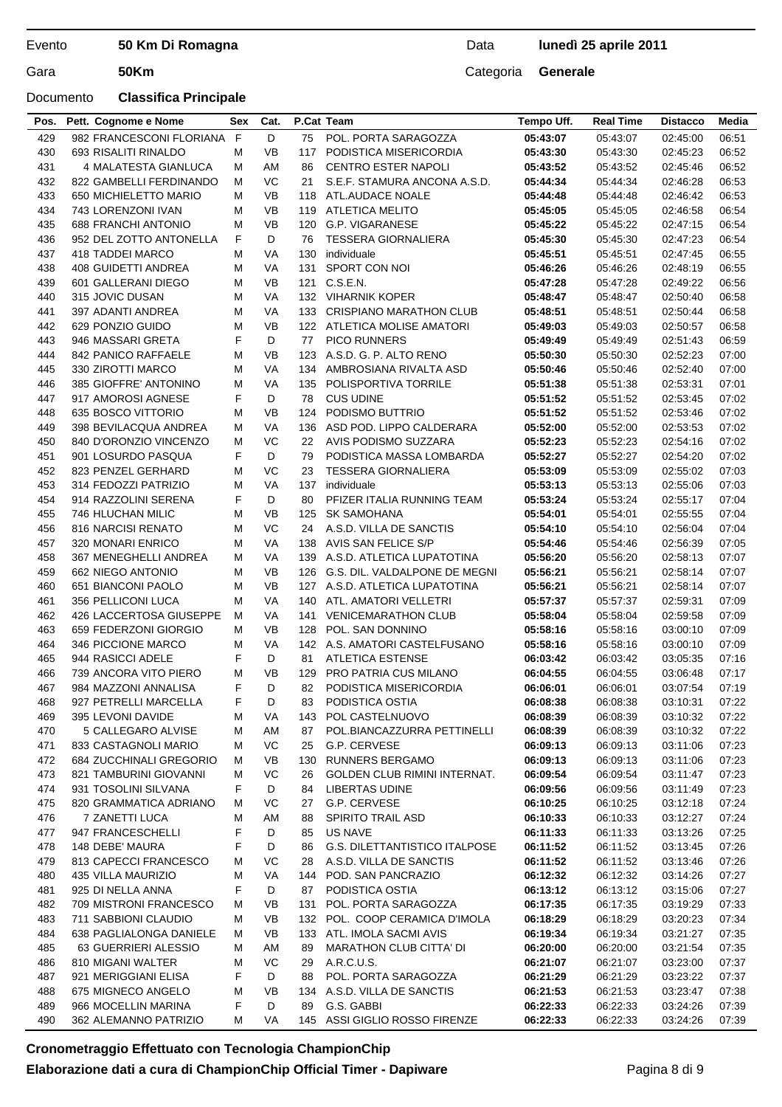### Documento **Classifica Principale**

## Data **lunedì 25 aprile 2011**

| D<br>F<br>POL. PORTA SARAGOZZA<br>429<br>982 FRANCESCONI FLORIANA<br>75<br>05:43:07<br>05:43:07<br>02:45:00<br>06:51<br>430<br>M<br><b>VB</b><br>06:52<br>693 RISALITI RINALDO<br>117<br>PODISTICA MISERICORDIA<br>05:43:30<br>05:43:30<br>02:45:23<br>431<br>4 MALATESTA GIANLUCA<br>AM<br><b>CENTRO ESTER NAPOLI</b><br>05:43:52<br>05:43:52<br>02:45:46<br>06:52<br>м<br>86<br>VC<br>432<br>822 GAMBELLI FERDINANDO<br>м<br>21<br>S.E.F. STAMURA ANCONA A.S.D.<br>05:44:34<br>05:44:34<br>02:46:28<br>06:53<br>433<br>06:53<br>650 MICHIELETTO MARIO<br>м<br>VB<br>ATL.AUDACE NOALE<br>05:44:48<br>05:44:48<br>02:46:42<br>118<br>VB<br>434<br>743 LORENZONI IVAN<br><b>ATLETICA MELITO</b><br>05:45:05<br>05:45:05<br>02:46:58<br>06:54<br>M<br>119<br>435<br><b>VB</b><br>G.P. VIGARANESE<br><b>688 FRANCHI ANTONIO</b><br>M<br>120<br>05:45:22<br>05:45:22<br>02:47:15<br>06:54<br>F<br>D<br>436<br>06:54<br>952 DEL ZOTTO ANTONELLA<br><b>TESSERA GIORNALIERA</b><br>05:45:30<br>05:45:30<br>02:47:23<br>76<br>437<br>418 TADDEI MARCO<br>M<br>VA<br>individuale<br>05:45:51<br>05:45:51<br>02:47:45<br>06:55<br>130<br><b>VA</b><br>SPORT CON NOI<br>438<br><b>408 GUIDETTI ANDREA</b><br>M<br>131<br>05:46:26<br>05:46:26<br>02:48:19<br>06:55<br>439<br><b>VB</b><br>C.S.E.N.<br>05:47:28<br>06:56<br>601 GALLERANI DIEGO<br>M<br>121<br>05:47:28<br>02:49:22<br>440<br>315 JOVIC DUSAN<br>VA<br>132 VIHARNIK KOPER<br>05:48:47<br>05:48:47<br>02:50:40<br>06:58<br>M<br><b>VA</b><br>441<br>397 ADANTI ANDREA<br>133<br><b>CRISPIANO MARATHON CLUB</b><br>05:48:51<br>05:48:51<br>02:50:44<br>06:58<br>м<br>442<br>629 PONZIO GUIDO<br>VB<br>06:58<br>М<br>122 ATLETICA MOLISE AMATORI<br>05:49:03<br>05:49:03<br>02:50:57<br>F<br>D<br>443<br>946 MASSARI GRETA<br>77<br><b>PICO RUNNERS</b><br>05:49:49<br>05:49:49<br>06:59<br>02:51:43<br>444<br>842 PANICO RAFFAELE<br>VB<br>123<br>A.S.D. G. P. ALTO RENO<br>05:50:30<br>05:50:30<br>02:52:23<br>07:00<br>м<br>445<br><b>VA</b><br>07:00<br>330 ZIROTTI MARCO<br>AMBROSIANA RIVALTA ASD<br>05:50:46<br>05:50:46<br>02:52:40<br>м<br>134<br>446<br>385 GIOFFRE' ANTONINO<br>VA<br>POLISPORTIVA TORRILE<br>05:51:38<br>05:51:38<br>02:53:31<br>07:01<br>м<br>135<br>F<br>D<br>447<br>917 AMOROSI AGNESE<br>78<br><b>CUS UDINE</b><br>05:51:52<br>05:51:52<br>02:53:45<br>07:02<br>448<br>635 BOSCO VITTORIO<br>VB<br>PODISMO BUTTRIO<br>05:51:52<br>07:02<br>124<br>05:51:52<br>02:53:46<br>м<br>VA<br>05:52:00<br>449<br>398 BEVILACQUA ANDREA<br>M<br>136<br>ASD POD. LIPPO CALDERARA<br>05:52:00<br>02:53:53<br>07:02<br>VC<br>450<br>840 D'ORONZIO VINCENZO<br>M<br>22<br>AVIS PODISMO SUZZARA<br>05:52:23<br>05:52:23<br>02:54:16<br>07:02<br>451<br>F<br>D<br>05:52:27<br>05:52:27<br>07:02<br>901 LOSURDO PASQUA<br>79<br>PODISTICA MASSA LOMBARDA<br>02:54:20<br>VC<br>452<br>823 PENZEL GERHARD<br><b>TESSERA GIORNALIERA</b><br>05:53:09<br>05:53:09<br>02:55:02<br>07:03<br>м<br>23<br>453<br><b>VA</b><br>314 FEDOZZI PATRIZIO<br>M<br>137<br>individuale<br>05:53:13<br>05:53:13<br>02:55:06<br>07:03<br>F<br>D<br>454<br>05:53:24<br>07:04<br>914 RAZZOLINI SERENA<br>80<br>PFIZER ITALIA RUNNING TEAM<br>05:53:24<br>02:55:17<br><b>VB</b><br>455<br>746 HLUCHAN MILIC<br>M<br>125<br><b>SK SAMOHANA</b><br>05:54:01<br>05:54:01<br>07:04<br>02:55:55<br>VC<br>456<br>816 NARCISI RENATO<br>M<br>A.S.D. VILLA DE SANCTIS<br>05:54:10<br>05:54:10<br>02:56:04<br>07:04<br>24<br>457<br><b>VA</b><br>AVIS SAN FELICE S/P<br>05:54:46<br>05:54:46<br>07:05<br>320 MONARI ENRICO<br>M<br>138<br>02:56:39<br>458<br>367 MENEGHELLI ANDREA<br>VA<br>A.S.D. ATLETICA LUPATOTINA<br>05:56:20<br>05:56:20<br>02:58:13<br>07:07<br>м<br>139<br>459<br><b>VB</b><br>662 NIEGO ANTONIO<br>M<br>126<br>G.S. DIL. VALDALPONE DE MEGNI<br>05:56:21<br>05:56:21<br>02:58:14<br>07:07<br>VB<br>460<br>651 BIANCONI PAOLO<br>A.S.D. ATLETICA LUPATOTINA<br>05:56:21<br>05:56:21<br>07:07<br>M<br>127<br>02:58:14<br><b>VA</b><br>461<br>356 PELLICONI LUCA<br>M<br>ATL. AMATORI VELLETRI<br>05:57:37<br>05:57:37<br>07:09<br>140<br>02.59.31<br>462<br>426 LACCERTOSA GIUSEPPE<br>M<br>VA<br><b>VENICEMARATHON CLUB</b><br>05:58:04<br>05:58:04<br>02:59:58<br>07:09<br>141<br>463<br><b>VB</b><br>07:09<br>659 FEDERZONI GIORGIO<br>128<br>POL. SAN DONNINO<br>05:58:16<br>05:58:16<br>03:00:10<br>M<br>464<br>346 PICCIONE MARCO<br>M<br>VA<br>142 A.S. AMATORI CASTELFUSANO<br>05:58:16<br>07:09<br>05:58:16<br>03:00:10<br>465<br>F<br>D<br>944 RASICCI ADELE<br>81<br><b>ATLETICA ESTENSE</b><br>06:03:42<br>07:16<br>06:03:42<br>03:05:35<br><b>VB</b><br>466<br>739 ANCORA VITO PIERO<br>М<br>129<br>PRO PATRIA CUS MILANO<br>06:04:55<br>07:17<br>06:04:55<br>03:06:48<br>F<br>D<br>467<br>984 MAZZONI ANNALISA<br>82<br>PODISTICA MISERICORDIA<br>03:07:54<br>07:19<br>06:06:01<br>06:06:01<br>PODISTICA OSTIA<br>927 PETRELLI MARCELLA<br>F<br>D<br>06:08:38<br>06:08:38<br>03:10:31<br>07:22<br>468<br>83<br>395 LEVONI DAVIDE<br>POL CASTELNUOVO<br>06:08:39<br>06:08:39<br>07:22<br>469<br>VA<br>143<br>03:10:32<br>M<br>5 CALLEGARO ALVISE<br>POL.BIANCAZZURRA PETTINELLI<br>07:22<br>470<br>M<br>AM<br>87<br>06:08:39<br>06:08:39<br>03:10:32<br>VC<br>833 CASTAGNOLI MARIO<br>G.P. CERVESE<br>07:23<br>471<br>M<br>25<br>06:09:13<br>06:09:13<br>03:11:06<br>684 ZUCCHINALI GREGORIO<br>VB<br><b>RUNNERS BERGAMO</b><br>06:09:13<br>07:23<br>472<br>м<br>130<br>06:09:13<br>03:11:06<br>473<br>VC<br><b>GOLDEN CLUB RIMINI INTERNAT.</b><br>06:09:54<br>07:23<br>821 TAMBURINI GIOVANNI<br>M<br>26<br>06:09:54<br>03:11:47<br>474<br>931 TOSOLINI SILVANA<br>F<br>D<br>84<br>LIBERTAS UDINE<br>06:09:56<br>06:09:56<br>03:11:49<br>07:23<br>820 GRAMMATICA ADRIANO<br>VC<br>G.P. CERVESE<br>06:10:25<br>07:24<br>475<br>27<br>06:10:25<br>03:12:18<br>м<br>7 ZANETTI LUCA<br>SPIRITO TRAIL ASD<br>06:10:33<br>476<br>M<br>AM<br>88<br>06:10:33<br>03:12:27<br>07:24<br>F<br><b>US NAVE</b><br>477<br>947 FRANCESCHELLI<br>D<br>85<br>06:11:33<br>06:11:33<br>07:25<br>03:13:26<br>F<br>D<br>148 DEBE' MAURA<br>86<br><b>G.S. DILETTANTISTICO ITALPOSE</b><br>06:11:52<br>06:11:52<br>07:26<br>478<br>03:13:45<br>VC<br>A.S.D. VILLA DE SANCTIS<br>06:11:52<br>07:26<br>479<br>813 CAPECCI FRANCESCO<br>М<br>28<br>06:11:52<br>03:13:46<br>480<br>435 VILLA MAURIZIO<br>VA<br>144 POD. SAN PANCRAZIO<br>06:12:32<br>06:12:32<br>07:27<br>M<br>03:14:26<br>481<br>925 DI NELLA ANNA<br>F<br>D<br>PODISTICA OSTIA<br>06:13:12<br>06:13:12<br>07:27<br>87<br>03:15:06<br>709 MISTRONI FRANCESCO<br>VB<br>131 POL. PORTA SARAGOZZA<br>06:17:35<br>482<br>М<br>06:17:35<br>03:19:29<br>07:33<br>VB<br>483<br>711 SABBIONI CLAUDIO<br>132 POL. COOP CERAMICA D'IMOLA<br>06:18:29<br>06:18:29<br>07:34<br>м<br>03:20:23<br>VB<br>484<br>638 PAGLIALONGA DANIELE<br>ATL. IMOLA SACMI AVIS<br>06:19:34<br>07:35<br>м<br>133<br>06:19:34<br>03:21:27<br>63 GUERRIERI ALESSIO<br>AM<br><b>MARATHON CLUB CITTA' DI</b><br>485<br>м<br>89<br>06:20:00<br>06:20:00<br>03:21:54<br>07:35<br>VC<br>486<br>810 MIGANI WALTER<br>A.R.C.U.S.<br>06:21:07<br>06:21:07<br>07:37<br>M<br>29<br>03:23:00<br>F<br>921 MERIGGIANI ELISA<br>D<br>POL. PORTA SARAGOZZA<br>06:21:29<br>06:21:29<br>07:37<br>487<br>88<br>03:23:22<br>675 MIGNECO ANGELO<br>VB<br>134 A.S.D. VILLA DE SANCTIS<br>488<br>М<br>06:21:53<br>06:21:53<br>03:23:47<br>07:38<br>D<br>G.S. GABBI<br>489<br>966 MOCELLIN MARINA<br>F<br>89<br>06:22:33<br>06:22:33<br>07:39<br>03:24:26 | Pos. | Pett. Cognome e Nome  | Sex | Cat. | P.Cat Team                    | Tempo Uff. | <b>Real Time</b> | <b>Distacco</b> | Media |
|---------------------------------------------------------------------------------------------------------------------------------------------------------------------------------------------------------------------------------------------------------------------------------------------------------------------------------------------------------------------------------------------------------------------------------------------------------------------------------------------------------------------------------------------------------------------------------------------------------------------------------------------------------------------------------------------------------------------------------------------------------------------------------------------------------------------------------------------------------------------------------------------------------------------------------------------------------------------------------------------------------------------------------------------------------------------------------------------------------------------------------------------------------------------------------------------------------------------------------------------------------------------------------------------------------------------------------------------------------------------------------------------------------------------------------------------------------------------------------------------------------------------------------------------------------------------------------------------------------------------------------------------------------------------------------------------------------------------------------------------------------------------------------------------------------------------------------------------------------------------------------------------------------------------------------------------------------------------------------------------------------------------------------------------------------------------------------------------------------------------------------------------------------------------------------------------------------------------------------------------------------------------------------------------------------------------------------------------------------------------------------------------------------------------------------------------------------------------------------------------------------------------------------------------------------------------------------------------------------------------------------------------------------------------------------------------------------------------------------------------------------------------------------------------------------------------------------------------------------------------------------------------------------------------------------------------------------------------------------------------------------------------------------------------------------------------------------------------------------------------------------------------------------------------------------------------------------------------------------------------------------------------------------------------------------------------------------------------------------------------------------------------------------------------------------------------------------------------------------------------------------------------------------------------------------------------------------------------------------------------------------------------------------------------------------------------------------------------------------------------------------------------------------------------------------------------------------------------------------------------------------------------------------------------------------------------------------------------------------------------------------------------------------------------------------------------------------------------------------------------------------------------------------------------------------------------------------------------------------------------------------------------------------------------------------------------------------------------------------------------------------------------------------------------------------------------------------------------------------------------------------------------------------------------------------------------------------------------------------------------------------------------------------------------------------------------------------------------------------------------------------------------------------------------------------------------------------------------------------------------------------------------------------------------------------------------------------------------------------------------------------------------------------------------------------------------------------------------------------------------------------------------------------------------------------------------------------------------------------------------------------------------------------------------------------------------------------------------------------------------------------------------------------------------------------------------------------------------------------------------------------------------------------------------------------------------------------------------------------------------------------------------------------------------------------------------------------------------------------------------------------------------------------------------------------------------------------------------------------------------------------------------------------------------------------------------------------------------------------------------------------------------------------------------------------------------------------------------------------------------------------------------------------------------------------------------------------------------------------------------------------------------------------------------------------------------------------------------------------------------------------------------------------------------------------------------------------------------------------------------------------------------------------------------------------------------------------------------------------------------------------------------------------------------------------------------------------------------------------------------------------------------------------------------------------------------------------------------------------------------------------------------------------------------------------------------------------------------------------------------------------------------------------------------------------------------------------------------------------------------------------------------------------------------------------------------------------------------------------------------------------------------------------------------------------------------------------------------------------------------------------------------------------------------------------------------------------------------------------------------------------------|------|-----------------------|-----|------|-------------------------------|------------|------------------|-----------------|-------|
|                                                                                                                                                                                                                                                                                                                                                                                                                                                                                                                                                                                                                                                                                                                                                                                                                                                                                                                                                                                                                                                                                                                                                                                                                                                                                                                                                                                                                                                                                                                                                                                                                                                                                                                                                                                                                                                                                                                                                                                                                                                                                                                                                                                                                                                                                                                                                                                                                                                                                                                                                                                                                                                                                                                                                                                                                                                                                                                                                                                                                                                                                                                                                                                                                                                                                                                                                                                                                                                                                                                                                                                                                                                                                                                                                                                                                                                                                                                                                                                                                                                                                                                                                                                                                                                                                                                                                                                                                                                                                                                                                                                                                                                                                                                                                                                                                                                                                                                                                                                                                                                                                                                                                                                                                                                                                                                                                                                                                                                                                                                                                                                                                                                                                                                                                                                                                                                                                                                                                                                                                                                                                                                                                                                                                                                                                                                                                                                                                                                                                                                                                                                                                                                                                                                                                                                                                                                                                                                                                                                                                                                                                                                                                                                                                                                                                                                                                                                                                                                                                                               |      |                       |     |      |                               |            |                  |                 |       |
|                                                                                                                                                                                                                                                                                                                                                                                                                                                                                                                                                                                                                                                                                                                                                                                                                                                                                                                                                                                                                                                                                                                                                                                                                                                                                                                                                                                                                                                                                                                                                                                                                                                                                                                                                                                                                                                                                                                                                                                                                                                                                                                                                                                                                                                                                                                                                                                                                                                                                                                                                                                                                                                                                                                                                                                                                                                                                                                                                                                                                                                                                                                                                                                                                                                                                                                                                                                                                                                                                                                                                                                                                                                                                                                                                                                                                                                                                                                                                                                                                                                                                                                                                                                                                                                                                                                                                                                                                                                                                                                                                                                                                                                                                                                                                                                                                                                                                                                                                                                                                                                                                                                                                                                                                                                                                                                                                                                                                                                                                                                                                                                                                                                                                                                                                                                                                                                                                                                                                                                                                                                                                                                                                                                                                                                                                                                                                                                                                                                                                                                                                                                                                                                                                                                                                                                                                                                                                                                                                                                                                                                                                                                                                                                                                                                                                                                                                                                                                                                                                                               |      |                       |     |      |                               |            |                  |                 |       |
|                                                                                                                                                                                                                                                                                                                                                                                                                                                                                                                                                                                                                                                                                                                                                                                                                                                                                                                                                                                                                                                                                                                                                                                                                                                                                                                                                                                                                                                                                                                                                                                                                                                                                                                                                                                                                                                                                                                                                                                                                                                                                                                                                                                                                                                                                                                                                                                                                                                                                                                                                                                                                                                                                                                                                                                                                                                                                                                                                                                                                                                                                                                                                                                                                                                                                                                                                                                                                                                                                                                                                                                                                                                                                                                                                                                                                                                                                                                                                                                                                                                                                                                                                                                                                                                                                                                                                                                                                                                                                                                                                                                                                                                                                                                                                                                                                                                                                                                                                                                                                                                                                                                                                                                                                                                                                                                                                                                                                                                                                                                                                                                                                                                                                                                                                                                                                                                                                                                                                                                                                                                                                                                                                                                                                                                                                                                                                                                                                                                                                                                                                                                                                                                                                                                                                                                                                                                                                                                                                                                                                                                                                                                                                                                                                                                                                                                                                                                                                                                                                                               |      |                       |     |      |                               |            |                  |                 |       |
|                                                                                                                                                                                                                                                                                                                                                                                                                                                                                                                                                                                                                                                                                                                                                                                                                                                                                                                                                                                                                                                                                                                                                                                                                                                                                                                                                                                                                                                                                                                                                                                                                                                                                                                                                                                                                                                                                                                                                                                                                                                                                                                                                                                                                                                                                                                                                                                                                                                                                                                                                                                                                                                                                                                                                                                                                                                                                                                                                                                                                                                                                                                                                                                                                                                                                                                                                                                                                                                                                                                                                                                                                                                                                                                                                                                                                                                                                                                                                                                                                                                                                                                                                                                                                                                                                                                                                                                                                                                                                                                                                                                                                                                                                                                                                                                                                                                                                                                                                                                                                                                                                                                                                                                                                                                                                                                                                                                                                                                                                                                                                                                                                                                                                                                                                                                                                                                                                                                                                                                                                                                                                                                                                                                                                                                                                                                                                                                                                                                                                                                                                                                                                                                                                                                                                                                                                                                                                                                                                                                                                                                                                                                                                                                                                                                                                                                                                                                                                                                                                                               |      |                       |     |      |                               |            |                  |                 |       |
|                                                                                                                                                                                                                                                                                                                                                                                                                                                                                                                                                                                                                                                                                                                                                                                                                                                                                                                                                                                                                                                                                                                                                                                                                                                                                                                                                                                                                                                                                                                                                                                                                                                                                                                                                                                                                                                                                                                                                                                                                                                                                                                                                                                                                                                                                                                                                                                                                                                                                                                                                                                                                                                                                                                                                                                                                                                                                                                                                                                                                                                                                                                                                                                                                                                                                                                                                                                                                                                                                                                                                                                                                                                                                                                                                                                                                                                                                                                                                                                                                                                                                                                                                                                                                                                                                                                                                                                                                                                                                                                                                                                                                                                                                                                                                                                                                                                                                                                                                                                                                                                                                                                                                                                                                                                                                                                                                                                                                                                                                                                                                                                                                                                                                                                                                                                                                                                                                                                                                                                                                                                                                                                                                                                                                                                                                                                                                                                                                                                                                                                                                                                                                                                                                                                                                                                                                                                                                                                                                                                                                                                                                                                                                                                                                                                                                                                                                                                                                                                                                                               |      |                       |     |      |                               |            |                  |                 |       |
|                                                                                                                                                                                                                                                                                                                                                                                                                                                                                                                                                                                                                                                                                                                                                                                                                                                                                                                                                                                                                                                                                                                                                                                                                                                                                                                                                                                                                                                                                                                                                                                                                                                                                                                                                                                                                                                                                                                                                                                                                                                                                                                                                                                                                                                                                                                                                                                                                                                                                                                                                                                                                                                                                                                                                                                                                                                                                                                                                                                                                                                                                                                                                                                                                                                                                                                                                                                                                                                                                                                                                                                                                                                                                                                                                                                                                                                                                                                                                                                                                                                                                                                                                                                                                                                                                                                                                                                                                                                                                                                                                                                                                                                                                                                                                                                                                                                                                                                                                                                                                                                                                                                                                                                                                                                                                                                                                                                                                                                                                                                                                                                                                                                                                                                                                                                                                                                                                                                                                                                                                                                                                                                                                                                                                                                                                                                                                                                                                                                                                                                                                                                                                                                                                                                                                                                                                                                                                                                                                                                                                                                                                                                                                                                                                                                                                                                                                                                                                                                                                                               |      |                       |     |      |                               |            |                  |                 |       |
|                                                                                                                                                                                                                                                                                                                                                                                                                                                                                                                                                                                                                                                                                                                                                                                                                                                                                                                                                                                                                                                                                                                                                                                                                                                                                                                                                                                                                                                                                                                                                                                                                                                                                                                                                                                                                                                                                                                                                                                                                                                                                                                                                                                                                                                                                                                                                                                                                                                                                                                                                                                                                                                                                                                                                                                                                                                                                                                                                                                                                                                                                                                                                                                                                                                                                                                                                                                                                                                                                                                                                                                                                                                                                                                                                                                                                                                                                                                                                                                                                                                                                                                                                                                                                                                                                                                                                                                                                                                                                                                                                                                                                                                                                                                                                                                                                                                                                                                                                                                                                                                                                                                                                                                                                                                                                                                                                                                                                                                                                                                                                                                                                                                                                                                                                                                                                                                                                                                                                                                                                                                                                                                                                                                                                                                                                                                                                                                                                                                                                                                                                                                                                                                                                                                                                                                                                                                                                                                                                                                                                                                                                                                                                                                                                                                                                                                                                                                                                                                                                                               |      |                       |     |      |                               |            |                  |                 |       |
|                                                                                                                                                                                                                                                                                                                                                                                                                                                                                                                                                                                                                                                                                                                                                                                                                                                                                                                                                                                                                                                                                                                                                                                                                                                                                                                                                                                                                                                                                                                                                                                                                                                                                                                                                                                                                                                                                                                                                                                                                                                                                                                                                                                                                                                                                                                                                                                                                                                                                                                                                                                                                                                                                                                                                                                                                                                                                                                                                                                                                                                                                                                                                                                                                                                                                                                                                                                                                                                                                                                                                                                                                                                                                                                                                                                                                                                                                                                                                                                                                                                                                                                                                                                                                                                                                                                                                                                                                                                                                                                                                                                                                                                                                                                                                                                                                                                                                                                                                                                                                                                                                                                                                                                                                                                                                                                                                                                                                                                                                                                                                                                                                                                                                                                                                                                                                                                                                                                                                                                                                                                                                                                                                                                                                                                                                                                                                                                                                                                                                                                                                                                                                                                                                                                                                                                                                                                                                                                                                                                                                                                                                                                                                                                                                                                                                                                                                                                                                                                                                                               |      |                       |     |      |                               |            |                  |                 |       |
|                                                                                                                                                                                                                                                                                                                                                                                                                                                                                                                                                                                                                                                                                                                                                                                                                                                                                                                                                                                                                                                                                                                                                                                                                                                                                                                                                                                                                                                                                                                                                                                                                                                                                                                                                                                                                                                                                                                                                                                                                                                                                                                                                                                                                                                                                                                                                                                                                                                                                                                                                                                                                                                                                                                                                                                                                                                                                                                                                                                                                                                                                                                                                                                                                                                                                                                                                                                                                                                                                                                                                                                                                                                                                                                                                                                                                                                                                                                                                                                                                                                                                                                                                                                                                                                                                                                                                                                                                                                                                                                                                                                                                                                                                                                                                                                                                                                                                                                                                                                                                                                                                                                                                                                                                                                                                                                                                                                                                                                                                                                                                                                                                                                                                                                                                                                                                                                                                                                                                                                                                                                                                                                                                                                                                                                                                                                                                                                                                                                                                                                                                                                                                                                                                                                                                                                                                                                                                                                                                                                                                                                                                                                                                                                                                                                                                                                                                                                                                                                                                                               |      |                       |     |      |                               |            |                  |                 |       |
|                                                                                                                                                                                                                                                                                                                                                                                                                                                                                                                                                                                                                                                                                                                                                                                                                                                                                                                                                                                                                                                                                                                                                                                                                                                                                                                                                                                                                                                                                                                                                                                                                                                                                                                                                                                                                                                                                                                                                                                                                                                                                                                                                                                                                                                                                                                                                                                                                                                                                                                                                                                                                                                                                                                                                                                                                                                                                                                                                                                                                                                                                                                                                                                                                                                                                                                                                                                                                                                                                                                                                                                                                                                                                                                                                                                                                                                                                                                                                                                                                                                                                                                                                                                                                                                                                                                                                                                                                                                                                                                                                                                                                                                                                                                                                                                                                                                                                                                                                                                                                                                                                                                                                                                                                                                                                                                                                                                                                                                                                                                                                                                                                                                                                                                                                                                                                                                                                                                                                                                                                                                                                                                                                                                                                                                                                                                                                                                                                                                                                                                                                                                                                                                                                                                                                                                                                                                                                                                                                                                                                                                                                                                                                                                                                                                                                                                                                                                                                                                                                                               |      |                       |     |      |                               |            |                  |                 |       |
|                                                                                                                                                                                                                                                                                                                                                                                                                                                                                                                                                                                                                                                                                                                                                                                                                                                                                                                                                                                                                                                                                                                                                                                                                                                                                                                                                                                                                                                                                                                                                                                                                                                                                                                                                                                                                                                                                                                                                                                                                                                                                                                                                                                                                                                                                                                                                                                                                                                                                                                                                                                                                                                                                                                                                                                                                                                                                                                                                                                                                                                                                                                                                                                                                                                                                                                                                                                                                                                                                                                                                                                                                                                                                                                                                                                                                                                                                                                                                                                                                                                                                                                                                                                                                                                                                                                                                                                                                                                                                                                                                                                                                                                                                                                                                                                                                                                                                                                                                                                                                                                                                                                                                                                                                                                                                                                                                                                                                                                                                                                                                                                                                                                                                                                                                                                                                                                                                                                                                                                                                                                                                                                                                                                                                                                                                                                                                                                                                                                                                                                                                                                                                                                                                                                                                                                                                                                                                                                                                                                                                                                                                                                                                                                                                                                                                                                                                                                                                                                                                                               |      |                       |     |      |                               |            |                  |                 |       |
|                                                                                                                                                                                                                                                                                                                                                                                                                                                                                                                                                                                                                                                                                                                                                                                                                                                                                                                                                                                                                                                                                                                                                                                                                                                                                                                                                                                                                                                                                                                                                                                                                                                                                                                                                                                                                                                                                                                                                                                                                                                                                                                                                                                                                                                                                                                                                                                                                                                                                                                                                                                                                                                                                                                                                                                                                                                                                                                                                                                                                                                                                                                                                                                                                                                                                                                                                                                                                                                                                                                                                                                                                                                                                                                                                                                                                                                                                                                                                                                                                                                                                                                                                                                                                                                                                                                                                                                                                                                                                                                                                                                                                                                                                                                                                                                                                                                                                                                                                                                                                                                                                                                                                                                                                                                                                                                                                                                                                                                                                                                                                                                                                                                                                                                                                                                                                                                                                                                                                                                                                                                                                                                                                                                                                                                                                                                                                                                                                                                                                                                                                                                                                                                                                                                                                                                                                                                                                                                                                                                                                                                                                                                                                                                                                                                                                                                                                                                                                                                                                                               |      |                       |     |      |                               |            |                  |                 |       |
|                                                                                                                                                                                                                                                                                                                                                                                                                                                                                                                                                                                                                                                                                                                                                                                                                                                                                                                                                                                                                                                                                                                                                                                                                                                                                                                                                                                                                                                                                                                                                                                                                                                                                                                                                                                                                                                                                                                                                                                                                                                                                                                                                                                                                                                                                                                                                                                                                                                                                                                                                                                                                                                                                                                                                                                                                                                                                                                                                                                                                                                                                                                                                                                                                                                                                                                                                                                                                                                                                                                                                                                                                                                                                                                                                                                                                                                                                                                                                                                                                                                                                                                                                                                                                                                                                                                                                                                                                                                                                                                                                                                                                                                                                                                                                                                                                                                                                                                                                                                                                                                                                                                                                                                                                                                                                                                                                                                                                                                                                                                                                                                                                                                                                                                                                                                                                                                                                                                                                                                                                                                                                                                                                                                                                                                                                                                                                                                                                                                                                                                                                                                                                                                                                                                                                                                                                                                                                                                                                                                                                                                                                                                                                                                                                                                                                                                                                                                                                                                                                                               |      |                       |     |      |                               |            |                  |                 |       |
|                                                                                                                                                                                                                                                                                                                                                                                                                                                                                                                                                                                                                                                                                                                                                                                                                                                                                                                                                                                                                                                                                                                                                                                                                                                                                                                                                                                                                                                                                                                                                                                                                                                                                                                                                                                                                                                                                                                                                                                                                                                                                                                                                                                                                                                                                                                                                                                                                                                                                                                                                                                                                                                                                                                                                                                                                                                                                                                                                                                                                                                                                                                                                                                                                                                                                                                                                                                                                                                                                                                                                                                                                                                                                                                                                                                                                                                                                                                                                                                                                                                                                                                                                                                                                                                                                                                                                                                                                                                                                                                                                                                                                                                                                                                                                                                                                                                                                                                                                                                                                                                                                                                                                                                                                                                                                                                                                                                                                                                                                                                                                                                                                                                                                                                                                                                                                                                                                                                                                                                                                                                                                                                                                                                                                                                                                                                                                                                                                                                                                                                                                                                                                                                                                                                                                                                                                                                                                                                                                                                                                                                                                                                                                                                                                                                                                                                                                                                                                                                                                                               |      |                       |     |      |                               |            |                  |                 |       |
|                                                                                                                                                                                                                                                                                                                                                                                                                                                                                                                                                                                                                                                                                                                                                                                                                                                                                                                                                                                                                                                                                                                                                                                                                                                                                                                                                                                                                                                                                                                                                                                                                                                                                                                                                                                                                                                                                                                                                                                                                                                                                                                                                                                                                                                                                                                                                                                                                                                                                                                                                                                                                                                                                                                                                                                                                                                                                                                                                                                                                                                                                                                                                                                                                                                                                                                                                                                                                                                                                                                                                                                                                                                                                                                                                                                                                                                                                                                                                                                                                                                                                                                                                                                                                                                                                                                                                                                                                                                                                                                                                                                                                                                                                                                                                                                                                                                                                                                                                                                                                                                                                                                                                                                                                                                                                                                                                                                                                                                                                                                                                                                                                                                                                                                                                                                                                                                                                                                                                                                                                                                                                                                                                                                                                                                                                                                                                                                                                                                                                                                                                                                                                                                                                                                                                                                                                                                                                                                                                                                                                                                                                                                                                                                                                                                                                                                                                                                                                                                                                                               |      |                       |     |      |                               |            |                  |                 |       |
|                                                                                                                                                                                                                                                                                                                                                                                                                                                                                                                                                                                                                                                                                                                                                                                                                                                                                                                                                                                                                                                                                                                                                                                                                                                                                                                                                                                                                                                                                                                                                                                                                                                                                                                                                                                                                                                                                                                                                                                                                                                                                                                                                                                                                                                                                                                                                                                                                                                                                                                                                                                                                                                                                                                                                                                                                                                                                                                                                                                                                                                                                                                                                                                                                                                                                                                                                                                                                                                                                                                                                                                                                                                                                                                                                                                                                                                                                                                                                                                                                                                                                                                                                                                                                                                                                                                                                                                                                                                                                                                                                                                                                                                                                                                                                                                                                                                                                                                                                                                                                                                                                                                                                                                                                                                                                                                                                                                                                                                                                                                                                                                                                                                                                                                                                                                                                                                                                                                                                                                                                                                                                                                                                                                                                                                                                                                                                                                                                                                                                                                                                                                                                                                                                                                                                                                                                                                                                                                                                                                                                                                                                                                                                                                                                                                                                                                                                                                                                                                                                                               |      |                       |     |      |                               |            |                  |                 |       |
|                                                                                                                                                                                                                                                                                                                                                                                                                                                                                                                                                                                                                                                                                                                                                                                                                                                                                                                                                                                                                                                                                                                                                                                                                                                                                                                                                                                                                                                                                                                                                                                                                                                                                                                                                                                                                                                                                                                                                                                                                                                                                                                                                                                                                                                                                                                                                                                                                                                                                                                                                                                                                                                                                                                                                                                                                                                                                                                                                                                                                                                                                                                                                                                                                                                                                                                                                                                                                                                                                                                                                                                                                                                                                                                                                                                                                                                                                                                                                                                                                                                                                                                                                                                                                                                                                                                                                                                                                                                                                                                                                                                                                                                                                                                                                                                                                                                                                                                                                                                                                                                                                                                                                                                                                                                                                                                                                                                                                                                                                                                                                                                                                                                                                                                                                                                                                                                                                                                                                                                                                                                                                                                                                                                                                                                                                                                                                                                                                                                                                                                                                                                                                                                                                                                                                                                                                                                                                                                                                                                                                                                                                                                                                                                                                                                                                                                                                                                                                                                                                                               |      |                       |     |      |                               |            |                  |                 |       |
|                                                                                                                                                                                                                                                                                                                                                                                                                                                                                                                                                                                                                                                                                                                                                                                                                                                                                                                                                                                                                                                                                                                                                                                                                                                                                                                                                                                                                                                                                                                                                                                                                                                                                                                                                                                                                                                                                                                                                                                                                                                                                                                                                                                                                                                                                                                                                                                                                                                                                                                                                                                                                                                                                                                                                                                                                                                                                                                                                                                                                                                                                                                                                                                                                                                                                                                                                                                                                                                                                                                                                                                                                                                                                                                                                                                                                                                                                                                                                                                                                                                                                                                                                                                                                                                                                                                                                                                                                                                                                                                                                                                                                                                                                                                                                                                                                                                                                                                                                                                                                                                                                                                                                                                                                                                                                                                                                                                                                                                                                                                                                                                                                                                                                                                                                                                                                                                                                                                                                                                                                                                                                                                                                                                                                                                                                                                                                                                                                                                                                                                                                                                                                                                                                                                                                                                                                                                                                                                                                                                                                                                                                                                                                                                                                                                                                                                                                                                                                                                                                                               |      |                       |     |      |                               |            |                  |                 |       |
|                                                                                                                                                                                                                                                                                                                                                                                                                                                                                                                                                                                                                                                                                                                                                                                                                                                                                                                                                                                                                                                                                                                                                                                                                                                                                                                                                                                                                                                                                                                                                                                                                                                                                                                                                                                                                                                                                                                                                                                                                                                                                                                                                                                                                                                                                                                                                                                                                                                                                                                                                                                                                                                                                                                                                                                                                                                                                                                                                                                                                                                                                                                                                                                                                                                                                                                                                                                                                                                                                                                                                                                                                                                                                                                                                                                                                                                                                                                                                                                                                                                                                                                                                                                                                                                                                                                                                                                                                                                                                                                                                                                                                                                                                                                                                                                                                                                                                                                                                                                                                                                                                                                                                                                                                                                                                                                                                                                                                                                                                                                                                                                                                                                                                                                                                                                                                                                                                                                                                                                                                                                                                                                                                                                                                                                                                                                                                                                                                                                                                                                                                                                                                                                                                                                                                                                                                                                                                                                                                                                                                                                                                                                                                                                                                                                                                                                                                                                                                                                                                                               |      |                       |     |      |                               |            |                  |                 |       |
|                                                                                                                                                                                                                                                                                                                                                                                                                                                                                                                                                                                                                                                                                                                                                                                                                                                                                                                                                                                                                                                                                                                                                                                                                                                                                                                                                                                                                                                                                                                                                                                                                                                                                                                                                                                                                                                                                                                                                                                                                                                                                                                                                                                                                                                                                                                                                                                                                                                                                                                                                                                                                                                                                                                                                                                                                                                                                                                                                                                                                                                                                                                                                                                                                                                                                                                                                                                                                                                                                                                                                                                                                                                                                                                                                                                                                                                                                                                                                                                                                                                                                                                                                                                                                                                                                                                                                                                                                                                                                                                                                                                                                                                                                                                                                                                                                                                                                                                                                                                                                                                                                                                                                                                                                                                                                                                                                                                                                                                                                                                                                                                                                                                                                                                                                                                                                                                                                                                                                                                                                                                                                                                                                                                                                                                                                                                                                                                                                                                                                                                                                                                                                                                                                                                                                                                                                                                                                                                                                                                                                                                                                                                                                                                                                                                                                                                                                                                                                                                                                                               |      |                       |     |      |                               |            |                  |                 |       |
|                                                                                                                                                                                                                                                                                                                                                                                                                                                                                                                                                                                                                                                                                                                                                                                                                                                                                                                                                                                                                                                                                                                                                                                                                                                                                                                                                                                                                                                                                                                                                                                                                                                                                                                                                                                                                                                                                                                                                                                                                                                                                                                                                                                                                                                                                                                                                                                                                                                                                                                                                                                                                                                                                                                                                                                                                                                                                                                                                                                                                                                                                                                                                                                                                                                                                                                                                                                                                                                                                                                                                                                                                                                                                                                                                                                                                                                                                                                                                                                                                                                                                                                                                                                                                                                                                                                                                                                                                                                                                                                                                                                                                                                                                                                                                                                                                                                                                                                                                                                                                                                                                                                                                                                                                                                                                                                                                                                                                                                                                                                                                                                                                                                                                                                                                                                                                                                                                                                                                                                                                                                                                                                                                                                                                                                                                                                                                                                                                                                                                                                                                                                                                                                                                                                                                                                                                                                                                                                                                                                                                                                                                                                                                                                                                                                                                                                                                                                                                                                                                                               |      |                       |     |      |                               |            |                  |                 |       |
|                                                                                                                                                                                                                                                                                                                                                                                                                                                                                                                                                                                                                                                                                                                                                                                                                                                                                                                                                                                                                                                                                                                                                                                                                                                                                                                                                                                                                                                                                                                                                                                                                                                                                                                                                                                                                                                                                                                                                                                                                                                                                                                                                                                                                                                                                                                                                                                                                                                                                                                                                                                                                                                                                                                                                                                                                                                                                                                                                                                                                                                                                                                                                                                                                                                                                                                                                                                                                                                                                                                                                                                                                                                                                                                                                                                                                                                                                                                                                                                                                                                                                                                                                                                                                                                                                                                                                                                                                                                                                                                                                                                                                                                                                                                                                                                                                                                                                                                                                                                                                                                                                                                                                                                                                                                                                                                                                                                                                                                                                                                                                                                                                                                                                                                                                                                                                                                                                                                                                                                                                                                                                                                                                                                                                                                                                                                                                                                                                                                                                                                                                                                                                                                                                                                                                                                                                                                                                                                                                                                                                                                                                                                                                                                                                                                                                                                                                                                                                                                                                                               |      |                       |     |      |                               |            |                  |                 |       |
|                                                                                                                                                                                                                                                                                                                                                                                                                                                                                                                                                                                                                                                                                                                                                                                                                                                                                                                                                                                                                                                                                                                                                                                                                                                                                                                                                                                                                                                                                                                                                                                                                                                                                                                                                                                                                                                                                                                                                                                                                                                                                                                                                                                                                                                                                                                                                                                                                                                                                                                                                                                                                                                                                                                                                                                                                                                                                                                                                                                                                                                                                                                                                                                                                                                                                                                                                                                                                                                                                                                                                                                                                                                                                                                                                                                                                                                                                                                                                                                                                                                                                                                                                                                                                                                                                                                                                                                                                                                                                                                                                                                                                                                                                                                                                                                                                                                                                                                                                                                                                                                                                                                                                                                                                                                                                                                                                                                                                                                                                                                                                                                                                                                                                                                                                                                                                                                                                                                                                                                                                                                                                                                                                                                                                                                                                                                                                                                                                                                                                                                                                                                                                                                                                                                                                                                                                                                                                                                                                                                                                                                                                                                                                                                                                                                                                                                                                                                                                                                                                                               |      |                       |     |      |                               |            |                  |                 |       |
|                                                                                                                                                                                                                                                                                                                                                                                                                                                                                                                                                                                                                                                                                                                                                                                                                                                                                                                                                                                                                                                                                                                                                                                                                                                                                                                                                                                                                                                                                                                                                                                                                                                                                                                                                                                                                                                                                                                                                                                                                                                                                                                                                                                                                                                                                                                                                                                                                                                                                                                                                                                                                                                                                                                                                                                                                                                                                                                                                                                                                                                                                                                                                                                                                                                                                                                                                                                                                                                                                                                                                                                                                                                                                                                                                                                                                                                                                                                                                                                                                                                                                                                                                                                                                                                                                                                                                                                                                                                                                                                                                                                                                                                                                                                                                                                                                                                                                                                                                                                                                                                                                                                                                                                                                                                                                                                                                                                                                                                                                                                                                                                                                                                                                                                                                                                                                                                                                                                                                                                                                                                                                                                                                                                                                                                                                                                                                                                                                                                                                                                                                                                                                                                                                                                                                                                                                                                                                                                                                                                                                                                                                                                                                                                                                                                                                                                                                                                                                                                                                                               |      |                       |     |      |                               |            |                  |                 |       |
|                                                                                                                                                                                                                                                                                                                                                                                                                                                                                                                                                                                                                                                                                                                                                                                                                                                                                                                                                                                                                                                                                                                                                                                                                                                                                                                                                                                                                                                                                                                                                                                                                                                                                                                                                                                                                                                                                                                                                                                                                                                                                                                                                                                                                                                                                                                                                                                                                                                                                                                                                                                                                                                                                                                                                                                                                                                                                                                                                                                                                                                                                                                                                                                                                                                                                                                                                                                                                                                                                                                                                                                                                                                                                                                                                                                                                                                                                                                                                                                                                                                                                                                                                                                                                                                                                                                                                                                                                                                                                                                                                                                                                                                                                                                                                                                                                                                                                                                                                                                                                                                                                                                                                                                                                                                                                                                                                                                                                                                                                                                                                                                                                                                                                                                                                                                                                                                                                                                                                                                                                                                                                                                                                                                                                                                                                                                                                                                                                                                                                                                                                                                                                                                                                                                                                                                                                                                                                                                                                                                                                                                                                                                                                                                                                                                                                                                                                                                                                                                                                                               |      |                       |     |      |                               |            |                  |                 |       |
|                                                                                                                                                                                                                                                                                                                                                                                                                                                                                                                                                                                                                                                                                                                                                                                                                                                                                                                                                                                                                                                                                                                                                                                                                                                                                                                                                                                                                                                                                                                                                                                                                                                                                                                                                                                                                                                                                                                                                                                                                                                                                                                                                                                                                                                                                                                                                                                                                                                                                                                                                                                                                                                                                                                                                                                                                                                                                                                                                                                                                                                                                                                                                                                                                                                                                                                                                                                                                                                                                                                                                                                                                                                                                                                                                                                                                                                                                                                                                                                                                                                                                                                                                                                                                                                                                                                                                                                                                                                                                                                                                                                                                                                                                                                                                                                                                                                                                                                                                                                                                                                                                                                                                                                                                                                                                                                                                                                                                                                                                                                                                                                                                                                                                                                                                                                                                                                                                                                                                                                                                                                                                                                                                                                                                                                                                                                                                                                                                                                                                                                                                                                                                                                                                                                                                                                                                                                                                                                                                                                                                                                                                                                                                                                                                                                                                                                                                                                                                                                                                                               |      |                       |     |      |                               |            |                  |                 |       |
|                                                                                                                                                                                                                                                                                                                                                                                                                                                                                                                                                                                                                                                                                                                                                                                                                                                                                                                                                                                                                                                                                                                                                                                                                                                                                                                                                                                                                                                                                                                                                                                                                                                                                                                                                                                                                                                                                                                                                                                                                                                                                                                                                                                                                                                                                                                                                                                                                                                                                                                                                                                                                                                                                                                                                                                                                                                                                                                                                                                                                                                                                                                                                                                                                                                                                                                                                                                                                                                                                                                                                                                                                                                                                                                                                                                                                                                                                                                                                                                                                                                                                                                                                                                                                                                                                                                                                                                                                                                                                                                                                                                                                                                                                                                                                                                                                                                                                                                                                                                                                                                                                                                                                                                                                                                                                                                                                                                                                                                                                                                                                                                                                                                                                                                                                                                                                                                                                                                                                                                                                                                                                                                                                                                                                                                                                                                                                                                                                                                                                                                                                                                                                                                                                                                                                                                                                                                                                                                                                                                                                                                                                                                                                                                                                                                                                                                                                                                                                                                                                                               |      |                       |     |      |                               |            |                  |                 |       |
|                                                                                                                                                                                                                                                                                                                                                                                                                                                                                                                                                                                                                                                                                                                                                                                                                                                                                                                                                                                                                                                                                                                                                                                                                                                                                                                                                                                                                                                                                                                                                                                                                                                                                                                                                                                                                                                                                                                                                                                                                                                                                                                                                                                                                                                                                                                                                                                                                                                                                                                                                                                                                                                                                                                                                                                                                                                                                                                                                                                                                                                                                                                                                                                                                                                                                                                                                                                                                                                                                                                                                                                                                                                                                                                                                                                                                                                                                                                                                                                                                                                                                                                                                                                                                                                                                                                                                                                                                                                                                                                                                                                                                                                                                                                                                                                                                                                                                                                                                                                                                                                                                                                                                                                                                                                                                                                                                                                                                                                                                                                                                                                                                                                                                                                                                                                                                                                                                                                                                                                                                                                                                                                                                                                                                                                                                                                                                                                                                                                                                                                                                                                                                                                                                                                                                                                                                                                                                                                                                                                                                                                                                                                                                                                                                                                                                                                                                                                                                                                                                                               |      |                       |     |      |                               |            |                  |                 |       |
|                                                                                                                                                                                                                                                                                                                                                                                                                                                                                                                                                                                                                                                                                                                                                                                                                                                                                                                                                                                                                                                                                                                                                                                                                                                                                                                                                                                                                                                                                                                                                                                                                                                                                                                                                                                                                                                                                                                                                                                                                                                                                                                                                                                                                                                                                                                                                                                                                                                                                                                                                                                                                                                                                                                                                                                                                                                                                                                                                                                                                                                                                                                                                                                                                                                                                                                                                                                                                                                                                                                                                                                                                                                                                                                                                                                                                                                                                                                                                                                                                                                                                                                                                                                                                                                                                                                                                                                                                                                                                                                                                                                                                                                                                                                                                                                                                                                                                                                                                                                                                                                                                                                                                                                                                                                                                                                                                                                                                                                                                                                                                                                                                                                                                                                                                                                                                                                                                                                                                                                                                                                                                                                                                                                                                                                                                                                                                                                                                                                                                                                                                                                                                                                                                                                                                                                                                                                                                                                                                                                                                                                                                                                                                                                                                                                                                                                                                                                                                                                                                                               |      |                       |     |      |                               |            |                  |                 |       |
|                                                                                                                                                                                                                                                                                                                                                                                                                                                                                                                                                                                                                                                                                                                                                                                                                                                                                                                                                                                                                                                                                                                                                                                                                                                                                                                                                                                                                                                                                                                                                                                                                                                                                                                                                                                                                                                                                                                                                                                                                                                                                                                                                                                                                                                                                                                                                                                                                                                                                                                                                                                                                                                                                                                                                                                                                                                                                                                                                                                                                                                                                                                                                                                                                                                                                                                                                                                                                                                                                                                                                                                                                                                                                                                                                                                                                                                                                                                                                                                                                                                                                                                                                                                                                                                                                                                                                                                                                                                                                                                                                                                                                                                                                                                                                                                                                                                                                                                                                                                                                                                                                                                                                                                                                                                                                                                                                                                                                                                                                                                                                                                                                                                                                                                                                                                                                                                                                                                                                                                                                                                                                                                                                                                                                                                                                                                                                                                                                                                                                                                                                                                                                                                                                                                                                                                                                                                                                                                                                                                                                                                                                                                                                                                                                                                                                                                                                                                                                                                                                                               |      |                       |     |      |                               |            |                  |                 |       |
|                                                                                                                                                                                                                                                                                                                                                                                                                                                                                                                                                                                                                                                                                                                                                                                                                                                                                                                                                                                                                                                                                                                                                                                                                                                                                                                                                                                                                                                                                                                                                                                                                                                                                                                                                                                                                                                                                                                                                                                                                                                                                                                                                                                                                                                                                                                                                                                                                                                                                                                                                                                                                                                                                                                                                                                                                                                                                                                                                                                                                                                                                                                                                                                                                                                                                                                                                                                                                                                                                                                                                                                                                                                                                                                                                                                                                                                                                                                                                                                                                                                                                                                                                                                                                                                                                                                                                                                                                                                                                                                                                                                                                                                                                                                                                                                                                                                                                                                                                                                                                                                                                                                                                                                                                                                                                                                                                                                                                                                                                                                                                                                                                                                                                                                                                                                                                                                                                                                                                                                                                                                                                                                                                                                                                                                                                                                                                                                                                                                                                                                                                                                                                                                                                                                                                                                                                                                                                                                                                                                                                                                                                                                                                                                                                                                                                                                                                                                                                                                                                                               |      |                       |     |      |                               |            |                  |                 |       |
|                                                                                                                                                                                                                                                                                                                                                                                                                                                                                                                                                                                                                                                                                                                                                                                                                                                                                                                                                                                                                                                                                                                                                                                                                                                                                                                                                                                                                                                                                                                                                                                                                                                                                                                                                                                                                                                                                                                                                                                                                                                                                                                                                                                                                                                                                                                                                                                                                                                                                                                                                                                                                                                                                                                                                                                                                                                                                                                                                                                                                                                                                                                                                                                                                                                                                                                                                                                                                                                                                                                                                                                                                                                                                                                                                                                                                                                                                                                                                                                                                                                                                                                                                                                                                                                                                                                                                                                                                                                                                                                                                                                                                                                                                                                                                                                                                                                                                                                                                                                                                                                                                                                                                                                                                                                                                                                                                                                                                                                                                                                                                                                                                                                                                                                                                                                                                                                                                                                                                                                                                                                                                                                                                                                                                                                                                                                                                                                                                                                                                                                                                                                                                                                                                                                                                                                                                                                                                                                                                                                                                                                                                                                                                                                                                                                                                                                                                                                                                                                                                                               |      |                       |     |      |                               |            |                  |                 |       |
|                                                                                                                                                                                                                                                                                                                                                                                                                                                                                                                                                                                                                                                                                                                                                                                                                                                                                                                                                                                                                                                                                                                                                                                                                                                                                                                                                                                                                                                                                                                                                                                                                                                                                                                                                                                                                                                                                                                                                                                                                                                                                                                                                                                                                                                                                                                                                                                                                                                                                                                                                                                                                                                                                                                                                                                                                                                                                                                                                                                                                                                                                                                                                                                                                                                                                                                                                                                                                                                                                                                                                                                                                                                                                                                                                                                                                                                                                                                                                                                                                                                                                                                                                                                                                                                                                                                                                                                                                                                                                                                                                                                                                                                                                                                                                                                                                                                                                                                                                                                                                                                                                                                                                                                                                                                                                                                                                                                                                                                                                                                                                                                                                                                                                                                                                                                                                                                                                                                                                                                                                                                                                                                                                                                                                                                                                                                                                                                                                                                                                                                                                                                                                                                                                                                                                                                                                                                                                                                                                                                                                                                                                                                                                                                                                                                                                                                                                                                                                                                                                                               |      |                       |     |      |                               |            |                  |                 |       |
|                                                                                                                                                                                                                                                                                                                                                                                                                                                                                                                                                                                                                                                                                                                                                                                                                                                                                                                                                                                                                                                                                                                                                                                                                                                                                                                                                                                                                                                                                                                                                                                                                                                                                                                                                                                                                                                                                                                                                                                                                                                                                                                                                                                                                                                                                                                                                                                                                                                                                                                                                                                                                                                                                                                                                                                                                                                                                                                                                                                                                                                                                                                                                                                                                                                                                                                                                                                                                                                                                                                                                                                                                                                                                                                                                                                                                                                                                                                                                                                                                                                                                                                                                                                                                                                                                                                                                                                                                                                                                                                                                                                                                                                                                                                                                                                                                                                                                                                                                                                                                                                                                                                                                                                                                                                                                                                                                                                                                                                                                                                                                                                                                                                                                                                                                                                                                                                                                                                                                                                                                                                                                                                                                                                                                                                                                                                                                                                                                                                                                                                                                                                                                                                                                                                                                                                                                                                                                                                                                                                                                                                                                                                                                                                                                                                                                                                                                                                                                                                                                                               |      |                       |     |      |                               |            |                  |                 |       |
|                                                                                                                                                                                                                                                                                                                                                                                                                                                                                                                                                                                                                                                                                                                                                                                                                                                                                                                                                                                                                                                                                                                                                                                                                                                                                                                                                                                                                                                                                                                                                                                                                                                                                                                                                                                                                                                                                                                                                                                                                                                                                                                                                                                                                                                                                                                                                                                                                                                                                                                                                                                                                                                                                                                                                                                                                                                                                                                                                                                                                                                                                                                                                                                                                                                                                                                                                                                                                                                                                                                                                                                                                                                                                                                                                                                                                                                                                                                                                                                                                                                                                                                                                                                                                                                                                                                                                                                                                                                                                                                                                                                                                                                                                                                                                                                                                                                                                                                                                                                                                                                                                                                                                                                                                                                                                                                                                                                                                                                                                                                                                                                                                                                                                                                                                                                                                                                                                                                                                                                                                                                                                                                                                                                                                                                                                                                                                                                                                                                                                                                                                                                                                                                                                                                                                                                                                                                                                                                                                                                                                                                                                                                                                                                                                                                                                                                                                                                                                                                                                                               |      |                       |     |      |                               |            |                  |                 |       |
|                                                                                                                                                                                                                                                                                                                                                                                                                                                                                                                                                                                                                                                                                                                                                                                                                                                                                                                                                                                                                                                                                                                                                                                                                                                                                                                                                                                                                                                                                                                                                                                                                                                                                                                                                                                                                                                                                                                                                                                                                                                                                                                                                                                                                                                                                                                                                                                                                                                                                                                                                                                                                                                                                                                                                                                                                                                                                                                                                                                                                                                                                                                                                                                                                                                                                                                                                                                                                                                                                                                                                                                                                                                                                                                                                                                                                                                                                                                                                                                                                                                                                                                                                                                                                                                                                                                                                                                                                                                                                                                                                                                                                                                                                                                                                                                                                                                                                                                                                                                                                                                                                                                                                                                                                                                                                                                                                                                                                                                                                                                                                                                                                                                                                                                                                                                                                                                                                                                                                                                                                                                                                                                                                                                                                                                                                                                                                                                                                                                                                                                                                                                                                                                                                                                                                                                                                                                                                                                                                                                                                                                                                                                                                                                                                                                                                                                                                                                                                                                                                                               |      |                       |     |      |                               |            |                  |                 |       |
|                                                                                                                                                                                                                                                                                                                                                                                                                                                                                                                                                                                                                                                                                                                                                                                                                                                                                                                                                                                                                                                                                                                                                                                                                                                                                                                                                                                                                                                                                                                                                                                                                                                                                                                                                                                                                                                                                                                                                                                                                                                                                                                                                                                                                                                                                                                                                                                                                                                                                                                                                                                                                                                                                                                                                                                                                                                                                                                                                                                                                                                                                                                                                                                                                                                                                                                                                                                                                                                                                                                                                                                                                                                                                                                                                                                                                                                                                                                                                                                                                                                                                                                                                                                                                                                                                                                                                                                                                                                                                                                                                                                                                                                                                                                                                                                                                                                                                                                                                                                                                                                                                                                                                                                                                                                                                                                                                                                                                                                                                                                                                                                                                                                                                                                                                                                                                                                                                                                                                                                                                                                                                                                                                                                                                                                                                                                                                                                                                                                                                                                                                                                                                                                                                                                                                                                                                                                                                                                                                                                                                                                                                                                                                                                                                                                                                                                                                                                                                                                                                                               |      |                       |     |      |                               |            |                  |                 |       |
|                                                                                                                                                                                                                                                                                                                                                                                                                                                                                                                                                                                                                                                                                                                                                                                                                                                                                                                                                                                                                                                                                                                                                                                                                                                                                                                                                                                                                                                                                                                                                                                                                                                                                                                                                                                                                                                                                                                                                                                                                                                                                                                                                                                                                                                                                                                                                                                                                                                                                                                                                                                                                                                                                                                                                                                                                                                                                                                                                                                                                                                                                                                                                                                                                                                                                                                                                                                                                                                                                                                                                                                                                                                                                                                                                                                                                                                                                                                                                                                                                                                                                                                                                                                                                                                                                                                                                                                                                                                                                                                                                                                                                                                                                                                                                                                                                                                                                                                                                                                                                                                                                                                                                                                                                                                                                                                                                                                                                                                                                                                                                                                                                                                                                                                                                                                                                                                                                                                                                                                                                                                                                                                                                                                                                                                                                                                                                                                                                                                                                                                                                                                                                                                                                                                                                                                                                                                                                                                                                                                                                                                                                                                                                                                                                                                                                                                                                                                                                                                                                                               |      |                       |     |      |                               |            |                  |                 |       |
|                                                                                                                                                                                                                                                                                                                                                                                                                                                                                                                                                                                                                                                                                                                                                                                                                                                                                                                                                                                                                                                                                                                                                                                                                                                                                                                                                                                                                                                                                                                                                                                                                                                                                                                                                                                                                                                                                                                                                                                                                                                                                                                                                                                                                                                                                                                                                                                                                                                                                                                                                                                                                                                                                                                                                                                                                                                                                                                                                                                                                                                                                                                                                                                                                                                                                                                                                                                                                                                                                                                                                                                                                                                                                                                                                                                                                                                                                                                                                                                                                                                                                                                                                                                                                                                                                                                                                                                                                                                                                                                                                                                                                                                                                                                                                                                                                                                                                                                                                                                                                                                                                                                                                                                                                                                                                                                                                                                                                                                                                                                                                                                                                                                                                                                                                                                                                                                                                                                                                                                                                                                                                                                                                                                                                                                                                                                                                                                                                                                                                                                                                                                                                                                                                                                                                                                                                                                                                                                                                                                                                                                                                                                                                                                                                                                                                                                                                                                                                                                                                                               |      |                       |     |      |                               |            |                  |                 |       |
|                                                                                                                                                                                                                                                                                                                                                                                                                                                                                                                                                                                                                                                                                                                                                                                                                                                                                                                                                                                                                                                                                                                                                                                                                                                                                                                                                                                                                                                                                                                                                                                                                                                                                                                                                                                                                                                                                                                                                                                                                                                                                                                                                                                                                                                                                                                                                                                                                                                                                                                                                                                                                                                                                                                                                                                                                                                                                                                                                                                                                                                                                                                                                                                                                                                                                                                                                                                                                                                                                                                                                                                                                                                                                                                                                                                                                                                                                                                                                                                                                                                                                                                                                                                                                                                                                                                                                                                                                                                                                                                                                                                                                                                                                                                                                                                                                                                                                                                                                                                                                                                                                                                                                                                                                                                                                                                                                                                                                                                                                                                                                                                                                                                                                                                                                                                                                                                                                                                                                                                                                                                                                                                                                                                                                                                                                                                                                                                                                                                                                                                                                                                                                                                                                                                                                                                                                                                                                                                                                                                                                                                                                                                                                                                                                                                                                                                                                                                                                                                                                                               |      |                       |     |      |                               |            |                  |                 |       |
|                                                                                                                                                                                                                                                                                                                                                                                                                                                                                                                                                                                                                                                                                                                                                                                                                                                                                                                                                                                                                                                                                                                                                                                                                                                                                                                                                                                                                                                                                                                                                                                                                                                                                                                                                                                                                                                                                                                                                                                                                                                                                                                                                                                                                                                                                                                                                                                                                                                                                                                                                                                                                                                                                                                                                                                                                                                                                                                                                                                                                                                                                                                                                                                                                                                                                                                                                                                                                                                                                                                                                                                                                                                                                                                                                                                                                                                                                                                                                                                                                                                                                                                                                                                                                                                                                                                                                                                                                                                                                                                                                                                                                                                                                                                                                                                                                                                                                                                                                                                                                                                                                                                                                                                                                                                                                                                                                                                                                                                                                                                                                                                                                                                                                                                                                                                                                                                                                                                                                                                                                                                                                                                                                                                                                                                                                                                                                                                                                                                                                                                                                                                                                                                                                                                                                                                                                                                                                                                                                                                                                                                                                                                                                                                                                                                                                                                                                                                                                                                                                                               |      |                       |     |      |                               |            |                  |                 |       |
|                                                                                                                                                                                                                                                                                                                                                                                                                                                                                                                                                                                                                                                                                                                                                                                                                                                                                                                                                                                                                                                                                                                                                                                                                                                                                                                                                                                                                                                                                                                                                                                                                                                                                                                                                                                                                                                                                                                                                                                                                                                                                                                                                                                                                                                                                                                                                                                                                                                                                                                                                                                                                                                                                                                                                                                                                                                                                                                                                                                                                                                                                                                                                                                                                                                                                                                                                                                                                                                                                                                                                                                                                                                                                                                                                                                                                                                                                                                                                                                                                                                                                                                                                                                                                                                                                                                                                                                                                                                                                                                                                                                                                                                                                                                                                                                                                                                                                                                                                                                                                                                                                                                                                                                                                                                                                                                                                                                                                                                                                                                                                                                                                                                                                                                                                                                                                                                                                                                                                                                                                                                                                                                                                                                                                                                                                                                                                                                                                                                                                                                                                                                                                                                                                                                                                                                                                                                                                                                                                                                                                                                                                                                                                                                                                                                                                                                                                                                                                                                                                                               |      |                       |     |      |                               |            |                  |                 |       |
|                                                                                                                                                                                                                                                                                                                                                                                                                                                                                                                                                                                                                                                                                                                                                                                                                                                                                                                                                                                                                                                                                                                                                                                                                                                                                                                                                                                                                                                                                                                                                                                                                                                                                                                                                                                                                                                                                                                                                                                                                                                                                                                                                                                                                                                                                                                                                                                                                                                                                                                                                                                                                                                                                                                                                                                                                                                                                                                                                                                                                                                                                                                                                                                                                                                                                                                                                                                                                                                                                                                                                                                                                                                                                                                                                                                                                                                                                                                                                                                                                                                                                                                                                                                                                                                                                                                                                                                                                                                                                                                                                                                                                                                                                                                                                                                                                                                                                                                                                                                                                                                                                                                                                                                                                                                                                                                                                                                                                                                                                                                                                                                                                                                                                                                                                                                                                                                                                                                                                                                                                                                                                                                                                                                                                                                                                                                                                                                                                                                                                                                                                                                                                                                                                                                                                                                                                                                                                                                                                                                                                                                                                                                                                                                                                                                                                                                                                                                                                                                                                                               |      |                       |     |      |                               |            |                  |                 |       |
|                                                                                                                                                                                                                                                                                                                                                                                                                                                                                                                                                                                                                                                                                                                                                                                                                                                                                                                                                                                                                                                                                                                                                                                                                                                                                                                                                                                                                                                                                                                                                                                                                                                                                                                                                                                                                                                                                                                                                                                                                                                                                                                                                                                                                                                                                                                                                                                                                                                                                                                                                                                                                                                                                                                                                                                                                                                                                                                                                                                                                                                                                                                                                                                                                                                                                                                                                                                                                                                                                                                                                                                                                                                                                                                                                                                                                                                                                                                                                                                                                                                                                                                                                                                                                                                                                                                                                                                                                                                                                                                                                                                                                                                                                                                                                                                                                                                                                                                                                                                                                                                                                                                                                                                                                                                                                                                                                                                                                                                                                                                                                                                                                                                                                                                                                                                                                                                                                                                                                                                                                                                                                                                                                                                                                                                                                                                                                                                                                                                                                                                                                                                                                                                                                                                                                                                                                                                                                                                                                                                                                                                                                                                                                                                                                                                                                                                                                                                                                                                                                                               |      |                       |     |      |                               |            |                  |                 |       |
|                                                                                                                                                                                                                                                                                                                                                                                                                                                                                                                                                                                                                                                                                                                                                                                                                                                                                                                                                                                                                                                                                                                                                                                                                                                                                                                                                                                                                                                                                                                                                                                                                                                                                                                                                                                                                                                                                                                                                                                                                                                                                                                                                                                                                                                                                                                                                                                                                                                                                                                                                                                                                                                                                                                                                                                                                                                                                                                                                                                                                                                                                                                                                                                                                                                                                                                                                                                                                                                                                                                                                                                                                                                                                                                                                                                                                                                                                                                                                                                                                                                                                                                                                                                                                                                                                                                                                                                                                                                                                                                                                                                                                                                                                                                                                                                                                                                                                                                                                                                                                                                                                                                                                                                                                                                                                                                                                                                                                                                                                                                                                                                                                                                                                                                                                                                                                                                                                                                                                                                                                                                                                                                                                                                                                                                                                                                                                                                                                                                                                                                                                                                                                                                                                                                                                                                                                                                                                                                                                                                                                                                                                                                                                                                                                                                                                                                                                                                                                                                                                                               |      |                       |     |      |                               |            |                  |                 |       |
|                                                                                                                                                                                                                                                                                                                                                                                                                                                                                                                                                                                                                                                                                                                                                                                                                                                                                                                                                                                                                                                                                                                                                                                                                                                                                                                                                                                                                                                                                                                                                                                                                                                                                                                                                                                                                                                                                                                                                                                                                                                                                                                                                                                                                                                                                                                                                                                                                                                                                                                                                                                                                                                                                                                                                                                                                                                                                                                                                                                                                                                                                                                                                                                                                                                                                                                                                                                                                                                                                                                                                                                                                                                                                                                                                                                                                                                                                                                                                                                                                                                                                                                                                                                                                                                                                                                                                                                                                                                                                                                                                                                                                                                                                                                                                                                                                                                                                                                                                                                                                                                                                                                                                                                                                                                                                                                                                                                                                                                                                                                                                                                                                                                                                                                                                                                                                                                                                                                                                                                                                                                                                                                                                                                                                                                                                                                                                                                                                                                                                                                                                                                                                                                                                                                                                                                                                                                                                                                                                                                                                                                                                                                                                                                                                                                                                                                                                                                                                                                                                                               |      |                       |     |      |                               |            |                  |                 |       |
|                                                                                                                                                                                                                                                                                                                                                                                                                                                                                                                                                                                                                                                                                                                                                                                                                                                                                                                                                                                                                                                                                                                                                                                                                                                                                                                                                                                                                                                                                                                                                                                                                                                                                                                                                                                                                                                                                                                                                                                                                                                                                                                                                                                                                                                                                                                                                                                                                                                                                                                                                                                                                                                                                                                                                                                                                                                                                                                                                                                                                                                                                                                                                                                                                                                                                                                                                                                                                                                                                                                                                                                                                                                                                                                                                                                                                                                                                                                                                                                                                                                                                                                                                                                                                                                                                                                                                                                                                                                                                                                                                                                                                                                                                                                                                                                                                                                                                                                                                                                                                                                                                                                                                                                                                                                                                                                                                                                                                                                                                                                                                                                                                                                                                                                                                                                                                                                                                                                                                                                                                                                                                                                                                                                                                                                                                                                                                                                                                                                                                                                                                                                                                                                                                                                                                                                                                                                                                                                                                                                                                                                                                                                                                                                                                                                                                                                                                                                                                                                                                                               |      |                       |     |      |                               |            |                  |                 |       |
|                                                                                                                                                                                                                                                                                                                                                                                                                                                                                                                                                                                                                                                                                                                                                                                                                                                                                                                                                                                                                                                                                                                                                                                                                                                                                                                                                                                                                                                                                                                                                                                                                                                                                                                                                                                                                                                                                                                                                                                                                                                                                                                                                                                                                                                                                                                                                                                                                                                                                                                                                                                                                                                                                                                                                                                                                                                                                                                                                                                                                                                                                                                                                                                                                                                                                                                                                                                                                                                                                                                                                                                                                                                                                                                                                                                                                                                                                                                                                                                                                                                                                                                                                                                                                                                                                                                                                                                                                                                                                                                                                                                                                                                                                                                                                                                                                                                                                                                                                                                                                                                                                                                                                                                                                                                                                                                                                                                                                                                                                                                                                                                                                                                                                                                                                                                                                                                                                                                                                                                                                                                                                                                                                                                                                                                                                                                                                                                                                                                                                                                                                                                                                                                                                                                                                                                                                                                                                                                                                                                                                                                                                                                                                                                                                                                                                                                                                                                                                                                                                                               |      |                       |     |      |                               |            |                  |                 |       |
|                                                                                                                                                                                                                                                                                                                                                                                                                                                                                                                                                                                                                                                                                                                                                                                                                                                                                                                                                                                                                                                                                                                                                                                                                                                                                                                                                                                                                                                                                                                                                                                                                                                                                                                                                                                                                                                                                                                                                                                                                                                                                                                                                                                                                                                                                                                                                                                                                                                                                                                                                                                                                                                                                                                                                                                                                                                                                                                                                                                                                                                                                                                                                                                                                                                                                                                                                                                                                                                                                                                                                                                                                                                                                                                                                                                                                                                                                                                                                                                                                                                                                                                                                                                                                                                                                                                                                                                                                                                                                                                                                                                                                                                                                                                                                                                                                                                                                                                                                                                                                                                                                                                                                                                                                                                                                                                                                                                                                                                                                                                                                                                                                                                                                                                                                                                                                                                                                                                                                                                                                                                                                                                                                                                                                                                                                                                                                                                                                                                                                                                                                                                                                                                                                                                                                                                                                                                                                                                                                                                                                                                                                                                                                                                                                                                                                                                                                                                                                                                                                                               |      |                       |     |      |                               |            |                  |                 |       |
|                                                                                                                                                                                                                                                                                                                                                                                                                                                                                                                                                                                                                                                                                                                                                                                                                                                                                                                                                                                                                                                                                                                                                                                                                                                                                                                                                                                                                                                                                                                                                                                                                                                                                                                                                                                                                                                                                                                                                                                                                                                                                                                                                                                                                                                                                                                                                                                                                                                                                                                                                                                                                                                                                                                                                                                                                                                                                                                                                                                                                                                                                                                                                                                                                                                                                                                                                                                                                                                                                                                                                                                                                                                                                                                                                                                                                                                                                                                                                                                                                                                                                                                                                                                                                                                                                                                                                                                                                                                                                                                                                                                                                                                                                                                                                                                                                                                                                                                                                                                                                                                                                                                                                                                                                                                                                                                                                                                                                                                                                                                                                                                                                                                                                                                                                                                                                                                                                                                                                                                                                                                                                                                                                                                                                                                                                                                                                                                                                                                                                                                                                                                                                                                                                                                                                                                                                                                                                                                                                                                                                                                                                                                                                                                                                                                                                                                                                                                                                                                                                                               |      |                       |     |      |                               |            |                  |                 |       |
|                                                                                                                                                                                                                                                                                                                                                                                                                                                                                                                                                                                                                                                                                                                                                                                                                                                                                                                                                                                                                                                                                                                                                                                                                                                                                                                                                                                                                                                                                                                                                                                                                                                                                                                                                                                                                                                                                                                                                                                                                                                                                                                                                                                                                                                                                                                                                                                                                                                                                                                                                                                                                                                                                                                                                                                                                                                                                                                                                                                                                                                                                                                                                                                                                                                                                                                                                                                                                                                                                                                                                                                                                                                                                                                                                                                                                                                                                                                                                                                                                                                                                                                                                                                                                                                                                                                                                                                                                                                                                                                                                                                                                                                                                                                                                                                                                                                                                                                                                                                                                                                                                                                                                                                                                                                                                                                                                                                                                                                                                                                                                                                                                                                                                                                                                                                                                                                                                                                                                                                                                                                                                                                                                                                                                                                                                                                                                                                                                                                                                                                                                                                                                                                                                                                                                                                                                                                                                                                                                                                                                                                                                                                                                                                                                                                                                                                                                                                                                                                                                                               |      |                       |     |      |                               |            |                  |                 |       |
|                                                                                                                                                                                                                                                                                                                                                                                                                                                                                                                                                                                                                                                                                                                                                                                                                                                                                                                                                                                                                                                                                                                                                                                                                                                                                                                                                                                                                                                                                                                                                                                                                                                                                                                                                                                                                                                                                                                                                                                                                                                                                                                                                                                                                                                                                                                                                                                                                                                                                                                                                                                                                                                                                                                                                                                                                                                                                                                                                                                                                                                                                                                                                                                                                                                                                                                                                                                                                                                                                                                                                                                                                                                                                                                                                                                                                                                                                                                                                                                                                                                                                                                                                                                                                                                                                                                                                                                                                                                                                                                                                                                                                                                                                                                                                                                                                                                                                                                                                                                                                                                                                                                                                                                                                                                                                                                                                                                                                                                                                                                                                                                                                                                                                                                                                                                                                                                                                                                                                                                                                                                                                                                                                                                                                                                                                                                                                                                                                                                                                                                                                                                                                                                                                                                                                                                                                                                                                                                                                                                                                                                                                                                                                                                                                                                                                                                                                                                                                                                                                                               |      |                       |     |      |                               |            |                  |                 |       |
|                                                                                                                                                                                                                                                                                                                                                                                                                                                                                                                                                                                                                                                                                                                                                                                                                                                                                                                                                                                                                                                                                                                                                                                                                                                                                                                                                                                                                                                                                                                                                                                                                                                                                                                                                                                                                                                                                                                                                                                                                                                                                                                                                                                                                                                                                                                                                                                                                                                                                                                                                                                                                                                                                                                                                                                                                                                                                                                                                                                                                                                                                                                                                                                                                                                                                                                                                                                                                                                                                                                                                                                                                                                                                                                                                                                                                                                                                                                                                                                                                                                                                                                                                                                                                                                                                                                                                                                                                                                                                                                                                                                                                                                                                                                                                                                                                                                                                                                                                                                                                                                                                                                                                                                                                                                                                                                                                                                                                                                                                                                                                                                                                                                                                                                                                                                                                                                                                                                                                                                                                                                                                                                                                                                                                                                                                                                                                                                                                                                                                                                                                                                                                                                                                                                                                                                                                                                                                                                                                                                                                                                                                                                                                                                                                                                                                                                                                                                                                                                                                                               |      |                       |     |      |                               |            |                  |                 |       |
|                                                                                                                                                                                                                                                                                                                                                                                                                                                                                                                                                                                                                                                                                                                                                                                                                                                                                                                                                                                                                                                                                                                                                                                                                                                                                                                                                                                                                                                                                                                                                                                                                                                                                                                                                                                                                                                                                                                                                                                                                                                                                                                                                                                                                                                                                                                                                                                                                                                                                                                                                                                                                                                                                                                                                                                                                                                                                                                                                                                                                                                                                                                                                                                                                                                                                                                                                                                                                                                                                                                                                                                                                                                                                                                                                                                                                                                                                                                                                                                                                                                                                                                                                                                                                                                                                                                                                                                                                                                                                                                                                                                                                                                                                                                                                                                                                                                                                                                                                                                                                                                                                                                                                                                                                                                                                                                                                                                                                                                                                                                                                                                                                                                                                                                                                                                                                                                                                                                                                                                                                                                                                                                                                                                                                                                                                                                                                                                                                                                                                                                                                                                                                                                                                                                                                                                                                                                                                                                                                                                                                                                                                                                                                                                                                                                                                                                                                                                                                                                                                                               |      |                       |     |      |                               |            |                  |                 |       |
|                                                                                                                                                                                                                                                                                                                                                                                                                                                                                                                                                                                                                                                                                                                                                                                                                                                                                                                                                                                                                                                                                                                                                                                                                                                                                                                                                                                                                                                                                                                                                                                                                                                                                                                                                                                                                                                                                                                                                                                                                                                                                                                                                                                                                                                                                                                                                                                                                                                                                                                                                                                                                                                                                                                                                                                                                                                                                                                                                                                                                                                                                                                                                                                                                                                                                                                                                                                                                                                                                                                                                                                                                                                                                                                                                                                                                                                                                                                                                                                                                                                                                                                                                                                                                                                                                                                                                                                                                                                                                                                                                                                                                                                                                                                                                                                                                                                                                                                                                                                                                                                                                                                                                                                                                                                                                                                                                                                                                                                                                                                                                                                                                                                                                                                                                                                                                                                                                                                                                                                                                                                                                                                                                                                                                                                                                                                                                                                                                                                                                                                                                                                                                                                                                                                                                                                                                                                                                                                                                                                                                                                                                                                                                                                                                                                                                                                                                                                                                                                                                                               |      |                       |     |      |                               |            |                  |                 |       |
|                                                                                                                                                                                                                                                                                                                                                                                                                                                                                                                                                                                                                                                                                                                                                                                                                                                                                                                                                                                                                                                                                                                                                                                                                                                                                                                                                                                                                                                                                                                                                                                                                                                                                                                                                                                                                                                                                                                                                                                                                                                                                                                                                                                                                                                                                                                                                                                                                                                                                                                                                                                                                                                                                                                                                                                                                                                                                                                                                                                                                                                                                                                                                                                                                                                                                                                                                                                                                                                                                                                                                                                                                                                                                                                                                                                                                                                                                                                                                                                                                                                                                                                                                                                                                                                                                                                                                                                                                                                                                                                                                                                                                                                                                                                                                                                                                                                                                                                                                                                                                                                                                                                                                                                                                                                                                                                                                                                                                                                                                                                                                                                                                                                                                                                                                                                                                                                                                                                                                                                                                                                                                                                                                                                                                                                                                                                                                                                                                                                                                                                                                                                                                                                                                                                                                                                                                                                                                                                                                                                                                                                                                                                                                                                                                                                                                                                                                                                                                                                                                                               |      |                       |     |      |                               |            |                  |                 |       |
|                                                                                                                                                                                                                                                                                                                                                                                                                                                                                                                                                                                                                                                                                                                                                                                                                                                                                                                                                                                                                                                                                                                                                                                                                                                                                                                                                                                                                                                                                                                                                                                                                                                                                                                                                                                                                                                                                                                                                                                                                                                                                                                                                                                                                                                                                                                                                                                                                                                                                                                                                                                                                                                                                                                                                                                                                                                                                                                                                                                                                                                                                                                                                                                                                                                                                                                                                                                                                                                                                                                                                                                                                                                                                                                                                                                                                                                                                                                                                                                                                                                                                                                                                                                                                                                                                                                                                                                                                                                                                                                                                                                                                                                                                                                                                                                                                                                                                                                                                                                                                                                                                                                                                                                                                                                                                                                                                                                                                                                                                                                                                                                                                                                                                                                                                                                                                                                                                                                                                                                                                                                                                                                                                                                                                                                                                                                                                                                                                                                                                                                                                                                                                                                                                                                                                                                                                                                                                                                                                                                                                                                                                                                                                                                                                                                                                                                                                                                                                                                                                                               |      |                       |     |      |                               |            |                  |                 |       |
|                                                                                                                                                                                                                                                                                                                                                                                                                                                                                                                                                                                                                                                                                                                                                                                                                                                                                                                                                                                                                                                                                                                                                                                                                                                                                                                                                                                                                                                                                                                                                                                                                                                                                                                                                                                                                                                                                                                                                                                                                                                                                                                                                                                                                                                                                                                                                                                                                                                                                                                                                                                                                                                                                                                                                                                                                                                                                                                                                                                                                                                                                                                                                                                                                                                                                                                                                                                                                                                                                                                                                                                                                                                                                                                                                                                                                                                                                                                                                                                                                                                                                                                                                                                                                                                                                                                                                                                                                                                                                                                                                                                                                                                                                                                                                                                                                                                                                                                                                                                                                                                                                                                                                                                                                                                                                                                                                                                                                                                                                                                                                                                                                                                                                                                                                                                                                                                                                                                                                                                                                                                                                                                                                                                                                                                                                                                                                                                                                                                                                                                                                                                                                                                                                                                                                                                                                                                                                                                                                                                                                                                                                                                                                                                                                                                                                                                                                                                                                                                                                                               |      |                       |     |      |                               |            |                  |                 |       |
|                                                                                                                                                                                                                                                                                                                                                                                                                                                                                                                                                                                                                                                                                                                                                                                                                                                                                                                                                                                                                                                                                                                                                                                                                                                                                                                                                                                                                                                                                                                                                                                                                                                                                                                                                                                                                                                                                                                                                                                                                                                                                                                                                                                                                                                                                                                                                                                                                                                                                                                                                                                                                                                                                                                                                                                                                                                                                                                                                                                                                                                                                                                                                                                                                                                                                                                                                                                                                                                                                                                                                                                                                                                                                                                                                                                                                                                                                                                                                                                                                                                                                                                                                                                                                                                                                                                                                                                                                                                                                                                                                                                                                                                                                                                                                                                                                                                                                                                                                                                                                                                                                                                                                                                                                                                                                                                                                                                                                                                                                                                                                                                                                                                                                                                                                                                                                                                                                                                                                                                                                                                                                                                                                                                                                                                                                                                                                                                                                                                                                                                                                                                                                                                                                                                                                                                                                                                                                                                                                                                                                                                                                                                                                                                                                                                                                                                                                                                                                                                                                                               |      |                       |     |      |                               |            |                  |                 |       |
|                                                                                                                                                                                                                                                                                                                                                                                                                                                                                                                                                                                                                                                                                                                                                                                                                                                                                                                                                                                                                                                                                                                                                                                                                                                                                                                                                                                                                                                                                                                                                                                                                                                                                                                                                                                                                                                                                                                                                                                                                                                                                                                                                                                                                                                                                                                                                                                                                                                                                                                                                                                                                                                                                                                                                                                                                                                                                                                                                                                                                                                                                                                                                                                                                                                                                                                                                                                                                                                                                                                                                                                                                                                                                                                                                                                                                                                                                                                                                                                                                                                                                                                                                                                                                                                                                                                                                                                                                                                                                                                                                                                                                                                                                                                                                                                                                                                                                                                                                                                                                                                                                                                                                                                                                                                                                                                                                                                                                                                                                                                                                                                                                                                                                                                                                                                                                                                                                                                                                                                                                                                                                                                                                                                                                                                                                                                                                                                                                                                                                                                                                                                                                                                                                                                                                                                                                                                                                                                                                                                                                                                                                                                                                                                                                                                                                                                                                                                                                                                                                                               | 490  | 362 ALEMANNO PATRIZIO | М   | VA   | 145 ASSI GIGLIO ROSSO FIRENZE | 06:22:33   | 06:22:33         | 03:24:26        | 07:39 |